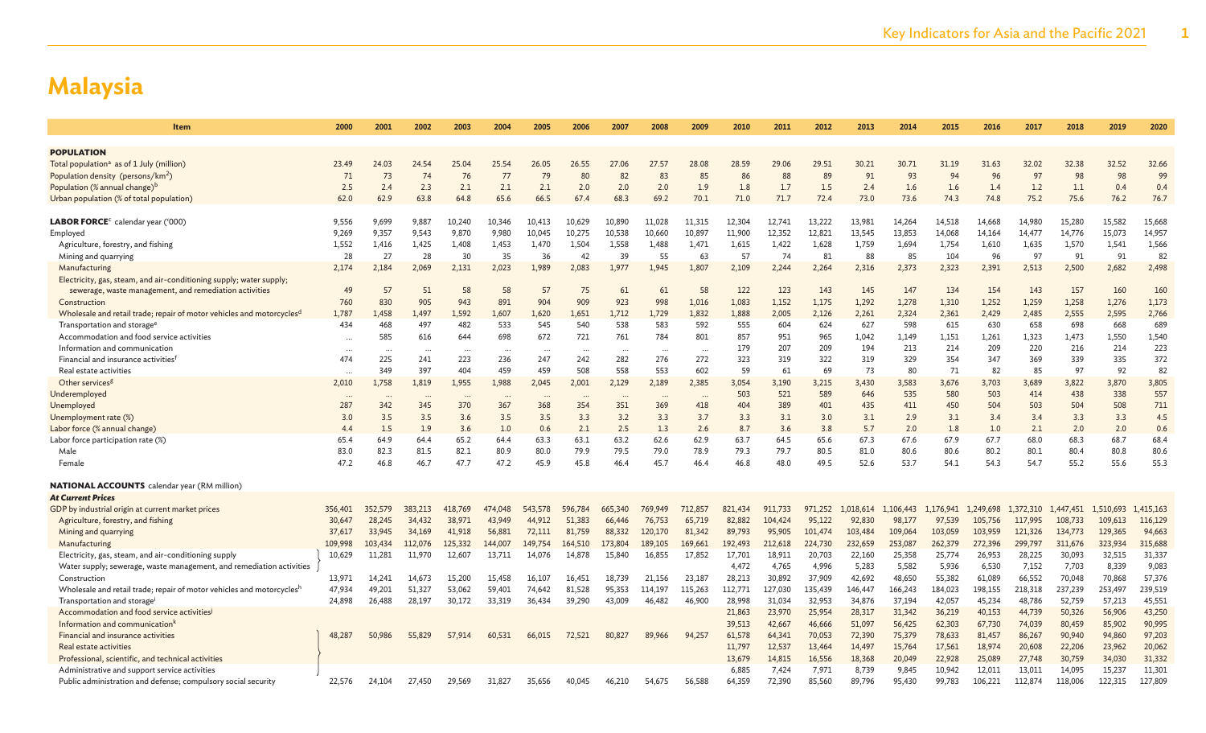| <b>Item</b>                                                                                                                  | 2000              | 2001            | 2002            | 2003    | 2004            | 2005           | 2006                 | 2007         | 2008            | 2009            | 2010         | 2011         | 2012         | 2013         | 2014         | 2015         | 2016         | 2017         | 2018         | 2019         | 2020         |
|------------------------------------------------------------------------------------------------------------------------------|-------------------|-----------------|-----------------|---------|-----------------|----------------|----------------------|--------------|-----------------|-----------------|--------------|--------------|--------------|--------------|--------------|--------------|--------------|--------------|--------------|--------------|--------------|
|                                                                                                                              |                   |                 |                 |         |                 |                |                      |              |                 |                 |              |              |              |              |              |              |              |              |              |              |              |
| <b>POPULATION</b>                                                                                                            |                   |                 |                 |         |                 |                |                      |              |                 |                 |              |              |              |              |              |              |              |              |              |              |              |
| Total population <sup>a</sup> as of 1 July (million)                                                                         | 23.49             | 24.03           | 24.54           | 25.04   | 25.54           | 26.05          | 26.55                | 27.06        | 27.57           | 28.08           | 28.59        | 29.06        | 29.51        | 30.21        | 30.71        | 31.19        | 31.63        | 32.02        | 32.38        | 32.52        | 32.66        |
| Population density (persons/km <sup>2</sup> )                                                                                | 71                | 73              | 74              | 76      | 77              | 7 <sup>c</sup> | 80                   | 82           | 83              | 85              | 86           | 88           | 89           | 91           | 93           | 94           | 96           | 97           | 98           | 98           | 99           |
| Population (% annual change) <sup>b</sup>                                                                                    | 2.5               | 2.4             | 2.3             | 2.1     | 2.1             | 2.1            | 2.0                  | 2.0          | 2.0             | 1.9             | 1.8          | 1.7          | 1.5          | 2.4          | 1.6          | 1.6          | 1.4          | 1.2          | 1.1          | 0.4          | 0.4          |
| Urban population (% of total population)                                                                                     | 62.0              | 62.9            | 63.8            | 64.8    | 65.6            | 66.5           | 67.4                 | 68.3         | 69.2            | 70.1            | 71.0         | 71.7         | 72.4         | 73.0         | 73.6         | 74.3         | 74.8         | 75.2         | 75.6         | 76.2         | 76.7         |
|                                                                                                                              |                   |                 |                 |         |                 |                |                      |              |                 |                 |              |              |              |              |              |              |              |              |              |              |              |
| LABOR FORCE <sup>c</sup> calendar year ('000)                                                                                | 9,556             | 9,699           | 9,887           | 10,240  | 10,346          | 10,413         | 10,629               | 10,890       | 11,028          | 11,315          | 12,304       | 12,741       | 13,222       | 13,981       | 14,264       | 14,518       | 14,668       | 14,980       | 15,280       | 15,582       | 15,668       |
| Employed                                                                                                                     | 9,269             | 9,357           | 9,543           | 9,870   | 9,980           | 10,045         | 10,275               | 10,538       | 10,660          | 10,897          | 11,900       | 12,352       | 12,821       | 13,545       | 13,853       | 14,068       | 14,164       | 14,477       | 14,776       | 15,073       | 14,957       |
| Agriculture, forestry, and fishing                                                                                           | 1,552             | 1,416           | 1,425           | 1,408   | 1,453           | 1,470          | 1,504                | 1,558        | 1,488           | 1,471           | 1,615        | 1,422        | 1,628        | 1,759        | 1,694        | 1,754        | 1,610        | 1,635        | 1,570        | 1,541        | 1,566        |
| Mining and quarrying                                                                                                         | 28                | 27              | 28              | 30      | 35              | 36             | 42                   | 39           | 55              | 63              | 57           | 74           | 81           | 88           | 85           | 104          | 96           | 97           | 91           | 91           | 82           |
| Manufacturing                                                                                                                | 2,174             | 2,184           | 2,069           | 2,131   | 2,023           | 1,989          | 2,083                | 1,977        | 1,945           | 1,807           | 2,109        | 2,244        | 2,264        | 2,316        | 2,373        | 2,323        | 2,391        | 2,513        | 2,500        | 2,682        | 2,498        |
| Electricity, gas, steam, and air-conditioning supply; water supply;                                                          |                   | 57              |                 | 58      |                 | 57             |                      |              |                 |                 |              |              |              |              |              |              |              |              |              |              | 160          |
| sewerage, waste management, and remediation activities                                                                       | 49                |                 | 51              | 943     | 58              |                | 75                   | 61           | 61              | 58              | 122          | 123          | 143          | 145          | 147          | 134          | 154          | 143          | 157          | 160          |              |
| Construction                                                                                                                 | 760               | 830             | 905             | 1,592   | 891             | 904            | 909<br>1,651         | 923<br>1,712 | 998             | 1.016           | 1,083        | 1,152        | 1,175        | 1,292        | 1,278        | 1,310        | 1,252        | 1,259        | 1,258        | 1,276        | 1,173        |
| Wholesale and retail trade; repair of motor vehicles and motorcycles <sup>d</sup><br>Transportation and storage <sup>e</sup> | 1,787<br>434      | 1,458<br>468    | 1,497<br>497    | 482     | 1,607<br>533    | 1,620<br>545   | 540                  | 538          | 1,729<br>583    | 1,832<br>592    | 1,888<br>555 | 2,005<br>604 | 2,126<br>624 | 2,261<br>627 | 2,324<br>598 | 2,361<br>615 | 2,429<br>630 | 2,485<br>658 | 2,555<br>698 | 2,595<br>668 | 2,766<br>689 |
| Accommodation and food service activities                                                                                    |                   | 585             | 616             | 644     | 698             | 672            | 721                  | 761          | 784             | 801             | 857          | 951          | 965          | 1,042        | 1,149        | 1,151        | 1,261        | 1,323        | 1,473        | 1,550        | 1,540        |
| Information and communication                                                                                                |                   |                 |                 |         |                 |                |                      |              |                 |                 | 179          | 207          | 209          | 194          | 213          | 214          | 209          | 220          | 216          | 214          | 223          |
| Financial and insurance activities <sup>t</sup>                                                                              | $\ddotsc$<br>474  | $\cdots$<br>225 | $\cdots$<br>241 | 223     | $\cdots$<br>236 | <br>247        | $\cdot \cdot$<br>242 | .<br>282     | $\cdots$<br>276 | $\cdots$<br>272 | 323          | 319          | 322          | 319          | 329          | 354          | 347          | 369          | 339          | 335          | 372          |
| Real estate activities                                                                                                       |                   | 349             | 397             | 404     | 459             | 459            | 508                  | 558          | 553             | 602             | 59           | 61           | 69           | 73           | 80           | 71           | 82           | 85           | 97           | 92           | 82           |
| Other services <sup>g</sup>                                                                                                  | $\cdots$<br>2,010 | 1,758           | 1.819           | 1,955   | 1,988           | 2,045          | 2,001                | 2,129        | 2,189           | 2,385           | 3,054        | 3,190        | 3,215        | 3,430        | 3,583        | 3,676        | 3,703        | 3,689        | 3,822        | 3,870        | 3,805        |
| Underemployed                                                                                                                |                   |                 |                 |         | $\ddotsc$       |                |                      |              |                 |                 | 503          | 521          | 589          | 646          | 535          | 580          | 503          | 414          | 438          | 338          | 557          |
| Unemployed                                                                                                                   | 287               | 342             | 345             | 370     | 367             | 368            | 354                  | 351          | 369             | 418             | 404          | 389          | 401          | 435          | 411          | 450          | 504          | 503          | 504          | 508          | 711          |
| Unemployment rate (%)                                                                                                        | 3.0               | 3.5             | 3.5             | 3.6     | 3.5             | 3.5            | 3.3                  | 3.2          | 3.3             | 3.7             | 3.3          | 3.1          | 3.0          | 3.1          | 2.9          | 3.1          | 3.4          | 3.4          | 3.3          | 3.3          | 4.5          |
| Labor force (% annual change)                                                                                                | 4.4               | 1.5             | 1.9             | 3.6     | 1.0             | 0.6            | 2.1                  | 2.5          | 1.3             | 2.6             | 8.7          | 3.6          | 3.8          | 5.7          | 2.0          | 1.8          | 1.0          | 2.1          | 2.0          | 2.0          | 0.6          |
| Labor force participation rate (%)                                                                                           | 65.4              | 64.9            | 64.4            | 65.2    | 64.4            | 63.3           | 63.1                 | 63.2         | 62.6            | 62.9            | 63.7         | 64.5         | 65.6         | 67.3         | 67.6         | 67.9         | 67.7         | 68.0         | 68.3         | 68.7         | 68.4         |
| Male                                                                                                                         | 83.0              | 82.3            | 81.5            | 82.1    | 80.9            | 80.0           | 79.9                 | 79.5         | 79.0            | 78.9            | 79.3         | 79.7         | 80.5         | 81.0         | 80.6         | 80.6         | 80.2         | 80.1         | 80.4         | 80.8         | 80.6         |
| Female                                                                                                                       | 47.2              | 46.8            | 46.7            | 47.7    | 47.2            | 45.9           | 45.8                 | 46.4         | 45.7            | 46.4            | 46.8         | 48.0         | 49.5         | 52.6         | 53.7         | 54.1         | 54.3         | 54.7         | 55.2         | 55.6         | 55.3         |
|                                                                                                                              |                   |                 |                 |         |                 |                |                      |              |                 |                 |              |              |              |              |              |              |              |              |              |              |              |
| <b>NATIONAL ACCOUNTS</b> calendar year (RM million)                                                                          |                   |                 |                 |         |                 |                |                      |              |                 |                 |              |              |              |              |              |              |              |              |              |              |              |
| <b>At Current Prices</b>                                                                                                     |                   |                 |                 |         |                 |                |                      |              |                 |                 |              |              |              |              |              |              |              |              |              |              |              |
| GDP by industrial origin at current market prices                                                                            | 356,401           | 352,579         | 383,213         | 418,769 | 474,048         | 543,578        | 596,784              | 665,340      | 769,949         | 712,857         | 821,434      | 911,733      | 971,252      | 1,018,614    | 1,106,443    | 1,176,941    | 1,249,698    | 1,372,310    | 1,447,451    | 1,510,693    | 1,415,163    |
| Agriculture, forestry, and fishing                                                                                           | 30,647            | 28,245          | 34,432          | 38,971  | 43,949          | 44.912         | 51,383               | 66,446       | 76,753          | 65,719          | 82,882       | 104,424      | 95.122       | 92,830       | 98,177       | 97,539       | 105,756      | 117,995      | 108,733      | 109,613      | 116,129      |
| Mining and quarrying                                                                                                         | 37,617            | 33,945          | 34,169          | 41,918  | 56,881          | 72,111         | 81,759               | 88,332       | 120,170         | 81,342          | 89,793       | 95,905       | 101,474      | 103,484      | 109,064      | 103,059      | 103,959      | 121,326      | 134,773      | 129,365      | 94,663       |
| Manufacturing                                                                                                                | 109,998           | 103,434         | 112,076         | 125,332 | 144,007         | 149,754        | 164,510              | 173,804      | 189,105         | 169,661         | 192,493      | 212,618      | 224,730      | 232,659      | 253,087      | 262,379      | 272,396      | 299,797      | 311,676      | 323,934      | 315,688      |
| Electricity, gas, steam, and air-conditioning supply                                                                         | 10,629            | 11,281          | 11,970          | 12,607  | 13,711          | 14,076         | 14,878               | 15,840       | 16,855          | 17,852          | 17,701       | 18,911       | 20,703       | 22,160       | 25,358       | 25,774       | 26,953       | 28,225       | 30,093       | 32,515       | 31,337       |
| Water supply; sewerage, waste management, and remediation activities                                                         |                   |                 |                 |         |                 |                |                      |              |                 |                 | 4,472        | 4,765        | 4,996        | 5,283        | 5,582        | 5,936        | 6,530        | 7,152        | 7,703        | 8,339        | 9,083        |
| Construction                                                                                                                 | 13,971            | 14,241          | 14,673          | 15,200  | 15,458          | 16,107         | 16,451               | 18.739       | 21,156          | 23,187          | 28,213       | 30,892       | 37,909       | 42,692       | 48,650       | 55,382       | 61,089       | 66,552       | 70,048       | 70,868       | 57,376       |
| Wholesale and retail trade; repair of motor vehicles and motorcyclesh                                                        | 47.934            | 49,201          | 51,327          | 53,062  | 59,401          | 74,642         | 81,528               | 95,353       | 114,197         | 115,263         | 112,771      | 127,030      | 135,439      | 146,447      | 166,243      | 184,023      | 198,155      | 218,318      | 237,239      | 253,497      | 239,519      |
| Transportation and storage                                                                                                   | 24,898            | 26,488          | 28,197          | 30,172  | 33,319          | 36,434         | 39,290               | 43,009       | 46,482          | 46,900          | 28,998       | 31,034       | 32,953       | 34,876       | 37,194       | 42,057       | 45,234       | 48,786       | 52,759       | 57,213       | 45,551       |
| Accommodation and food service activities                                                                                    |                   |                 |                 |         |                 |                |                      |              |                 |                 | 21,863       | 23,970       | 25,954       | 28,317       | 31,342       | 36,219       | 40,153       | 44,739       | 50,326       | 56,906       | 43,250       |
| Information and communication <sup>k</sup>                                                                                   |                   |                 |                 |         |                 |                |                      |              |                 |                 | 39,513       | 42,667       | 46,666       | 51,097       | 56,425       | 62,303       | 67,730       | 74,039       | 80,459       | 85,902       | 90,995       |
| Financial and insurance activities                                                                                           | 48,287            | 50,986          | 55,829          | 57,914  | 60,531          | 66,015         | 72,521               | 80,827       | 89,966          | 94,257          | 61,578       | 64,341       | 70,053       | 72,390       | 75,379       | 78,633       | 81,457       | 86,267       | 90,940       | 94,860       | 97,203       |
| Real estate activities                                                                                                       |                   |                 |                 |         |                 |                |                      |              |                 |                 | 11,797       | 12,537       | 13,464       | 14,497       | 15,764       | 17,561       | 18,974       | 20,608       | 22,206       | 23,962       | 20,062       |
| Professional, scientific, and technical activities                                                                           |                   |                 |                 |         |                 |                |                      |              |                 |                 | 13.679       | 14,815       | 16,556       | 18,368       | 20,049       | 22,928       | 25,089       | 27,748       | 30,759       | 34,030       | 31,332       |
| Administrative and support service activities                                                                                |                   |                 |                 |         |                 |                |                      |              |                 |                 | 6,885        | 7,424        | 7,971        | 8,739        | 9,845        | 10,942       | 12,011       | 13,011       | 14,095       | 15,237       | 11,301       |
| Public administration and defense; compulsory social security                                                                | 22.576            | 24,104          | 27,450          | 29.569  | 31,827          | 35,656         | 40.045               | 46,210       | 54.675          | 56,588          | 64.359       | 72,390       | 85,560       | 89,796       | 95,430       | 99,783       | 106,221      | 112.874      | 118,006      | 122,315      | 127,809      |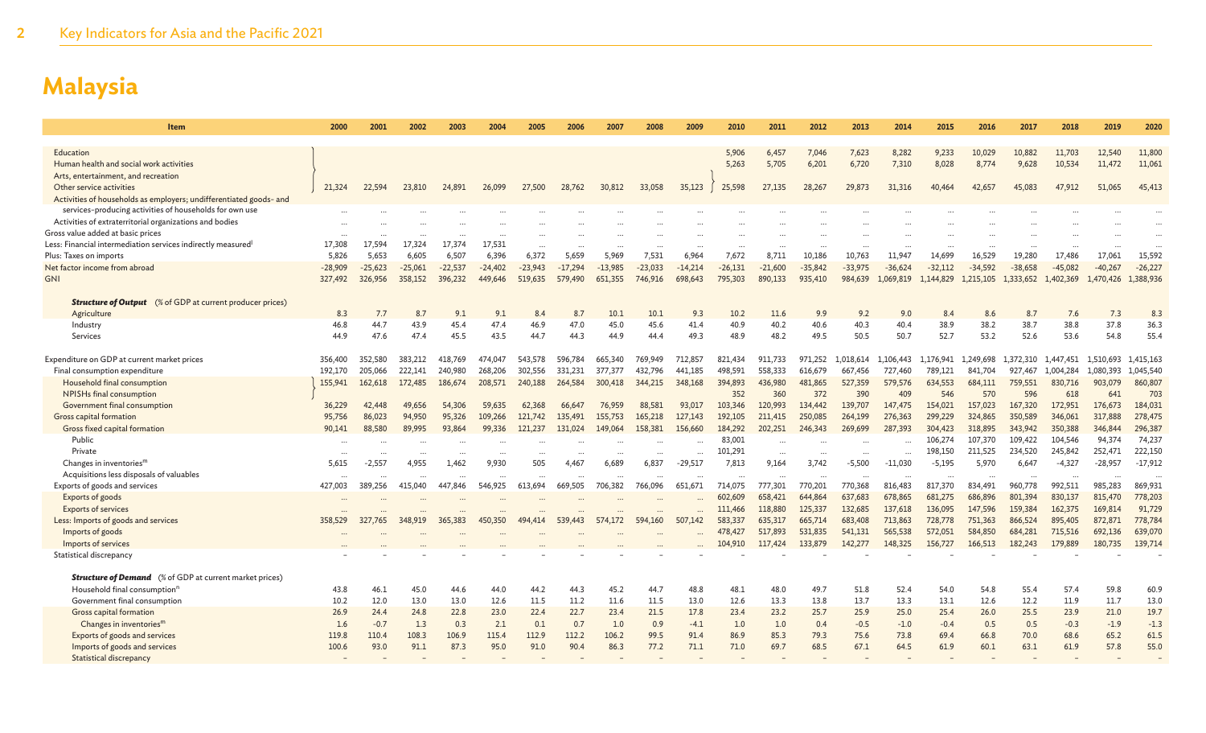| <b>Item</b>                                                               | 2000      | 2001      | 2002      | 2003      | 2004      | 2005      | 2006      | 2007      | 2008      | 2009      | 2010      | 2011      | 2012      | 2013           | 2014      | 2015      | 2016      | 2017      | 2018      | 2019      | 2020             |
|---------------------------------------------------------------------------|-----------|-----------|-----------|-----------|-----------|-----------|-----------|-----------|-----------|-----------|-----------|-----------|-----------|----------------|-----------|-----------|-----------|-----------|-----------|-----------|------------------|
|                                                                           |           |           |           |           |           |           |           |           |           |           |           |           |           |                |           |           |           |           |           |           |                  |
| Education<br>Human health and social work activities                      |           |           |           |           |           |           |           |           |           |           | 5,906     | 6,457     | 7.046     | 7,623<br>6,720 | 8,282     | 9,233     | 10,029    | 10,882    | 11,703    | 12,540    | 11,800<br>11,061 |
| Arts, entertainment, and recreation                                       |           |           |           |           |           |           |           |           |           |           | 5,263     | 5,705     | 6,201     |                | 7,310     | 8,028     | 8,774     | 9,628     | 10,534    | 11,472    |                  |
| Other service activities                                                  | 21,324    | 22,594    | 23,810    | 24,891    | 26,099    | 27,500    | 28,762    | 30,812    | 33,058    | 35,123    | 25,598    | 27,135    | 28,267    | 29,873         | 31,316    | 40,464    | 42,657    | 45,083    | 47,912    | 51,065    | 45,413           |
| Activities of households as employers; undifferentiated goods- and        |           |           |           |           |           |           |           |           |           |           |           |           |           |                |           |           |           |           |           |           |                  |
| services-producing activities of households for own use                   |           |           |           |           |           |           |           |           |           |           |           |           |           |                |           |           |           |           |           |           |                  |
| Activities of extraterritorial organizations and bodies                   |           |           |           |           |           |           |           |           |           |           |           |           |           |                |           |           |           |           |           |           |                  |
| Gross value added at basic prices                                         |           |           |           |           |           |           |           |           |           |           |           |           |           |                |           |           |           |           |           |           |                  |
| Less: Financial intermediation services indirectly measured <sup>1</sup>  | 17,308    | 17.594    | 17.324    | 17.374    | 17.531    |           |           |           |           |           |           |           |           |                |           |           |           |           |           |           |                  |
| Plus: Taxes on imports                                                    | 5,826     | 5,653     | 6,605     | 6,507     | 6,396     | 6,372     | 5,659     | 5,969     | 7,531     | 6.964     | 7,672     | 8,711     | 10,186    | 10,763         | 11,947    | 14,699    | 16,529    | 19,280    | 17,486    | 17,061    | 15,592           |
| Net factor income from abroad                                             | $-28,909$ | $-25,623$ | $-25,061$ | $-22,537$ | $-24,402$ | $-23,943$ | $-17.294$ | $-13.985$ | $-23,033$ | $-14.214$ | $-26,131$ | $-21,600$ | $-35,842$ | $-33,975$      | $-36,624$ | $-32,112$ | $-34.592$ | $-38,658$ | $-45.082$ | $-40.267$ | $-26,227$        |
| <b>GNI</b>                                                                | 327,492   | 326,956   | 358,152   | 396,232   | 449.646   | 519,635   | 579,490   | 651,355   | 746,916   | 698,643   | 795,303   | 890,133   | 935,410   | 984,639        | 1,069,819 | 1,144,829 | 1,215,105 | 1,333,652 | 1,402,369 | 1,470,426 | 1,388,936        |
| <b>Structure of Output</b> (% of GDP at current producer prices)          |           |           |           |           |           |           |           |           |           |           |           |           |           |                |           |           |           |           |           |           |                  |
| Agriculture                                                               | 8.3       | 7.7       | 8.7       | 9.1       | 9.1       | 8.4       | 8.7       | 10.1      | 10.1      | 9.3       | 10.2      | 11.6      | 9.9       | 9.2            | 9.0       | 8.4       | 8.6       | 8.7       | 7.6       | 7.3       | 8.3              |
| Industry                                                                  | 46.8      | 44.7      | 43.9      | 45.4      | 47.4      | 46.9      | 47.0      | 45.0      | 45.6      | 41.4      | 40.9      | 40.2      | 40.6      | 40.3           | 40.4      | 38.9      | 38.2      | 38.7      | 38.8      | 37.8      | 36.3             |
| Services                                                                  | 44.9      | 47.6      | 47.4      | 45.5      | 43.5      | 44.7      | 44.3      | 44.9      | 44.4      | 49.3      | 48.9      | 48.2      | 49.5      | 50.5           | 50.7      | 52.7      | 53.2      | 52.6      | 53.6      | 54.8      | 55.4             |
| Expenditure on GDP at current market prices                               | 356,400   | 352,580   | 383,212   | 418,769   | 474.047   | 543,578   | 596.784   | 665,340   | 769,949   | 712.857   | 821.434   | 911,733   | 971.252   | 1,018,614      | 1,106,443 | .,176,941 | 1,249,698 | .372.310  | 1,447,451 | 1.510.693 | 1,415,163        |
| Final consumption expenditure                                             | 192,170   | 205,066   | 222,141   | 240,980   | 268,206   | 302,556   | 331.231   | 377,377   | 432,796   | 441,185   | 498,591   | 558,333   | 616,679   | 667,456        | 727,460   | 789,121   | 841,704   | 927,467   | 1,004,284 | 1.080.393 | 1,045,540        |
| Household final consumption                                               | 155.941   | 162,618   | 172,485   | 186,674   | 208,571   | 240,188   | 264,584   | 300,418   | 344,215   | 348,168   | 394,893   | 436,980   | 481,865   | 527,359        | 579.576   | 634,553   | 684,111   | 759,551   | 830,716   | 903,079   | 860,807          |
| NPISHs final consumption                                                  |           |           |           |           |           |           |           |           |           |           | 352       | 360       | 372       | 390            | 409       | 546       | 570       | 596       | 618       | 641       | 703              |
| Government final consumption                                              | 36,229    | 42,448    | 49,656    | 54.306    | 59,635    | 62,368    | 66,647    | 76,959    | 88,581    | 93,017    | 103,346   | 120,993   | 134,442   | 139,707        | 147,475   | 154,021   | 157,023   | 167,320   | 172,951   | 176,673   | 184,031          |
| Gross capital formation                                                   | 95,756    | 86,023    | 94,950    | 95,326    | 109,266   | 121,742   | 135,491   | 155,753   | 165,218   | 127,143   | 192,105   | 211,415   | 250,085   | 264,199        | 276,363   | 299,229   | 324,865   | 350,589   | 346,061   | 317,888   | 278,475          |
| Gross fixed capital formation                                             | 90,141    | 88,580    | 89,995    | 93,864    | 99.336    | 121,237   | 131,024   | 149,064   | 158,381   | 156,660   | 184,292   | 202,251   | 246,343   | 269,699        | 287,393   | 304,423   | 318,895   | 343,942   | 350,388   | 346,844   | 296,387          |
| Public                                                                    |           |           |           |           |           |           |           |           |           |           | 83,001    |           |           |                |           | 106,274   | 107.370   | 109,422   | 104,546   | 94,374    | 74,237           |
| Private                                                                   | $\cdots$  |           | $\ddotsc$ |           | $\cdots$  | $\ddotsc$ |           | $\cdots$  | $\cdots$  | $\cdots$  | 101,291   | $\ddotsc$ | $\cdots$  | $\cdots$       |           | 198,150   | 211,525   | 234,520   | 245,842   | 252,471   | 222,150          |
| Changes in inventories $m$                                                | 5,615     | $-2,557$  | 4.955     | 1,462     | 9.930     | 505       | 4.467     | 6,689     | 6,837     | $-29,517$ | 7,813     | 9,164     | 3.742     | $-5,500$       | $-11,030$ | $-5,195$  | 5,970     | 6,647     | $-4,327$  | $-28,957$ | $-17,912$        |
| Acquisitions less disposals of valuables<br>Exports of goods and services | 427,003   | 389,256   | 415,040   | 447,846   | 546,925   | 613,694   | 669,505   | 706,382   | 766,096   | 651.671   | 714,075   | 777,301   | 770,201   | 770,368        | 816,483   | 817,370   | 834,491   | 960,778   | 992,511   | 985,283   | 869,931          |
| Exports of goods                                                          |           |           |           |           |           |           |           |           |           |           | 602,609   | 658,421   | 644,864   | 637,683        | 678,865   | 681,275   | 686,896   | 801,394   | 830,137   | 815,470   | 778,203          |
| <b>Exports of services</b>                                                |           |           |           |           |           |           |           |           |           |           | 111,466   | 118,880   | 125,337   | 132,685        | 137,618   | 136,095   | 147,596   | 159,384   | 162,375   | 169,814   | 91,729           |
| Less: Imports of goods and services                                       | 358,529   | 327,765   | 348,919   | 365,383   | 450,350   | 494,414   | 539,443   | 574,172   | 594,160   | 507,142   | 583,337   | 635,317   | 665,714   | 683,408        | 713,863   | 728,778   | 751,363   | 866,524   | 895,405   | 872,871   | 778,784          |
| Imports of goods                                                          |           |           |           |           |           |           |           |           |           |           | 478,427   | 517,893   | 531,835   | 541,131        | 565,538   | 572,051   | 584,850   | 684,281   | 715,516   | 692,136   | 639,070          |
| Imports of services                                                       |           |           |           |           |           |           |           |           |           |           | 104,910   | 117,424   | 133,879   | 142,277        | 148,325   | 156,727   | 166,513   | 182,243   | 179,889   | 180,735   | 139,714          |
| Statistical discrepancy                                                   |           |           |           |           |           |           |           |           |           |           |           |           |           |                |           |           |           |           |           |           |                  |
| <b>Structure of Demand</b> (% of GDP at current market prices)            |           |           |           |           |           |           |           |           |           |           |           |           |           |                |           |           |           |           |           |           |                  |
| Household final consumption <sup>r</sup>                                  | 43.8      | 46.1      | 45.0      | 44.6      | 44.0      | 44.2      | 44.3      | 45.2      | 44.7      | 48.8      | 48.1      | 48.0      | 49.7      | 51.8           | 52.4      | 54.0      | 54.8      | 55.4      | 57.4      | 59.8      | 60.9             |
| Government final consumption                                              | 10.2      | 12.0      | 13.0      | 13.0      | 12.6      | 11.5      | 11.2      | 11.6      | 11.5      | 13.0      | 12.6      | 13.3      | 13.8      | 13.7           | 13.3      | 13.1      | 12.6      | 12.2      | 11.9      | 11.7      | 13.0             |
| Gross capital formation                                                   | 26.9      | 24.4      | 24.8      | 22.8      | 23.0      | 22.4      | 22.7      | 23.4      | 21.5      | 17.8      | 23.4      | 23.2      | 25.7      | 25.9           | 25.0      | 25.4      | 26.0      | 25.5      | 23.9      | 21.0      | 19.7             |
| Changes in inventories <sup>m</sup>                                       | 1.6       | $-0.7$    | 1.3       | 0.3       | 2.1       | 0.1       | 0.7       | 1.0       | 0.9       | $-4.1$    | 1.0       | 1.0       | 0.4       | $-0.5$         | $-1.0$    | $-0.4$    | 0.5       | 0.5       | $-0.3$    | $-1.9$    | $-1.3$           |
| Exports of goods and services                                             | 119.8     | 110.4     | 108.3     | 106.9     | 115.4     | 112.9     | 112.2     | 106.2     | 99.5      | 91.4      | 86.9      | 85.3      | 79.3      | 75.6           | 73.8      | 69.4      | 66.8      | 70.0      | 68.6      | 65.2      | 61.5             |
| Imports of goods and services                                             | 100.6     | 93.0      | 91.1      | 87.3      | 95.0      | 91.0      | 90.4      | 86.3      | 77.2      | 71.1      | 71.0      | 69.7      | 68.5      | 67.1           | 64.5      | 61.9      | 60.1      | 63.1      | 61.9      | 57.8      | 55.0             |
| Statistical discrepancy                                                   |           |           |           |           |           |           |           |           |           |           |           |           |           |                |           |           |           |           |           |           |                  |
|                                                                           |           |           |           |           |           |           |           |           |           |           |           |           |           |                |           |           |           |           |           |           |                  |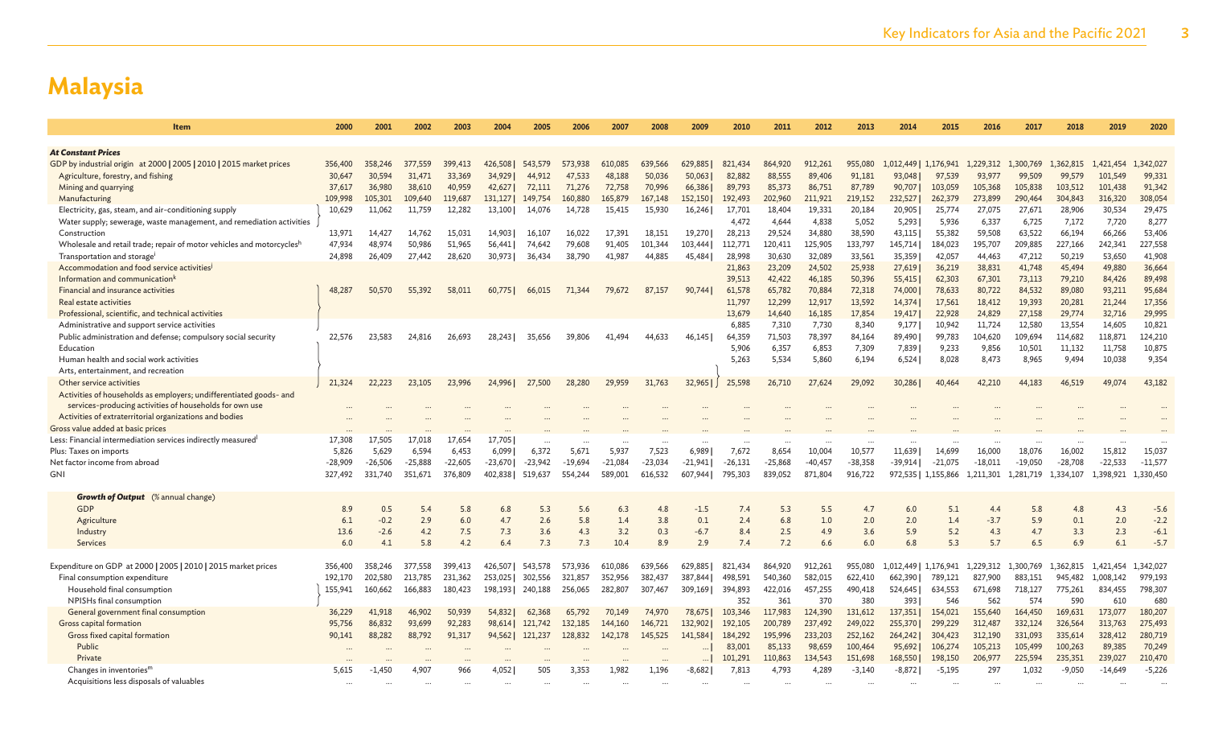| <b>At Constant Prices</b><br>GDP by industrial origin at 2000   2005   2010   2015 market prices<br>356,400<br>399,413<br>426,508<br>639,566<br>629,885<br>821,434<br>864,920<br>912,261<br>955,080<br>1,176,941<br>1.229.312<br>1,362,815<br>1.421.454<br>1,342,027<br>358,246<br>377,559<br>543,579<br>573,938<br>610,085<br>1.012.449<br>1,300,769<br>82,882<br>88,555<br>99,331<br>Agriculture, forestry, and fishing<br>30.647<br>30,594<br>31.471<br>33,369<br>34,929<br>47.533<br>48,188<br>50.036<br>50,063<br>89,406<br>91.181<br>93,048<br>97,539<br>93.977<br>99,509<br>99,579<br>101.549<br>44.912<br>38,610<br>40,959<br>71,276<br>70,996<br>66,386<br>85,373<br>86,751<br>87,789<br>105,838<br>103,512<br>101,438<br>91,342<br>Mining and quarrying<br>37,617<br>36,980<br>42,627<br>72,111<br>72,758<br>89,793<br>90,707<br>103,059<br>105,368<br>308,054<br>105,301<br>119,687<br>160,880<br>167,148<br>152,150<br>211,921<br>219,152<br>232,527<br>262,379<br>273,899<br>290,464<br>304,843<br>316,320<br>Manufacturing<br>109,998<br>109,640<br>131,127<br>149,754<br>165,879<br>192,493<br>202,960<br>27,671<br>29,475<br>Electricity, gas, steam, and air-conditioning supply<br>10,629<br>11,062<br>11,759<br>12,282<br>14,728<br>15,930<br>16,246<br>18,404<br>19,331<br>20,184<br>20,905<br>25,774<br>27,075<br>28,906<br>30,534<br>13,100<br>14.076<br>15,415<br>17,701<br>8,277<br>4.472<br>4.644<br>4.838<br>5,052<br>5,293<br>6,337<br>6.725<br>7,172<br>7,720<br>Water supply; sewerage, waste management, and remediation activities<br>5,936<br>63,522<br>53,406<br>Construction<br>13,971<br>14,427<br>15,031<br>14,903<br>16,022<br>18,151<br>19,270<br>28,213<br>29,524<br>34,880<br>38,590<br>43,115<br>55,382<br>59,508<br>66,194<br>66,266<br>14,762<br>16,107<br>17,391<br>227,558<br>Wholesale and retail trade; repair of motor vehicles and motorcyclesh<br>47,934<br>50,986<br>51,965<br>79,608<br>103,444<br>125,905<br>133,797<br>145,714<br>195,707<br>209,885<br>48,974<br>56,441<br>74,642<br>91,405<br>101,344<br>112,771<br>120,411<br>184,023<br>227,166<br>242,341<br>41,908<br>Transportation and storage<br>24,898<br>26,409<br>28,620<br>36,434<br>38,790<br>44,885<br>45,484<br>28,998<br>30,630<br>32,089<br>33,561<br>35,359<br>42,057<br>44,463<br>47,212<br>50,219<br>53,650<br>27,442<br>30,973<br>41,987<br>41,748<br>36,664<br>Accommodation and food service activities<br>21,863<br>23,209<br>24,502<br>25,938<br>27,619<br>36,219<br>38,831<br>45,494<br>49,880<br>Information and communication <sup>1</sup><br>46,185<br>89,498<br>39,513<br>42,422<br>50,396<br>55,415<br>62,303<br>67,301<br>73,113<br>79,210<br>84,426<br>Financial and insurance activities<br>65,782<br>70,884<br>72,318<br>74,000<br>78,633<br>80,722<br>84,532<br>89,080<br>93,211<br>95,684<br>48,287<br>50,570<br>55,392<br>58,011<br>71,344<br>79,672<br>87,157<br>90.744<br>61,578<br>60,775<br>66,015<br>17,356<br>Real estate activities<br>12,299<br>12,917<br>13,592<br>14,374<br>17,561<br>18,412<br>19,393<br>20,281<br>21,244<br>11,797<br>17,854<br>24,829<br>29,774<br>29,995<br>Professional, scientific, and technical activities<br>13.679<br>14,640<br>16,185<br>19,417<br>22,928<br>27,158<br>32,716<br>7,730<br>8,340<br>11,724<br>12,580<br>13,554<br>10,821<br>Administrative and support service activities<br>6,885<br>7,310<br>9,177<br>10,942<br>14,605<br>124,210<br>23.583<br>64,359<br>71,503<br>78,397<br>89,490<br>99,783<br>104,620<br>109,694<br>114,682<br>118,871<br>Public administration and defense; compulsory social security<br>22.576<br>24,816<br>26,693<br>39,806<br>44,633<br>46.145<br>84,164<br>28,243<br>35,656<br>41.494<br>10,875<br>Education<br>6,357<br>6,853<br>7,309<br>9,856<br>10,501<br>11,132<br>11,758<br>5.906<br>7,839<br>9,233<br>9,354<br>5,534<br>8,965<br>Human health and social work activities<br>5.263<br>5.860<br>6,194<br>6,524<br>8.473<br>9,494<br>10.038<br>8,028<br>Arts, entertainment, and recreation<br>32,965<br>25,598<br>27,624<br>29,092<br>30,286<br>44,183<br>43,182<br>Other service activities<br>21,324<br>22,223<br>23,105<br>23,996<br>24,996<br>27,500<br>28,280<br>29,959<br>31,763<br>26,710<br>40,464<br>42.210<br>46,519<br>49.074<br>Activities of households as employers; undifferentiated goods- and<br>services-producing activities of households for own use<br>Activities of extraterritorial organizations and bodies<br>Gross value added at basic prices<br>Less: Financial intermediation services indirectly measured<br>17,308<br>17.505<br>17,018<br>17,654<br>17,705<br>5.671<br>7,523<br>6.9891<br>7.672<br>8,654<br>10,577<br>11.639<br>14.699<br>16.002<br>15,812<br>15,037<br>5.826<br>5.629<br>6.594<br>6.453<br>6.099<br>6.372<br>5.937<br>10,004<br>16,000<br>18,076<br>Plus: Taxes on imports<br>$-25.888$<br>$-25,868$<br>$-40,457$<br>$-38.358$<br>$-22.533$<br>$-11,577$<br>Net factor income from abroad<br>$-28.909$<br>$-26,506$<br>$-22.605$<br>$-23.670$<br>$-23.942$<br>$-19.694$<br>$-21.084$<br>$-23,034$<br>$-21.941$<br>$-26.131$<br>$-39.914$<br>$-21.075$<br>$-18.011$<br>$-19.050$<br>$-28.708$<br><b>GNI</b><br>351,671<br>376,809<br>402,838<br>519,637<br>616,532<br>795,303<br>839,052<br>871,804<br>916,722<br>972,535<br>1,398,921<br>1,330,450<br>327,492<br>331,740<br>554,244<br>589,001<br>607,944<br>1,155,866<br>1,211,301<br>1,281,719<br>1,334,107<br><b>Growth of Output</b> (% annual change)<br>GDP<br>0.5<br>5.4<br>5.3<br>5.6<br>6.3<br>4.8<br>$-1.5$<br>7.4<br>6.0<br>5.1<br>4.4<br>4.8<br>4.3<br>$-5.6$<br>8.9<br>5.8<br>6.8<br>5.3<br>5.5<br>4.7<br>5.8<br>2.9<br>2.6<br>5.8<br>0.1<br>2.4<br>$-2.2$<br>Agriculture<br>6.1<br>$-0.2$<br>6.0<br>4.7<br>1.4<br>3.8<br>6.8<br>1.0<br>2.0<br>2.0<br>1.4<br>$-3.7$<br>5.9<br>0.1<br>2.0<br>13.6<br>4.2<br>7.5<br>7.3<br>3.6<br>3.2<br>$-6.7$<br>8.4<br>2.5<br>4.9<br>3.6<br>5.9<br>5.2<br>4.3<br>3.3<br>2.3<br>$-6.1$<br>Industry<br>$-2.6$<br>4.3<br>0.3<br>4.7<br>5.8<br>7.3<br>10.4<br>8.9<br>7.2<br>6.8<br>5.3<br>5.7<br>6.9<br>6.1<br>$-5.7$<br>Services<br>6.0<br>4.1<br>4.2<br>6.4<br>7.3<br>2.9<br>7.4<br>6.6<br>6.0<br>6.5<br>Expenditure on GDP at 2000   2005   2010   2015 market prices<br>639,566<br>629,885<br>1,342,027<br>356,400<br>358,246<br>377,558<br>399,413<br>426,507<br>543,578<br>573,936<br>610,086<br>821,434<br>864,920<br>912,261<br>955,080<br>1,012,449<br>1,176,941<br>1,229,312<br>1,300,769<br>1,362,815<br>1,421,454<br>192,170<br>202,580<br>213,785<br>231,362<br>302,556<br>321,857<br>352,956<br>382,437<br>387,844<br>498,591<br>540,360<br>582,015<br>622,410<br>662,390<br>789,121<br>827,900<br>883,151<br>945,482<br>1,008,142<br>979,193<br>Final consumption expenditure<br>253,025<br>798,307<br>Household final consumption<br>160,662<br>166,883<br>180,423<br>240,188<br>282,807<br>307.467<br>394,893<br>422,016<br>457,255<br>490,418<br>634.553<br>671.698<br>718,127<br>775,261<br>834,455<br>155,941<br>198.1931<br>256,065<br>309.1691<br>524,645<br>NPISHs final consumption<br>361<br>370<br>380<br>562<br>574<br>590<br>680<br>352<br>393<br>546<br>610<br>131,612<br>155,640<br>169,631<br>180,207<br>General government final consumption<br>36,229<br>50,939<br>54,832<br>62,368<br>65,792<br>103,346<br>117,983<br>124,390<br>154,021<br>164,450<br>173,077<br>41,918<br>46,902<br>70,149<br>74,970<br>78,675<br>137,351<br><b>Gross capital formation</b><br>332,124<br>275,493<br>95,756<br>86,832<br>93,699<br>92,283<br>98,614<br>121,742<br>132,185<br>144,160<br>146,721<br>132,902<br>192,105<br>200,789<br>237,492<br>249,022<br>255,370<br>299,229<br>312,487<br>326,564<br>313,763<br>280,719<br>Gross fixed capital formation<br>233,203<br>252,162<br>312,190<br>331,093<br>90,141<br>88,282<br>88,792<br>91,317<br>94,562<br>121,237<br>128,832<br>145,525<br>141,584<br>184,292<br>195,996<br>264,242<br>304,423<br>335,614<br>328,412<br>142,178<br>Public<br>85,133<br>98,659<br>100,464<br>95,692<br>106,274<br>105,213<br>105,499<br>100,263<br>89,385<br>70,249<br>83,001<br>210,470<br>Private<br>101,291<br>110,863<br>134,543<br>151,698<br>168,550<br>198,150<br>206,977<br>225,594<br>235,351<br>239,027<br>$-5,226$<br>$-1,450$<br>4.907<br>966<br>4,052<br>505<br>3,353<br>1,982<br>1,196<br>$-8,682$<br>7,813<br>4,793<br>4,289<br>$-3,140$<br>$-8,872$<br>$-5,195$<br>297<br>1,032<br>$-9,050$<br>$-14,649$<br>Changes in inventories <sup>m</sup><br>5,615<br>Acquisitions less disposals of valuables | Item | 2000 | 2001 | 2002 | 2003 | 2004 | 2005 | 2006 | 2007 | 2008 | 2009 | 2010 | 2011 | 2012 | 2013 | 2014 | 2015 | 2016 | 2017 | 2018 | 2019 | 2020 |
|------------------------------------------------------------------------------------------------------------------------------------------------------------------------------------------------------------------------------------------------------------------------------------------------------------------------------------------------------------------------------------------------------------------------------------------------------------------------------------------------------------------------------------------------------------------------------------------------------------------------------------------------------------------------------------------------------------------------------------------------------------------------------------------------------------------------------------------------------------------------------------------------------------------------------------------------------------------------------------------------------------------------------------------------------------------------------------------------------------------------------------------------------------------------------------------------------------------------------------------------------------------------------------------------------------------------------------------------------------------------------------------------------------------------------------------------------------------------------------------------------------------------------------------------------------------------------------------------------------------------------------------------------------------------------------------------------------------------------------------------------------------------------------------------------------------------------------------------------------------------------------------------------------------------------------------------------------------------------------------------------------------------------------------------------------------------------------------------------------------------------------------------------------------------------------------------------------------------------------------------------------------------------------------------------------------------------------------------------------------------------------------------------------------------------------------------------------------------------------------------------------------------------------------------------------------------------------------------------------------------------------------------------------------------------------------------------------------------------------------------------------------------------------------------------------------------------------------------------------------------------------------------------------------------------------------------------------------------------------------------------------------------------------------------------------------------------------------------------------------------------------------------------------------------------------------------------------------------------------------------------------------------------------------------------------------------------------------------------------------------------------------------------------------------------------------------------------------------------------------------------------------------------------------------------------------------------------------------------------------------------------------------------------------------------------------------------------------------------------------------------------------------------------------------------------------------------------------------------------------------------------------------------------------------------------------------------------------------------------------------------------------------------------------------------------------------------------------------------------------------------------------------------------------------------------------------------------------------------------------------------------------------------------------------------------------------------------------------------------------------------------------------------------------------------------------------------------------------------------------------------------------------------------------------------------------------------------------------------------------------------------------------------------------------------------------------------------------------------------------------------------------------------------------------------------------------------------------------------------------------------------------------------------------------------------------------------------------------------------------------------------------------------------------------------------------------------------------------------------------------------------------------------------------------------------------------------------------------------------------------------------------------------------------------------------------------------------------------------------------------------------------------------------------------------------------------------------------------------------------------------------------------------------------------------------------------------------------------------------------------------------------------------------------------------------------------------------------------------------------------------------------------------------------------------------------------------------------------------------------------------------------------------------------------------------------------------------------------------------------------------------------------------------------------------------------------------------------------------------------------------------------------------------------------------------------------------------------------------------------------------------------------------------------------------------------------------------------------------------------------------------------------------------------------------------------------------------------------------------------------------------------------------------------------------------------------------------------------------------------------------------------------------------------------------------------------------------------------------------------------------------------------------------------------------------------------------------------------------------------------------------------------------------------------------------------------------------------------------------------------------------------------------------------------------------------------------------------------------------------------------------------------------------------------------------------------------------------------------------------------------------------------------------------------------------------------------------------------------------------------------------------------------------------------------------------------------------------------------------------------------------------------------------------------------------------------------------------------------------------------------------------------------------------------------------------------------------------------------------------------------------------------------------------------------------------------------------------------------------------------------------------------------------------------------------------------------------------------------------------------------------------------------------------------------------------------------------------------------------------------------------------------------------------------------------------------------------------------------------------------------------------------------------------------------------------------------------------------------------------------------------------------------------------------------------------------------------------------------------------------------------------------------------------------------|------|------|------|------|------|------|------|------|------|------|------|------|------|------|------|------|------|------|------|------|------|------|
|                                                                                                                                                                                                                                                                                                                                                                                                                                                                                                                                                                                                                                                                                                                                                                                                                                                                                                                                                                                                                                                                                                                                                                                                                                                                                                                                                                                                                                                                                                                                                                                                                                                                                                                                                                                                                                                                                                                                                                                                                                                                                                                                                                                                                                                                                                                                                                                                                                                                                                                                                                                                                                                                                                                                                                                                                                                                                                                                                                                                                                                                                                                                                                                                                                                                                                                                                                                                                                                                                                                                                                                                                                                                                                                                                                                                                                                                                                                                                                                                                                                                                                                                                                                                                                                                                                                                                                                                                                                                                                                                                                                                                                                                                                                                                                                                                                                                                                                                                                                                                                                                                                                                                                                                                                                                                                                                                                                                                                                                                                                                                                                                                                                                                                                                                                                                                                                                                                                                                                                                                                                                                                                                                                                                                                                                                                                                                                                                                                                                                                                                                                                                                                                                                                                                                                                                                                                                                                                                                                                                                                                                                                                                                                                                                                                                                                                                                                                                                                                                                                                                                                                                                                                                                                                                                                                                                                                                                                                                                                                                                                                                                                                                                                                                                                                                                                                                                                                                                                                                                                                                                      |      |      |      |      |      |      |      |      |      |      |      |      |      |      |      |      |      |      |      |      |      |      |
|                                                                                                                                                                                                                                                                                                                                                                                                                                                                                                                                                                                                                                                                                                                                                                                                                                                                                                                                                                                                                                                                                                                                                                                                                                                                                                                                                                                                                                                                                                                                                                                                                                                                                                                                                                                                                                                                                                                                                                                                                                                                                                                                                                                                                                                                                                                                                                                                                                                                                                                                                                                                                                                                                                                                                                                                                                                                                                                                                                                                                                                                                                                                                                                                                                                                                                                                                                                                                                                                                                                                                                                                                                                                                                                                                                                                                                                                                                                                                                                                                                                                                                                                                                                                                                                                                                                                                                                                                                                                                                                                                                                                                                                                                                                                                                                                                                                                                                                                                                                                                                                                                                                                                                                                                                                                                                                                                                                                                                                                                                                                                                                                                                                                                                                                                                                                                                                                                                                                                                                                                                                                                                                                                                                                                                                                                                                                                                                                                                                                                                                                                                                                                                                                                                                                                                                                                                                                                                                                                                                                                                                                                                                                                                                                                                                                                                                                                                                                                                                                                                                                                                                                                                                                                                                                                                                                                                                                                                                                                                                                                                                                                                                                                                                                                                                                                                                                                                                                                                                                                                                                                      |      |      |      |      |      |      |      |      |      |      |      |      |      |      |      |      |      |      |      |      |      |      |
|                                                                                                                                                                                                                                                                                                                                                                                                                                                                                                                                                                                                                                                                                                                                                                                                                                                                                                                                                                                                                                                                                                                                                                                                                                                                                                                                                                                                                                                                                                                                                                                                                                                                                                                                                                                                                                                                                                                                                                                                                                                                                                                                                                                                                                                                                                                                                                                                                                                                                                                                                                                                                                                                                                                                                                                                                                                                                                                                                                                                                                                                                                                                                                                                                                                                                                                                                                                                                                                                                                                                                                                                                                                                                                                                                                                                                                                                                                                                                                                                                                                                                                                                                                                                                                                                                                                                                                                                                                                                                                                                                                                                                                                                                                                                                                                                                                                                                                                                                                                                                                                                                                                                                                                                                                                                                                                                                                                                                                                                                                                                                                                                                                                                                                                                                                                                                                                                                                                                                                                                                                                                                                                                                                                                                                                                                                                                                                                                                                                                                                                                                                                                                                                                                                                                                                                                                                                                                                                                                                                                                                                                                                                                                                                                                                                                                                                                                                                                                                                                                                                                                                                                                                                                                                                                                                                                                                                                                                                                                                                                                                                                                                                                                                                                                                                                                                                                                                                                                                                                                                                                                      |      |      |      |      |      |      |      |      |      |      |      |      |      |      |      |      |      |      |      |      |      |      |
|                                                                                                                                                                                                                                                                                                                                                                                                                                                                                                                                                                                                                                                                                                                                                                                                                                                                                                                                                                                                                                                                                                                                                                                                                                                                                                                                                                                                                                                                                                                                                                                                                                                                                                                                                                                                                                                                                                                                                                                                                                                                                                                                                                                                                                                                                                                                                                                                                                                                                                                                                                                                                                                                                                                                                                                                                                                                                                                                                                                                                                                                                                                                                                                                                                                                                                                                                                                                                                                                                                                                                                                                                                                                                                                                                                                                                                                                                                                                                                                                                                                                                                                                                                                                                                                                                                                                                                                                                                                                                                                                                                                                                                                                                                                                                                                                                                                                                                                                                                                                                                                                                                                                                                                                                                                                                                                                                                                                                                                                                                                                                                                                                                                                                                                                                                                                                                                                                                                                                                                                                                                                                                                                                                                                                                                                                                                                                                                                                                                                                                                                                                                                                                                                                                                                                                                                                                                                                                                                                                                                                                                                                                                                                                                                                                                                                                                                                                                                                                                                                                                                                                                                                                                                                                                                                                                                                                                                                                                                                                                                                                                                                                                                                                                                                                                                                                                                                                                                                                                                                                                                                      |      |      |      |      |      |      |      |      |      |      |      |      |      |      |      |      |      |      |      |      |      |      |
|                                                                                                                                                                                                                                                                                                                                                                                                                                                                                                                                                                                                                                                                                                                                                                                                                                                                                                                                                                                                                                                                                                                                                                                                                                                                                                                                                                                                                                                                                                                                                                                                                                                                                                                                                                                                                                                                                                                                                                                                                                                                                                                                                                                                                                                                                                                                                                                                                                                                                                                                                                                                                                                                                                                                                                                                                                                                                                                                                                                                                                                                                                                                                                                                                                                                                                                                                                                                                                                                                                                                                                                                                                                                                                                                                                                                                                                                                                                                                                                                                                                                                                                                                                                                                                                                                                                                                                                                                                                                                                                                                                                                                                                                                                                                                                                                                                                                                                                                                                                                                                                                                                                                                                                                                                                                                                                                                                                                                                                                                                                                                                                                                                                                                                                                                                                                                                                                                                                                                                                                                                                                                                                                                                                                                                                                                                                                                                                                                                                                                                                                                                                                                                                                                                                                                                                                                                                                                                                                                                                                                                                                                                                                                                                                                                                                                                                                                                                                                                                                                                                                                                                                                                                                                                                                                                                                                                                                                                                                                                                                                                                                                                                                                                                                                                                                                                                                                                                                                                                                                                                                                      |      |      |      |      |      |      |      |      |      |      |      |      |      |      |      |      |      |      |      |      |      |      |
|                                                                                                                                                                                                                                                                                                                                                                                                                                                                                                                                                                                                                                                                                                                                                                                                                                                                                                                                                                                                                                                                                                                                                                                                                                                                                                                                                                                                                                                                                                                                                                                                                                                                                                                                                                                                                                                                                                                                                                                                                                                                                                                                                                                                                                                                                                                                                                                                                                                                                                                                                                                                                                                                                                                                                                                                                                                                                                                                                                                                                                                                                                                                                                                                                                                                                                                                                                                                                                                                                                                                                                                                                                                                                                                                                                                                                                                                                                                                                                                                                                                                                                                                                                                                                                                                                                                                                                                                                                                                                                                                                                                                                                                                                                                                                                                                                                                                                                                                                                                                                                                                                                                                                                                                                                                                                                                                                                                                                                                                                                                                                                                                                                                                                                                                                                                                                                                                                                                                                                                                                                                                                                                                                                                                                                                                                                                                                                                                                                                                                                                                                                                                                                                                                                                                                                                                                                                                                                                                                                                                                                                                                                                                                                                                                                                                                                                                                                                                                                                                                                                                                                                                                                                                                                                                                                                                                                                                                                                                                                                                                                                                                                                                                                                                                                                                                                                                                                                                                                                                                                                                                      |      |      |      |      |      |      |      |      |      |      |      |      |      |      |      |      |      |      |      |      |      |      |
|                                                                                                                                                                                                                                                                                                                                                                                                                                                                                                                                                                                                                                                                                                                                                                                                                                                                                                                                                                                                                                                                                                                                                                                                                                                                                                                                                                                                                                                                                                                                                                                                                                                                                                                                                                                                                                                                                                                                                                                                                                                                                                                                                                                                                                                                                                                                                                                                                                                                                                                                                                                                                                                                                                                                                                                                                                                                                                                                                                                                                                                                                                                                                                                                                                                                                                                                                                                                                                                                                                                                                                                                                                                                                                                                                                                                                                                                                                                                                                                                                                                                                                                                                                                                                                                                                                                                                                                                                                                                                                                                                                                                                                                                                                                                                                                                                                                                                                                                                                                                                                                                                                                                                                                                                                                                                                                                                                                                                                                                                                                                                                                                                                                                                                                                                                                                                                                                                                                                                                                                                                                                                                                                                                                                                                                                                                                                                                                                                                                                                                                                                                                                                                                                                                                                                                                                                                                                                                                                                                                                                                                                                                                                                                                                                                                                                                                                                                                                                                                                                                                                                                                                                                                                                                                                                                                                                                                                                                                                                                                                                                                                                                                                                                                                                                                                                                                                                                                                                                                                                                                                                      |      |      |      |      |      |      |      |      |      |      |      |      |      |      |      |      |      |      |      |      |      |      |
|                                                                                                                                                                                                                                                                                                                                                                                                                                                                                                                                                                                                                                                                                                                                                                                                                                                                                                                                                                                                                                                                                                                                                                                                                                                                                                                                                                                                                                                                                                                                                                                                                                                                                                                                                                                                                                                                                                                                                                                                                                                                                                                                                                                                                                                                                                                                                                                                                                                                                                                                                                                                                                                                                                                                                                                                                                                                                                                                                                                                                                                                                                                                                                                                                                                                                                                                                                                                                                                                                                                                                                                                                                                                                                                                                                                                                                                                                                                                                                                                                                                                                                                                                                                                                                                                                                                                                                                                                                                                                                                                                                                                                                                                                                                                                                                                                                                                                                                                                                                                                                                                                                                                                                                                                                                                                                                                                                                                                                                                                                                                                                                                                                                                                                                                                                                                                                                                                                                                                                                                                                                                                                                                                                                                                                                                                                                                                                                                                                                                                                                                                                                                                                                                                                                                                                                                                                                                                                                                                                                                                                                                                                                                                                                                                                                                                                                                                                                                                                                                                                                                                                                                                                                                                                                                                                                                                                                                                                                                                                                                                                                                                                                                                                                                                                                                                                                                                                                                                                                                                                                                                      |      |      |      |      |      |      |      |      |      |      |      |      |      |      |      |      |      |      |      |      |      |      |
|                                                                                                                                                                                                                                                                                                                                                                                                                                                                                                                                                                                                                                                                                                                                                                                                                                                                                                                                                                                                                                                                                                                                                                                                                                                                                                                                                                                                                                                                                                                                                                                                                                                                                                                                                                                                                                                                                                                                                                                                                                                                                                                                                                                                                                                                                                                                                                                                                                                                                                                                                                                                                                                                                                                                                                                                                                                                                                                                                                                                                                                                                                                                                                                                                                                                                                                                                                                                                                                                                                                                                                                                                                                                                                                                                                                                                                                                                                                                                                                                                                                                                                                                                                                                                                                                                                                                                                                                                                                                                                                                                                                                                                                                                                                                                                                                                                                                                                                                                                                                                                                                                                                                                                                                                                                                                                                                                                                                                                                                                                                                                                                                                                                                                                                                                                                                                                                                                                                                                                                                                                                                                                                                                                                                                                                                                                                                                                                                                                                                                                                                                                                                                                                                                                                                                                                                                                                                                                                                                                                                                                                                                                                                                                                                                                                                                                                                                                                                                                                                                                                                                                                                                                                                                                                                                                                                                                                                                                                                                                                                                                                                                                                                                                                                                                                                                                                                                                                                                                                                                                                                                      |      |      |      |      |      |      |      |      |      |      |      |      |      |      |      |      |      |      |      |      |      |      |
|                                                                                                                                                                                                                                                                                                                                                                                                                                                                                                                                                                                                                                                                                                                                                                                                                                                                                                                                                                                                                                                                                                                                                                                                                                                                                                                                                                                                                                                                                                                                                                                                                                                                                                                                                                                                                                                                                                                                                                                                                                                                                                                                                                                                                                                                                                                                                                                                                                                                                                                                                                                                                                                                                                                                                                                                                                                                                                                                                                                                                                                                                                                                                                                                                                                                                                                                                                                                                                                                                                                                                                                                                                                                                                                                                                                                                                                                                                                                                                                                                                                                                                                                                                                                                                                                                                                                                                                                                                                                                                                                                                                                                                                                                                                                                                                                                                                                                                                                                                                                                                                                                                                                                                                                                                                                                                                                                                                                                                                                                                                                                                                                                                                                                                                                                                                                                                                                                                                                                                                                                                                                                                                                                                                                                                                                                                                                                                                                                                                                                                                                                                                                                                                                                                                                                                                                                                                                                                                                                                                                                                                                                                                                                                                                                                                                                                                                                                                                                                                                                                                                                                                                                                                                                                                                                                                                                                                                                                                                                                                                                                                                                                                                                                                                                                                                                                                                                                                                                                                                                                                                                      |      |      |      |      |      |      |      |      |      |      |      |      |      |      |      |      |      |      |      |      |      |      |
|                                                                                                                                                                                                                                                                                                                                                                                                                                                                                                                                                                                                                                                                                                                                                                                                                                                                                                                                                                                                                                                                                                                                                                                                                                                                                                                                                                                                                                                                                                                                                                                                                                                                                                                                                                                                                                                                                                                                                                                                                                                                                                                                                                                                                                                                                                                                                                                                                                                                                                                                                                                                                                                                                                                                                                                                                                                                                                                                                                                                                                                                                                                                                                                                                                                                                                                                                                                                                                                                                                                                                                                                                                                                                                                                                                                                                                                                                                                                                                                                                                                                                                                                                                                                                                                                                                                                                                                                                                                                                                                                                                                                                                                                                                                                                                                                                                                                                                                                                                                                                                                                                                                                                                                                                                                                                                                                                                                                                                                                                                                                                                                                                                                                                                                                                                                                                                                                                                                                                                                                                                                                                                                                                                                                                                                                                                                                                                                                                                                                                                                                                                                                                                                                                                                                                                                                                                                                                                                                                                                                                                                                                                                                                                                                                                                                                                                                                                                                                                                                                                                                                                                                                                                                                                                                                                                                                                                                                                                                                                                                                                                                                                                                                                                                                                                                                                                                                                                                                                                                                                                                                      |      |      |      |      |      |      |      |      |      |      |      |      |      |      |      |      |      |      |      |      |      |      |
|                                                                                                                                                                                                                                                                                                                                                                                                                                                                                                                                                                                                                                                                                                                                                                                                                                                                                                                                                                                                                                                                                                                                                                                                                                                                                                                                                                                                                                                                                                                                                                                                                                                                                                                                                                                                                                                                                                                                                                                                                                                                                                                                                                                                                                                                                                                                                                                                                                                                                                                                                                                                                                                                                                                                                                                                                                                                                                                                                                                                                                                                                                                                                                                                                                                                                                                                                                                                                                                                                                                                                                                                                                                                                                                                                                                                                                                                                                                                                                                                                                                                                                                                                                                                                                                                                                                                                                                                                                                                                                                                                                                                                                                                                                                                                                                                                                                                                                                                                                                                                                                                                                                                                                                                                                                                                                                                                                                                                                                                                                                                                                                                                                                                                                                                                                                                                                                                                                                                                                                                                                                                                                                                                                                                                                                                                                                                                                                                                                                                                                                                                                                                                                                                                                                                                                                                                                                                                                                                                                                                                                                                                                                                                                                                                                                                                                                                                                                                                                                                                                                                                                                                                                                                                                                                                                                                                                                                                                                                                                                                                                                                                                                                                                                                                                                                                                                                                                                                                                                                                                                                                      |      |      |      |      |      |      |      |      |      |      |      |      |      |      |      |      |      |      |      |      |      |      |
|                                                                                                                                                                                                                                                                                                                                                                                                                                                                                                                                                                                                                                                                                                                                                                                                                                                                                                                                                                                                                                                                                                                                                                                                                                                                                                                                                                                                                                                                                                                                                                                                                                                                                                                                                                                                                                                                                                                                                                                                                                                                                                                                                                                                                                                                                                                                                                                                                                                                                                                                                                                                                                                                                                                                                                                                                                                                                                                                                                                                                                                                                                                                                                                                                                                                                                                                                                                                                                                                                                                                                                                                                                                                                                                                                                                                                                                                                                                                                                                                                                                                                                                                                                                                                                                                                                                                                                                                                                                                                                                                                                                                                                                                                                                                                                                                                                                                                                                                                                                                                                                                                                                                                                                                                                                                                                                                                                                                                                                                                                                                                                                                                                                                                                                                                                                                                                                                                                                                                                                                                                                                                                                                                                                                                                                                                                                                                                                                                                                                                                                                                                                                                                                                                                                                                                                                                                                                                                                                                                                                                                                                                                                                                                                                                                                                                                                                                                                                                                                                                                                                                                                                                                                                                                                                                                                                                                                                                                                                                                                                                                                                                                                                                                                                                                                                                                                                                                                                                                                                                                                                                      |      |      |      |      |      |      |      |      |      |      |      |      |      |      |      |      |      |      |      |      |      |      |
|                                                                                                                                                                                                                                                                                                                                                                                                                                                                                                                                                                                                                                                                                                                                                                                                                                                                                                                                                                                                                                                                                                                                                                                                                                                                                                                                                                                                                                                                                                                                                                                                                                                                                                                                                                                                                                                                                                                                                                                                                                                                                                                                                                                                                                                                                                                                                                                                                                                                                                                                                                                                                                                                                                                                                                                                                                                                                                                                                                                                                                                                                                                                                                                                                                                                                                                                                                                                                                                                                                                                                                                                                                                                                                                                                                                                                                                                                                                                                                                                                                                                                                                                                                                                                                                                                                                                                                                                                                                                                                                                                                                                                                                                                                                                                                                                                                                                                                                                                                                                                                                                                                                                                                                                                                                                                                                                                                                                                                                                                                                                                                                                                                                                                                                                                                                                                                                                                                                                                                                                                                                                                                                                                                                                                                                                                                                                                                                                                                                                                                                                                                                                                                                                                                                                                                                                                                                                                                                                                                                                                                                                                                                                                                                                                                                                                                                                                                                                                                                                                                                                                                                                                                                                                                                                                                                                                                                                                                                                                                                                                                                                                                                                                                                                                                                                                                                                                                                                                                                                                                                                                      |      |      |      |      |      |      |      |      |      |      |      |      |      |      |      |      |      |      |      |      |      |      |
|                                                                                                                                                                                                                                                                                                                                                                                                                                                                                                                                                                                                                                                                                                                                                                                                                                                                                                                                                                                                                                                                                                                                                                                                                                                                                                                                                                                                                                                                                                                                                                                                                                                                                                                                                                                                                                                                                                                                                                                                                                                                                                                                                                                                                                                                                                                                                                                                                                                                                                                                                                                                                                                                                                                                                                                                                                                                                                                                                                                                                                                                                                                                                                                                                                                                                                                                                                                                                                                                                                                                                                                                                                                                                                                                                                                                                                                                                                                                                                                                                                                                                                                                                                                                                                                                                                                                                                                                                                                                                                                                                                                                                                                                                                                                                                                                                                                                                                                                                                                                                                                                                                                                                                                                                                                                                                                                                                                                                                                                                                                                                                                                                                                                                                                                                                                                                                                                                                                                                                                                                                                                                                                                                                                                                                                                                                                                                                                                                                                                                                                                                                                                                                                                                                                                                                                                                                                                                                                                                                                                                                                                                                                                                                                                                                                                                                                                                                                                                                                                                                                                                                                                                                                                                                                                                                                                                                                                                                                                                                                                                                                                                                                                                                                                                                                                                                                                                                                                                                                                                                                                                      |      |      |      |      |      |      |      |      |      |      |      |      |      |      |      |      |      |      |      |      |      |      |
|                                                                                                                                                                                                                                                                                                                                                                                                                                                                                                                                                                                                                                                                                                                                                                                                                                                                                                                                                                                                                                                                                                                                                                                                                                                                                                                                                                                                                                                                                                                                                                                                                                                                                                                                                                                                                                                                                                                                                                                                                                                                                                                                                                                                                                                                                                                                                                                                                                                                                                                                                                                                                                                                                                                                                                                                                                                                                                                                                                                                                                                                                                                                                                                                                                                                                                                                                                                                                                                                                                                                                                                                                                                                                                                                                                                                                                                                                                                                                                                                                                                                                                                                                                                                                                                                                                                                                                                                                                                                                                                                                                                                                                                                                                                                                                                                                                                                                                                                                                                                                                                                                                                                                                                                                                                                                                                                                                                                                                                                                                                                                                                                                                                                                                                                                                                                                                                                                                                                                                                                                                                                                                                                                                                                                                                                                                                                                                                                                                                                                                                                                                                                                                                                                                                                                                                                                                                                                                                                                                                                                                                                                                                                                                                                                                                                                                                                                                                                                                                                                                                                                                                                                                                                                                                                                                                                                                                                                                                                                                                                                                                                                                                                                                                                                                                                                                                                                                                                                                                                                                                                                      |      |      |      |      |      |      |      |      |      |      |      |      |      |      |      |      |      |      |      |      |      |      |
|                                                                                                                                                                                                                                                                                                                                                                                                                                                                                                                                                                                                                                                                                                                                                                                                                                                                                                                                                                                                                                                                                                                                                                                                                                                                                                                                                                                                                                                                                                                                                                                                                                                                                                                                                                                                                                                                                                                                                                                                                                                                                                                                                                                                                                                                                                                                                                                                                                                                                                                                                                                                                                                                                                                                                                                                                                                                                                                                                                                                                                                                                                                                                                                                                                                                                                                                                                                                                                                                                                                                                                                                                                                                                                                                                                                                                                                                                                                                                                                                                                                                                                                                                                                                                                                                                                                                                                                                                                                                                                                                                                                                                                                                                                                                                                                                                                                                                                                                                                                                                                                                                                                                                                                                                                                                                                                                                                                                                                                                                                                                                                                                                                                                                                                                                                                                                                                                                                                                                                                                                                                                                                                                                                                                                                                                                                                                                                                                                                                                                                                                                                                                                                                                                                                                                                                                                                                                                                                                                                                                                                                                                                                                                                                                                                                                                                                                                                                                                                                                                                                                                                                                                                                                                                                                                                                                                                                                                                                                                                                                                                                                                                                                                                                                                                                                                                                                                                                                                                                                                                                                                      |      |      |      |      |      |      |      |      |      |      |      |      |      |      |      |      |      |      |      |      |      |      |
|                                                                                                                                                                                                                                                                                                                                                                                                                                                                                                                                                                                                                                                                                                                                                                                                                                                                                                                                                                                                                                                                                                                                                                                                                                                                                                                                                                                                                                                                                                                                                                                                                                                                                                                                                                                                                                                                                                                                                                                                                                                                                                                                                                                                                                                                                                                                                                                                                                                                                                                                                                                                                                                                                                                                                                                                                                                                                                                                                                                                                                                                                                                                                                                                                                                                                                                                                                                                                                                                                                                                                                                                                                                                                                                                                                                                                                                                                                                                                                                                                                                                                                                                                                                                                                                                                                                                                                                                                                                                                                                                                                                                                                                                                                                                                                                                                                                                                                                                                                                                                                                                                                                                                                                                                                                                                                                                                                                                                                                                                                                                                                                                                                                                                                                                                                                                                                                                                                                                                                                                                                                                                                                                                                                                                                                                                                                                                                                                                                                                                                                                                                                                                                                                                                                                                                                                                                                                                                                                                                                                                                                                                                                                                                                                                                                                                                                                                                                                                                                                                                                                                                                                                                                                                                                                                                                                                                                                                                                                                                                                                                                                                                                                                                                                                                                                                                                                                                                                                                                                                                                                                      |      |      |      |      |      |      |      |      |      |      |      |      |      |      |      |      |      |      |      |      |      |      |
|                                                                                                                                                                                                                                                                                                                                                                                                                                                                                                                                                                                                                                                                                                                                                                                                                                                                                                                                                                                                                                                                                                                                                                                                                                                                                                                                                                                                                                                                                                                                                                                                                                                                                                                                                                                                                                                                                                                                                                                                                                                                                                                                                                                                                                                                                                                                                                                                                                                                                                                                                                                                                                                                                                                                                                                                                                                                                                                                                                                                                                                                                                                                                                                                                                                                                                                                                                                                                                                                                                                                                                                                                                                                                                                                                                                                                                                                                                                                                                                                                                                                                                                                                                                                                                                                                                                                                                                                                                                                                                                                                                                                                                                                                                                                                                                                                                                                                                                                                                                                                                                                                                                                                                                                                                                                                                                                                                                                                                                                                                                                                                                                                                                                                                                                                                                                                                                                                                                                                                                                                                                                                                                                                                                                                                                                                                                                                                                                                                                                                                                                                                                                                                                                                                                                                                                                                                                                                                                                                                                                                                                                                                                                                                                                                                                                                                                                                                                                                                                                                                                                                                                                                                                                                                                                                                                                                                                                                                                                                                                                                                                                                                                                                                                                                                                                                                                                                                                                                                                                                                                                                      |      |      |      |      |      |      |      |      |      |      |      |      |      |      |      |      |      |      |      |      |      |      |
|                                                                                                                                                                                                                                                                                                                                                                                                                                                                                                                                                                                                                                                                                                                                                                                                                                                                                                                                                                                                                                                                                                                                                                                                                                                                                                                                                                                                                                                                                                                                                                                                                                                                                                                                                                                                                                                                                                                                                                                                                                                                                                                                                                                                                                                                                                                                                                                                                                                                                                                                                                                                                                                                                                                                                                                                                                                                                                                                                                                                                                                                                                                                                                                                                                                                                                                                                                                                                                                                                                                                                                                                                                                                                                                                                                                                                                                                                                                                                                                                                                                                                                                                                                                                                                                                                                                                                                                                                                                                                                                                                                                                                                                                                                                                                                                                                                                                                                                                                                                                                                                                                                                                                                                                                                                                                                                                                                                                                                                                                                                                                                                                                                                                                                                                                                                                                                                                                                                                                                                                                                                                                                                                                                                                                                                                                                                                                                                                                                                                                                                                                                                                                                                                                                                                                                                                                                                                                                                                                                                                                                                                                                                                                                                                                                                                                                                                                                                                                                                                                                                                                                                                                                                                                                                                                                                                                                                                                                                                                                                                                                                                                                                                                                                                                                                                                                                                                                                                                                                                                                                                                      |      |      |      |      |      |      |      |      |      |      |      |      |      |      |      |      |      |      |      |      |      |      |
|                                                                                                                                                                                                                                                                                                                                                                                                                                                                                                                                                                                                                                                                                                                                                                                                                                                                                                                                                                                                                                                                                                                                                                                                                                                                                                                                                                                                                                                                                                                                                                                                                                                                                                                                                                                                                                                                                                                                                                                                                                                                                                                                                                                                                                                                                                                                                                                                                                                                                                                                                                                                                                                                                                                                                                                                                                                                                                                                                                                                                                                                                                                                                                                                                                                                                                                                                                                                                                                                                                                                                                                                                                                                                                                                                                                                                                                                                                                                                                                                                                                                                                                                                                                                                                                                                                                                                                                                                                                                                                                                                                                                                                                                                                                                                                                                                                                                                                                                                                                                                                                                                                                                                                                                                                                                                                                                                                                                                                                                                                                                                                                                                                                                                                                                                                                                                                                                                                                                                                                                                                                                                                                                                                                                                                                                                                                                                                                                                                                                                                                                                                                                                                                                                                                                                                                                                                                                                                                                                                                                                                                                                                                                                                                                                                                                                                                                                                                                                                                                                                                                                                                                                                                                                                                                                                                                                                                                                                                                                                                                                                                                                                                                                                                                                                                                                                                                                                                                                                                                                                                                                      |      |      |      |      |      |      |      |      |      |      |      |      |      |      |      |      |      |      |      |      |      |      |
|                                                                                                                                                                                                                                                                                                                                                                                                                                                                                                                                                                                                                                                                                                                                                                                                                                                                                                                                                                                                                                                                                                                                                                                                                                                                                                                                                                                                                                                                                                                                                                                                                                                                                                                                                                                                                                                                                                                                                                                                                                                                                                                                                                                                                                                                                                                                                                                                                                                                                                                                                                                                                                                                                                                                                                                                                                                                                                                                                                                                                                                                                                                                                                                                                                                                                                                                                                                                                                                                                                                                                                                                                                                                                                                                                                                                                                                                                                                                                                                                                                                                                                                                                                                                                                                                                                                                                                                                                                                                                                                                                                                                                                                                                                                                                                                                                                                                                                                                                                                                                                                                                                                                                                                                                                                                                                                                                                                                                                                                                                                                                                                                                                                                                                                                                                                                                                                                                                                                                                                                                                                                                                                                                                                                                                                                                                                                                                                                                                                                                                                                                                                                                                                                                                                                                                                                                                                                                                                                                                                                                                                                                                                                                                                                                                                                                                                                                                                                                                                                                                                                                                                                                                                                                                                                                                                                                                                                                                                                                                                                                                                                                                                                                                                                                                                                                                                                                                                                                                                                                                                                                      |      |      |      |      |      |      |      |      |      |      |      |      |      |      |      |      |      |      |      |      |      |      |
|                                                                                                                                                                                                                                                                                                                                                                                                                                                                                                                                                                                                                                                                                                                                                                                                                                                                                                                                                                                                                                                                                                                                                                                                                                                                                                                                                                                                                                                                                                                                                                                                                                                                                                                                                                                                                                                                                                                                                                                                                                                                                                                                                                                                                                                                                                                                                                                                                                                                                                                                                                                                                                                                                                                                                                                                                                                                                                                                                                                                                                                                                                                                                                                                                                                                                                                                                                                                                                                                                                                                                                                                                                                                                                                                                                                                                                                                                                                                                                                                                                                                                                                                                                                                                                                                                                                                                                                                                                                                                                                                                                                                                                                                                                                                                                                                                                                                                                                                                                                                                                                                                                                                                                                                                                                                                                                                                                                                                                                                                                                                                                                                                                                                                                                                                                                                                                                                                                                                                                                                                                                                                                                                                                                                                                                                                                                                                                                                                                                                                                                                                                                                                                                                                                                                                                                                                                                                                                                                                                                                                                                                                                                                                                                                                                                                                                                                                                                                                                                                                                                                                                                                                                                                                                                                                                                                                                                                                                                                                                                                                                                                                                                                                                                                                                                                                                                                                                                                                                                                                                                                                      |      |      |      |      |      |      |      |      |      |      |      |      |      |      |      |      |      |      |      |      |      |      |
|                                                                                                                                                                                                                                                                                                                                                                                                                                                                                                                                                                                                                                                                                                                                                                                                                                                                                                                                                                                                                                                                                                                                                                                                                                                                                                                                                                                                                                                                                                                                                                                                                                                                                                                                                                                                                                                                                                                                                                                                                                                                                                                                                                                                                                                                                                                                                                                                                                                                                                                                                                                                                                                                                                                                                                                                                                                                                                                                                                                                                                                                                                                                                                                                                                                                                                                                                                                                                                                                                                                                                                                                                                                                                                                                                                                                                                                                                                                                                                                                                                                                                                                                                                                                                                                                                                                                                                                                                                                                                                                                                                                                                                                                                                                                                                                                                                                                                                                                                                                                                                                                                                                                                                                                                                                                                                                                                                                                                                                                                                                                                                                                                                                                                                                                                                                                                                                                                                                                                                                                                                                                                                                                                                                                                                                                                                                                                                                                                                                                                                                                                                                                                                                                                                                                                                                                                                                                                                                                                                                                                                                                                                                                                                                                                                                                                                                                                                                                                                                                                                                                                                                                                                                                                                                                                                                                                                                                                                                                                                                                                                                                                                                                                                                                                                                                                                                                                                                                                                                                                                                                                      |      |      |      |      |      |      |      |      |      |      |      |      |      |      |      |      |      |      |      |      |      |      |
|                                                                                                                                                                                                                                                                                                                                                                                                                                                                                                                                                                                                                                                                                                                                                                                                                                                                                                                                                                                                                                                                                                                                                                                                                                                                                                                                                                                                                                                                                                                                                                                                                                                                                                                                                                                                                                                                                                                                                                                                                                                                                                                                                                                                                                                                                                                                                                                                                                                                                                                                                                                                                                                                                                                                                                                                                                                                                                                                                                                                                                                                                                                                                                                                                                                                                                                                                                                                                                                                                                                                                                                                                                                                                                                                                                                                                                                                                                                                                                                                                                                                                                                                                                                                                                                                                                                                                                                                                                                                                                                                                                                                                                                                                                                                                                                                                                                                                                                                                                                                                                                                                                                                                                                                                                                                                                                                                                                                                                                                                                                                                                                                                                                                                                                                                                                                                                                                                                                                                                                                                                                                                                                                                                                                                                                                                                                                                                                                                                                                                                                                                                                                                                                                                                                                                                                                                                                                                                                                                                                                                                                                                                                                                                                                                                                                                                                                                                                                                                                                                                                                                                                                                                                                                                                                                                                                                                                                                                                                                                                                                                                                                                                                                                                                                                                                                                                                                                                                                                                                                                                                                      |      |      |      |      |      |      |      |      |      |      |      |      |      |      |      |      |      |      |      |      |      |      |
|                                                                                                                                                                                                                                                                                                                                                                                                                                                                                                                                                                                                                                                                                                                                                                                                                                                                                                                                                                                                                                                                                                                                                                                                                                                                                                                                                                                                                                                                                                                                                                                                                                                                                                                                                                                                                                                                                                                                                                                                                                                                                                                                                                                                                                                                                                                                                                                                                                                                                                                                                                                                                                                                                                                                                                                                                                                                                                                                                                                                                                                                                                                                                                                                                                                                                                                                                                                                                                                                                                                                                                                                                                                                                                                                                                                                                                                                                                                                                                                                                                                                                                                                                                                                                                                                                                                                                                                                                                                                                                                                                                                                                                                                                                                                                                                                                                                                                                                                                                                                                                                                                                                                                                                                                                                                                                                                                                                                                                                                                                                                                                                                                                                                                                                                                                                                                                                                                                                                                                                                                                                                                                                                                                                                                                                                                                                                                                                                                                                                                                                                                                                                                                                                                                                                                                                                                                                                                                                                                                                                                                                                                                                                                                                                                                                                                                                                                                                                                                                                                                                                                                                                                                                                                                                                                                                                                                                                                                                                                                                                                                                                                                                                                                                                                                                                                                                                                                                                                                                                                                                                                      |      |      |      |      |      |      |      |      |      |      |      |      |      |      |      |      |      |      |      |      |      |      |
|                                                                                                                                                                                                                                                                                                                                                                                                                                                                                                                                                                                                                                                                                                                                                                                                                                                                                                                                                                                                                                                                                                                                                                                                                                                                                                                                                                                                                                                                                                                                                                                                                                                                                                                                                                                                                                                                                                                                                                                                                                                                                                                                                                                                                                                                                                                                                                                                                                                                                                                                                                                                                                                                                                                                                                                                                                                                                                                                                                                                                                                                                                                                                                                                                                                                                                                                                                                                                                                                                                                                                                                                                                                                                                                                                                                                                                                                                                                                                                                                                                                                                                                                                                                                                                                                                                                                                                                                                                                                                                                                                                                                                                                                                                                                                                                                                                                                                                                                                                                                                                                                                                                                                                                                                                                                                                                                                                                                                                                                                                                                                                                                                                                                                                                                                                                                                                                                                                                                                                                                                                                                                                                                                                                                                                                                                                                                                                                                                                                                                                                                                                                                                                                                                                                                                                                                                                                                                                                                                                                                                                                                                                                                                                                                                                                                                                                                                                                                                                                                                                                                                                                                                                                                                                                                                                                                                                                                                                                                                                                                                                                                                                                                                                                                                                                                                                                                                                                                                                                                                                                                                      |      |      |      |      |      |      |      |      |      |      |      |      |      |      |      |      |      |      |      |      |      |      |
|                                                                                                                                                                                                                                                                                                                                                                                                                                                                                                                                                                                                                                                                                                                                                                                                                                                                                                                                                                                                                                                                                                                                                                                                                                                                                                                                                                                                                                                                                                                                                                                                                                                                                                                                                                                                                                                                                                                                                                                                                                                                                                                                                                                                                                                                                                                                                                                                                                                                                                                                                                                                                                                                                                                                                                                                                                                                                                                                                                                                                                                                                                                                                                                                                                                                                                                                                                                                                                                                                                                                                                                                                                                                                                                                                                                                                                                                                                                                                                                                                                                                                                                                                                                                                                                                                                                                                                                                                                                                                                                                                                                                                                                                                                                                                                                                                                                                                                                                                                                                                                                                                                                                                                                                                                                                                                                                                                                                                                                                                                                                                                                                                                                                                                                                                                                                                                                                                                                                                                                                                                                                                                                                                                                                                                                                                                                                                                                                                                                                                                                                                                                                                                                                                                                                                                                                                                                                                                                                                                                                                                                                                                                                                                                                                                                                                                                                                                                                                                                                                                                                                                                                                                                                                                                                                                                                                                                                                                                                                                                                                                                                                                                                                                                                                                                                                                                                                                                                                                                                                                                                                      |      |      |      |      |      |      |      |      |      |      |      |      |      |      |      |      |      |      |      |      |      |      |
|                                                                                                                                                                                                                                                                                                                                                                                                                                                                                                                                                                                                                                                                                                                                                                                                                                                                                                                                                                                                                                                                                                                                                                                                                                                                                                                                                                                                                                                                                                                                                                                                                                                                                                                                                                                                                                                                                                                                                                                                                                                                                                                                                                                                                                                                                                                                                                                                                                                                                                                                                                                                                                                                                                                                                                                                                                                                                                                                                                                                                                                                                                                                                                                                                                                                                                                                                                                                                                                                                                                                                                                                                                                                                                                                                                                                                                                                                                                                                                                                                                                                                                                                                                                                                                                                                                                                                                                                                                                                                                                                                                                                                                                                                                                                                                                                                                                                                                                                                                                                                                                                                                                                                                                                                                                                                                                                                                                                                                                                                                                                                                                                                                                                                                                                                                                                                                                                                                                                                                                                                                                                                                                                                                                                                                                                                                                                                                                                                                                                                                                                                                                                                                                                                                                                                                                                                                                                                                                                                                                                                                                                                                                                                                                                                                                                                                                                                                                                                                                                                                                                                                                                                                                                                                                                                                                                                                                                                                                                                                                                                                                                                                                                                                                                                                                                                                                                                                                                                                                                                                                                                      |      |      |      |      |      |      |      |      |      |      |      |      |      |      |      |      |      |      |      |      |      |      |
|                                                                                                                                                                                                                                                                                                                                                                                                                                                                                                                                                                                                                                                                                                                                                                                                                                                                                                                                                                                                                                                                                                                                                                                                                                                                                                                                                                                                                                                                                                                                                                                                                                                                                                                                                                                                                                                                                                                                                                                                                                                                                                                                                                                                                                                                                                                                                                                                                                                                                                                                                                                                                                                                                                                                                                                                                                                                                                                                                                                                                                                                                                                                                                                                                                                                                                                                                                                                                                                                                                                                                                                                                                                                                                                                                                                                                                                                                                                                                                                                                                                                                                                                                                                                                                                                                                                                                                                                                                                                                                                                                                                                                                                                                                                                                                                                                                                                                                                                                                                                                                                                                                                                                                                                                                                                                                                                                                                                                                                                                                                                                                                                                                                                                                                                                                                                                                                                                                                                                                                                                                                                                                                                                                                                                                                                                                                                                                                                                                                                                                                                                                                                                                                                                                                                                                                                                                                                                                                                                                                                                                                                                                                                                                                                                                                                                                                                                                                                                                                                                                                                                                                                                                                                                                                                                                                                                                                                                                                                                                                                                                                                                                                                                                                                                                                                                                                                                                                                                                                                                                                                                      |      |      |      |      |      |      |      |      |      |      |      |      |      |      |      |      |      |      |      |      |      |      |
|                                                                                                                                                                                                                                                                                                                                                                                                                                                                                                                                                                                                                                                                                                                                                                                                                                                                                                                                                                                                                                                                                                                                                                                                                                                                                                                                                                                                                                                                                                                                                                                                                                                                                                                                                                                                                                                                                                                                                                                                                                                                                                                                                                                                                                                                                                                                                                                                                                                                                                                                                                                                                                                                                                                                                                                                                                                                                                                                                                                                                                                                                                                                                                                                                                                                                                                                                                                                                                                                                                                                                                                                                                                                                                                                                                                                                                                                                                                                                                                                                                                                                                                                                                                                                                                                                                                                                                                                                                                                                                                                                                                                                                                                                                                                                                                                                                                                                                                                                                                                                                                                                                                                                                                                                                                                                                                                                                                                                                                                                                                                                                                                                                                                                                                                                                                                                                                                                                                                                                                                                                                                                                                                                                                                                                                                                                                                                                                                                                                                                                                                                                                                                                                                                                                                                                                                                                                                                                                                                                                                                                                                                                                                                                                                                                                                                                                                                                                                                                                                                                                                                                                                                                                                                                                                                                                                                                                                                                                                                                                                                                                                                                                                                                                                                                                                                                                                                                                                                                                                                                                                                      |      |      |      |      |      |      |      |      |      |      |      |      |      |      |      |      |      |      |      |      |      |      |
|                                                                                                                                                                                                                                                                                                                                                                                                                                                                                                                                                                                                                                                                                                                                                                                                                                                                                                                                                                                                                                                                                                                                                                                                                                                                                                                                                                                                                                                                                                                                                                                                                                                                                                                                                                                                                                                                                                                                                                                                                                                                                                                                                                                                                                                                                                                                                                                                                                                                                                                                                                                                                                                                                                                                                                                                                                                                                                                                                                                                                                                                                                                                                                                                                                                                                                                                                                                                                                                                                                                                                                                                                                                                                                                                                                                                                                                                                                                                                                                                                                                                                                                                                                                                                                                                                                                                                                                                                                                                                                                                                                                                                                                                                                                                                                                                                                                                                                                                                                                                                                                                                                                                                                                                                                                                                                                                                                                                                                                                                                                                                                                                                                                                                                                                                                                                                                                                                                                                                                                                                                                                                                                                                                                                                                                                                                                                                                                                                                                                                                                                                                                                                                                                                                                                                                                                                                                                                                                                                                                                                                                                                                                                                                                                                                                                                                                                                                                                                                                                                                                                                                                                                                                                                                                                                                                                                                                                                                                                                                                                                                                                                                                                                                                                                                                                                                                                                                                                                                                                                                                                                      |      |      |      |      |      |      |      |      |      |      |      |      |      |      |      |      |      |      |      |      |      |      |
|                                                                                                                                                                                                                                                                                                                                                                                                                                                                                                                                                                                                                                                                                                                                                                                                                                                                                                                                                                                                                                                                                                                                                                                                                                                                                                                                                                                                                                                                                                                                                                                                                                                                                                                                                                                                                                                                                                                                                                                                                                                                                                                                                                                                                                                                                                                                                                                                                                                                                                                                                                                                                                                                                                                                                                                                                                                                                                                                                                                                                                                                                                                                                                                                                                                                                                                                                                                                                                                                                                                                                                                                                                                                                                                                                                                                                                                                                                                                                                                                                                                                                                                                                                                                                                                                                                                                                                                                                                                                                                                                                                                                                                                                                                                                                                                                                                                                                                                                                                                                                                                                                                                                                                                                                                                                                                                                                                                                                                                                                                                                                                                                                                                                                                                                                                                                                                                                                                                                                                                                                                                                                                                                                                                                                                                                                                                                                                                                                                                                                                                                                                                                                                                                                                                                                                                                                                                                                                                                                                                                                                                                                                                                                                                                                                                                                                                                                                                                                                                                                                                                                                                                                                                                                                                                                                                                                                                                                                                                                                                                                                                                                                                                                                                                                                                                                                                                                                                                                                                                                                                                                      |      |      |      |      |      |      |      |      |      |      |      |      |      |      |      |      |      |      |      |      |      |      |
|                                                                                                                                                                                                                                                                                                                                                                                                                                                                                                                                                                                                                                                                                                                                                                                                                                                                                                                                                                                                                                                                                                                                                                                                                                                                                                                                                                                                                                                                                                                                                                                                                                                                                                                                                                                                                                                                                                                                                                                                                                                                                                                                                                                                                                                                                                                                                                                                                                                                                                                                                                                                                                                                                                                                                                                                                                                                                                                                                                                                                                                                                                                                                                                                                                                                                                                                                                                                                                                                                                                                                                                                                                                                                                                                                                                                                                                                                                                                                                                                                                                                                                                                                                                                                                                                                                                                                                                                                                                                                                                                                                                                                                                                                                                                                                                                                                                                                                                                                                                                                                                                                                                                                                                                                                                                                                                                                                                                                                                                                                                                                                                                                                                                                                                                                                                                                                                                                                                                                                                                                                                                                                                                                                                                                                                                                                                                                                                                                                                                                                                                                                                                                                                                                                                                                                                                                                                                                                                                                                                                                                                                                                                                                                                                                                                                                                                                                                                                                                                                                                                                                                                                                                                                                                                                                                                                                                                                                                                                                                                                                                                                                                                                                                                                                                                                                                                                                                                                                                                                                                                                                      |      |      |      |      |      |      |      |      |      |      |      |      |      |      |      |      |      |      |      |      |      |      |
|                                                                                                                                                                                                                                                                                                                                                                                                                                                                                                                                                                                                                                                                                                                                                                                                                                                                                                                                                                                                                                                                                                                                                                                                                                                                                                                                                                                                                                                                                                                                                                                                                                                                                                                                                                                                                                                                                                                                                                                                                                                                                                                                                                                                                                                                                                                                                                                                                                                                                                                                                                                                                                                                                                                                                                                                                                                                                                                                                                                                                                                                                                                                                                                                                                                                                                                                                                                                                                                                                                                                                                                                                                                                                                                                                                                                                                                                                                                                                                                                                                                                                                                                                                                                                                                                                                                                                                                                                                                                                                                                                                                                                                                                                                                                                                                                                                                                                                                                                                                                                                                                                                                                                                                                                                                                                                                                                                                                                                                                                                                                                                                                                                                                                                                                                                                                                                                                                                                                                                                                                                                                                                                                                                                                                                                                                                                                                                                                                                                                                                                                                                                                                                                                                                                                                                                                                                                                                                                                                                                                                                                                                                                                                                                                                                                                                                                                                                                                                                                                                                                                                                                                                                                                                                                                                                                                                                                                                                                                                                                                                                                                                                                                                                                                                                                                                                                                                                                                                                                                                                                                                      |      |      |      |      |      |      |      |      |      |      |      |      |      |      |      |      |      |      |      |      |      |      |
|                                                                                                                                                                                                                                                                                                                                                                                                                                                                                                                                                                                                                                                                                                                                                                                                                                                                                                                                                                                                                                                                                                                                                                                                                                                                                                                                                                                                                                                                                                                                                                                                                                                                                                                                                                                                                                                                                                                                                                                                                                                                                                                                                                                                                                                                                                                                                                                                                                                                                                                                                                                                                                                                                                                                                                                                                                                                                                                                                                                                                                                                                                                                                                                                                                                                                                                                                                                                                                                                                                                                                                                                                                                                                                                                                                                                                                                                                                                                                                                                                                                                                                                                                                                                                                                                                                                                                                                                                                                                                                                                                                                                                                                                                                                                                                                                                                                                                                                                                                                                                                                                                                                                                                                                                                                                                                                                                                                                                                                                                                                                                                                                                                                                                                                                                                                                                                                                                                                                                                                                                                                                                                                                                                                                                                                                                                                                                                                                                                                                                                                                                                                                                                                                                                                                                                                                                                                                                                                                                                                                                                                                                                                                                                                                                                                                                                                                                                                                                                                                                                                                                                                                                                                                                                                                                                                                                                                                                                                                                                                                                                                                                                                                                                                                                                                                                                                                                                                                                                                                                                                                                      |      |      |      |      |      |      |      |      |      |      |      |      |      |      |      |      |      |      |      |      |      |      |
|                                                                                                                                                                                                                                                                                                                                                                                                                                                                                                                                                                                                                                                                                                                                                                                                                                                                                                                                                                                                                                                                                                                                                                                                                                                                                                                                                                                                                                                                                                                                                                                                                                                                                                                                                                                                                                                                                                                                                                                                                                                                                                                                                                                                                                                                                                                                                                                                                                                                                                                                                                                                                                                                                                                                                                                                                                                                                                                                                                                                                                                                                                                                                                                                                                                                                                                                                                                                                                                                                                                                                                                                                                                                                                                                                                                                                                                                                                                                                                                                                                                                                                                                                                                                                                                                                                                                                                                                                                                                                                                                                                                                                                                                                                                                                                                                                                                                                                                                                                                                                                                                                                                                                                                                                                                                                                                                                                                                                                                                                                                                                                                                                                                                                                                                                                                                                                                                                                                                                                                                                                                                                                                                                                                                                                                                                                                                                                                                                                                                                                                                                                                                                                                                                                                                                                                                                                                                                                                                                                                                                                                                                                                                                                                                                                                                                                                                                                                                                                                                                                                                                                                                                                                                                                                                                                                                                                                                                                                                                                                                                                                                                                                                                                                                                                                                                                                                                                                                                                                                                                                                                      |      |      |      |      |      |      |      |      |      |      |      |      |      |      |      |      |      |      |      |      |      |      |
|                                                                                                                                                                                                                                                                                                                                                                                                                                                                                                                                                                                                                                                                                                                                                                                                                                                                                                                                                                                                                                                                                                                                                                                                                                                                                                                                                                                                                                                                                                                                                                                                                                                                                                                                                                                                                                                                                                                                                                                                                                                                                                                                                                                                                                                                                                                                                                                                                                                                                                                                                                                                                                                                                                                                                                                                                                                                                                                                                                                                                                                                                                                                                                                                                                                                                                                                                                                                                                                                                                                                                                                                                                                                                                                                                                                                                                                                                                                                                                                                                                                                                                                                                                                                                                                                                                                                                                                                                                                                                                                                                                                                                                                                                                                                                                                                                                                                                                                                                                                                                                                                                                                                                                                                                                                                                                                                                                                                                                                                                                                                                                                                                                                                                                                                                                                                                                                                                                                                                                                                                                                                                                                                                                                                                                                                                                                                                                                                                                                                                                                                                                                                                                                                                                                                                                                                                                                                                                                                                                                                                                                                                                                                                                                                                                                                                                                                                                                                                                                                                                                                                                                                                                                                                                                                                                                                                                                                                                                                                                                                                                                                                                                                                                                                                                                                                                                                                                                                                                                                                                                                                      |      |      |      |      |      |      |      |      |      |      |      |      |      |      |      |      |      |      |      |      |      |      |
|                                                                                                                                                                                                                                                                                                                                                                                                                                                                                                                                                                                                                                                                                                                                                                                                                                                                                                                                                                                                                                                                                                                                                                                                                                                                                                                                                                                                                                                                                                                                                                                                                                                                                                                                                                                                                                                                                                                                                                                                                                                                                                                                                                                                                                                                                                                                                                                                                                                                                                                                                                                                                                                                                                                                                                                                                                                                                                                                                                                                                                                                                                                                                                                                                                                                                                                                                                                                                                                                                                                                                                                                                                                                                                                                                                                                                                                                                                                                                                                                                                                                                                                                                                                                                                                                                                                                                                                                                                                                                                                                                                                                                                                                                                                                                                                                                                                                                                                                                                                                                                                                                                                                                                                                                                                                                                                                                                                                                                                                                                                                                                                                                                                                                                                                                                                                                                                                                                                                                                                                                                                                                                                                                                                                                                                                                                                                                                                                                                                                                                                                                                                                                                                                                                                                                                                                                                                                                                                                                                                                                                                                                                                                                                                                                                                                                                                                                                                                                                                                                                                                                                                                                                                                                                                                                                                                                                                                                                                                                                                                                                                                                                                                                                                                                                                                                                                                                                                                                                                                                                                                                      |      |      |      |      |      |      |      |      |      |      |      |      |      |      |      |      |      |      |      |      |      |      |
|                                                                                                                                                                                                                                                                                                                                                                                                                                                                                                                                                                                                                                                                                                                                                                                                                                                                                                                                                                                                                                                                                                                                                                                                                                                                                                                                                                                                                                                                                                                                                                                                                                                                                                                                                                                                                                                                                                                                                                                                                                                                                                                                                                                                                                                                                                                                                                                                                                                                                                                                                                                                                                                                                                                                                                                                                                                                                                                                                                                                                                                                                                                                                                                                                                                                                                                                                                                                                                                                                                                                                                                                                                                                                                                                                                                                                                                                                                                                                                                                                                                                                                                                                                                                                                                                                                                                                                                                                                                                                                                                                                                                                                                                                                                                                                                                                                                                                                                                                                                                                                                                                                                                                                                                                                                                                                                                                                                                                                                                                                                                                                                                                                                                                                                                                                                                                                                                                                                                                                                                                                                                                                                                                                                                                                                                                                                                                                                                                                                                                                                                                                                                                                                                                                                                                                                                                                                                                                                                                                                                                                                                                                                                                                                                                                                                                                                                                                                                                                                                                                                                                                                                                                                                                                                                                                                                                                                                                                                                                                                                                                                                                                                                                                                                                                                                                                                                                                                                                                                                                                                                                      |      |      |      |      |      |      |      |      |      |      |      |      |      |      |      |      |      |      |      |      |      |      |
|                                                                                                                                                                                                                                                                                                                                                                                                                                                                                                                                                                                                                                                                                                                                                                                                                                                                                                                                                                                                                                                                                                                                                                                                                                                                                                                                                                                                                                                                                                                                                                                                                                                                                                                                                                                                                                                                                                                                                                                                                                                                                                                                                                                                                                                                                                                                                                                                                                                                                                                                                                                                                                                                                                                                                                                                                                                                                                                                                                                                                                                                                                                                                                                                                                                                                                                                                                                                                                                                                                                                                                                                                                                                                                                                                                                                                                                                                                                                                                                                                                                                                                                                                                                                                                                                                                                                                                                                                                                                                                                                                                                                                                                                                                                                                                                                                                                                                                                                                                                                                                                                                                                                                                                                                                                                                                                                                                                                                                                                                                                                                                                                                                                                                                                                                                                                                                                                                                                                                                                                                                                                                                                                                                                                                                                                                                                                                                                                                                                                                                                                                                                                                                                                                                                                                                                                                                                                                                                                                                                                                                                                                                                                                                                                                                                                                                                                                                                                                                                                                                                                                                                                                                                                                                                                                                                                                                                                                                                                                                                                                                                                                                                                                                                                                                                                                                                                                                                                                                                                                                                                                      |      |      |      |      |      |      |      |      |      |      |      |      |      |      |      |      |      |      |      |      |      |      |
|                                                                                                                                                                                                                                                                                                                                                                                                                                                                                                                                                                                                                                                                                                                                                                                                                                                                                                                                                                                                                                                                                                                                                                                                                                                                                                                                                                                                                                                                                                                                                                                                                                                                                                                                                                                                                                                                                                                                                                                                                                                                                                                                                                                                                                                                                                                                                                                                                                                                                                                                                                                                                                                                                                                                                                                                                                                                                                                                                                                                                                                                                                                                                                                                                                                                                                                                                                                                                                                                                                                                                                                                                                                                                                                                                                                                                                                                                                                                                                                                                                                                                                                                                                                                                                                                                                                                                                                                                                                                                                                                                                                                                                                                                                                                                                                                                                                                                                                                                                                                                                                                                                                                                                                                                                                                                                                                                                                                                                                                                                                                                                                                                                                                                                                                                                                                                                                                                                                                                                                                                                                                                                                                                                                                                                                                                                                                                                                                                                                                                                                                                                                                                                                                                                                                                                                                                                                                                                                                                                                                                                                                                                                                                                                                                                                                                                                                                                                                                                                                                                                                                                                                                                                                                                                                                                                                                                                                                                                                                                                                                                                                                                                                                                                                                                                                                                                                                                                                                                                                                                                                                      |      |      |      |      |      |      |      |      |      |      |      |      |      |      |      |      |      |      |      |      |      |      |
|                                                                                                                                                                                                                                                                                                                                                                                                                                                                                                                                                                                                                                                                                                                                                                                                                                                                                                                                                                                                                                                                                                                                                                                                                                                                                                                                                                                                                                                                                                                                                                                                                                                                                                                                                                                                                                                                                                                                                                                                                                                                                                                                                                                                                                                                                                                                                                                                                                                                                                                                                                                                                                                                                                                                                                                                                                                                                                                                                                                                                                                                                                                                                                                                                                                                                                                                                                                                                                                                                                                                                                                                                                                                                                                                                                                                                                                                                                                                                                                                                                                                                                                                                                                                                                                                                                                                                                                                                                                                                                                                                                                                                                                                                                                                                                                                                                                                                                                                                                                                                                                                                                                                                                                                                                                                                                                                                                                                                                                                                                                                                                                                                                                                                                                                                                                                                                                                                                                                                                                                                                                                                                                                                                                                                                                                                                                                                                                                                                                                                                                                                                                                                                                                                                                                                                                                                                                                                                                                                                                                                                                                                                                                                                                                                                                                                                                                                                                                                                                                                                                                                                                                                                                                                                                                                                                                                                                                                                                                                                                                                                                                                                                                                                                                                                                                                                                                                                                                                                                                                                                                                      |      |      |      |      |      |      |      |      |      |      |      |      |      |      |      |      |      |      |      |      |      |      |
|                                                                                                                                                                                                                                                                                                                                                                                                                                                                                                                                                                                                                                                                                                                                                                                                                                                                                                                                                                                                                                                                                                                                                                                                                                                                                                                                                                                                                                                                                                                                                                                                                                                                                                                                                                                                                                                                                                                                                                                                                                                                                                                                                                                                                                                                                                                                                                                                                                                                                                                                                                                                                                                                                                                                                                                                                                                                                                                                                                                                                                                                                                                                                                                                                                                                                                                                                                                                                                                                                                                                                                                                                                                                                                                                                                                                                                                                                                                                                                                                                                                                                                                                                                                                                                                                                                                                                                                                                                                                                                                                                                                                                                                                                                                                                                                                                                                                                                                                                                                                                                                                                                                                                                                                                                                                                                                                                                                                                                                                                                                                                                                                                                                                                                                                                                                                                                                                                                                                                                                                                                                                                                                                                                                                                                                                                                                                                                                                                                                                                                                                                                                                                                                                                                                                                                                                                                                                                                                                                                                                                                                                                                                                                                                                                                                                                                                                                                                                                                                                                                                                                                                                                                                                                                                                                                                                                                                                                                                                                                                                                                                                                                                                                                                                                                                                                                                                                                                                                                                                                                                                                      |      |      |      |      |      |      |      |      |      |      |      |      |      |      |      |      |      |      |      |      |      |      |
|                                                                                                                                                                                                                                                                                                                                                                                                                                                                                                                                                                                                                                                                                                                                                                                                                                                                                                                                                                                                                                                                                                                                                                                                                                                                                                                                                                                                                                                                                                                                                                                                                                                                                                                                                                                                                                                                                                                                                                                                                                                                                                                                                                                                                                                                                                                                                                                                                                                                                                                                                                                                                                                                                                                                                                                                                                                                                                                                                                                                                                                                                                                                                                                                                                                                                                                                                                                                                                                                                                                                                                                                                                                                                                                                                                                                                                                                                                                                                                                                                                                                                                                                                                                                                                                                                                                                                                                                                                                                                                                                                                                                                                                                                                                                                                                                                                                                                                                                                                                                                                                                                                                                                                                                                                                                                                                                                                                                                                                                                                                                                                                                                                                                                                                                                                                                                                                                                                                                                                                                                                                                                                                                                                                                                                                                                                                                                                                                                                                                                                                                                                                                                                                                                                                                                                                                                                                                                                                                                                                                                                                                                                                                                                                                                                                                                                                                                                                                                                                                                                                                                                                                                                                                                                                                                                                                                                                                                                                                                                                                                                                                                                                                                                                                                                                                                                                                                                                                                                                                                                                                                      |      |      |      |      |      |      |      |      |      |      |      |      |      |      |      |      |      |      |      |      |      |      |
|                                                                                                                                                                                                                                                                                                                                                                                                                                                                                                                                                                                                                                                                                                                                                                                                                                                                                                                                                                                                                                                                                                                                                                                                                                                                                                                                                                                                                                                                                                                                                                                                                                                                                                                                                                                                                                                                                                                                                                                                                                                                                                                                                                                                                                                                                                                                                                                                                                                                                                                                                                                                                                                                                                                                                                                                                                                                                                                                                                                                                                                                                                                                                                                                                                                                                                                                                                                                                                                                                                                                                                                                                                                                                                                                                                                                                                                                                                                                                                                                                                                                                                                                                                                                                                                                                                                                                                                                                                                                                                                                                                                                                                                                                                                                                                                                                                                                                                                                                                                                                                                                                                                                                                                                                                                                                                                                                                                                                                                                                                                                                                                                                                                                                                                                                                                                                                                                                                                                                                                                                                                                                                                                                                                                                                                                                                                                                                                                                                                                                                                                                                                                                                                                                                                                                                                                                                                                                                                                                                                                                                                                                                                                                                                                                                                                                                                                                                                                                                                                                                                                                                                                                                                                                                                                                                                                                                                                                                                                                                                                                                                                                                                                                                                                                                                                                                                                                                                                                                                                                                                                                      |      |      |      |      |      |      |      |      |      |      |      |      |      |      |      |      |      |      |      |      |      |      |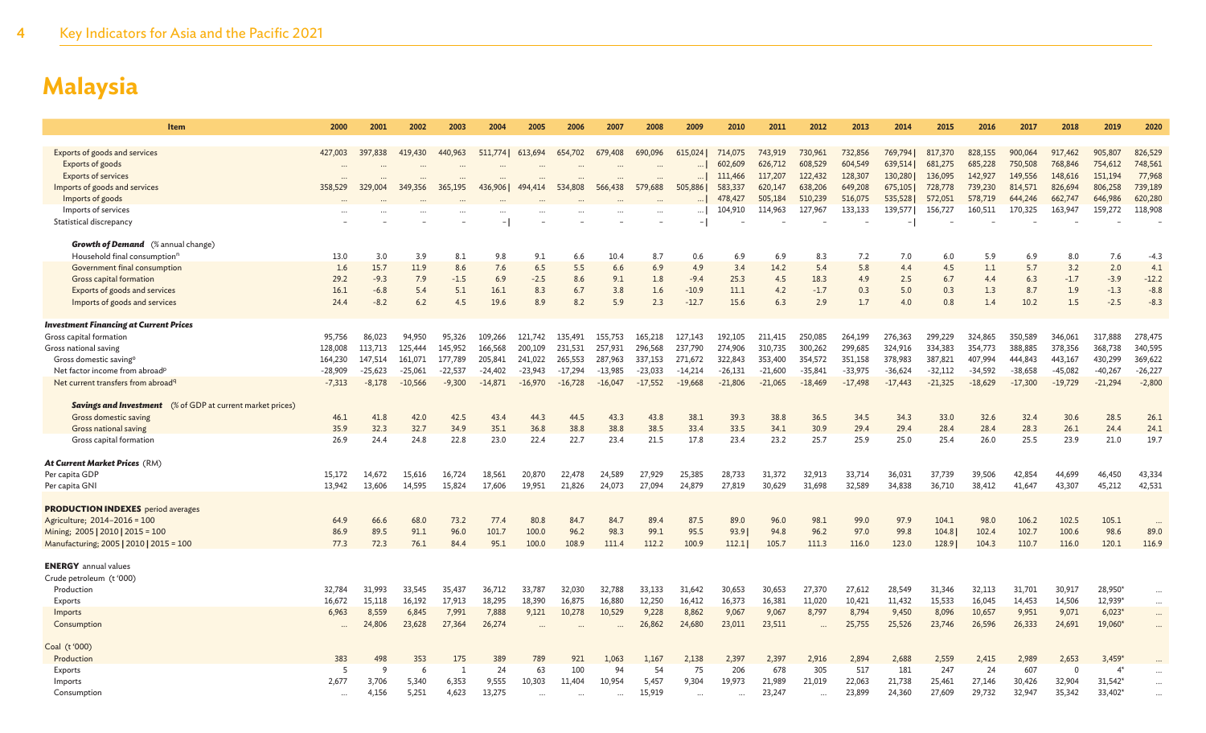| Item                                                              | 2000         | 2001         | 2002      | 2003      | 2004      | 2005      | 2006          | 2007      | 2008      | 2009          | 2010      | 2011      | 2012      | 2013      | 2014          | 2015      | 2016      | 2017      | 2018           | 2019                 | 2020          |
|-------------------------------------------------------------------|--------------|--------------|-----------|-----------|-----------|-----------|---------------|-----------|-----------|---------------|-----------|-----------|-----------|-----------|---------------|-----------|-----------|-----------|----------------|----------------------|---------------|
|                                                                   |              |              |           |           |           |           |               |           |           |               |           |           |           |           |               |           |           |           |                |                      |               |
| Exports of goods and services                                     | 427,003      | 397,838      | 419,430   | 440,963   | 511,774   | 613,694   | 654,702       | 679,408   | 690,096   | 615,024       | 714,075   | 743,919   | 730,961   | 732,856   | 769,794       | 817,370   | 828,155   | 900,064   | 917,462        | 905,807              | 826,529       |
| Exports of goods                                                  |              |              |           |           |           |           |               |           |           |               | 602,609   | 626,712   | 608,529   | 604,549   | 639,514       | 681,275   | 685,228   | 750,508   | 768,846        | 754,612              | 748,561       |
| <b>Exports of services</b>                                        |              |              |           |           |           |           |               |           |           |               | 111,466   | 117,207   | 122,432   | 128,307   | 130,280       | 136,095   | 142,927   | 149,556   | 148,616        | 151,194              | 77,968        |
| Imports of goods and services                                     | 358,529      | 329,004      | 349,356   | 365,195   | 436,9061  | 494,414   | 534,808       | 566,438   | 579,688   | 505,886       | 583,337   | 620,147   | 638,206   | 649,208   | 675,105       | 728,778   | 739,230   | 814,571   | 826,694        | 806,258              | 739,189       |
| Imports of goods                                                  |              |              |           |           |           |           |               |           |           |               | 478,427   | 505,184   | 510,239   | 516,075   | 535,528       | 572,051   | 578,719   | 644,246   | 662,747        | 646,986              | 620,280       |
| Imports of services                                               |              |              |           |           |           |           |               |           |           |               | 104,910   | 114,963   | 127,967   | 133,133   | 139,577       | 156,727   | 160,511   | 170,325   | 163,947        | 159,272              | 118,908       |
| Statistical discrepancy                                           |              |              |           |           |           |           |               |           |           |               |           |           |           |           |               |           |           |           |                |                      |               |
|                                                                   |              |              |           |           |           |           |               |           |           |               |           |           |           |           |               |           |           |           |                |                      |               |
| <b>Growth of Demand</b> (% annual change)                         |              |              |           |           |           |           |               |           |           |               |           |           |           |           |               |           |           |           |                |                      |               |
| Household final consumption <sup>n</sup>                          | 13.0         | 3.0          | 3.9       | 8.1       | 9.8       | 9.1       | 6.6           | 10.4      | 8.7       | 0.6           | 6.9       | 6.9       | 8.3       | 7.2       | 7.0           | 6.0       | 5.9       | 6.9       | 8.0            | 7.6                  | $-4.3$        |
| Government final consumption                                      | 1.6          | 15.7         | 11.9      | 8.6       | 7.6       | 6.5       | 5.5           | 6.6       | 6.9       | 4.9           | 3.4       | 14.2      | 5.4       | 5.8       | 4.4           | 4.5       | 1.1       | 5.7       | 3.2            | 2.0                  | 4.1           |
| Gross capital formation                                           | 29.2         | $-9.3$       | 7.9       | $-1.5$    | 6.9       | $-2.5$    | 8.6           | 9.1       | 1.8       | $-9.4$        | 25.3      | 4.5       | 18.3      | 4.9       | 2.5           | 6.7       | 4.4       | 6.3       | $-1.7$         | $-3.9$               | $-12.2$       |
| Exports of goods and services                                     | 16.1         | $-6.8$       | 5.4       | 5.1       | 16.1      | 8.3       | 6.7           | 3.8       | 1.6       | $-10.9$       | 11.1      | 4.2       | $-1.7$    | 0.3       | 5.0           | 0.3       | 1.3       | 8.7       | 1.9            | $-1.3$               | $-8.8$        |
| Imports of goods and services                                     | 24.4         | $-8.2$       | 6.2       | 4.5       | 19.6      | 8.9       | 8.2           | 5.9       | 2.3       | $-12.7$       | 15.6      | 6.3       | 2.9       | 1.7       | 4.0           | 0.8       | 1.4       | 10.2      | 1.5            | $-2.5$               | $-8.3$        |
| <b>Investment Financing at Current Prices</b>                     |              |              |           |           |           |           |               |           |           |               |           |           |           |           |               |           |           |           |                |                      |               |
| Gross capital formation                                           | 95,756       | 86,023       | 94,950    | 95,326    | 109,266   | 121,742   | 135,491       | 155,753   | 165,218   | 127,143       | 192,105   | 211,415   | 250,085   | 264,199   | 276,363       | 299,229   | 324,865   | 350,589   | 346,061        | 317,888              | 278,475       |
| Gross national saving                                             | 128,008      | 113,713      | 125,444   | 145,952   | 166,568   | 200,109   | 231,531       | 257,931   | 296,568   | 237,790       | 274,906   | 310,735   | 300,262   | 299,685   | 324,916       | 334,383   | 354,773   | 388,885   | 378,356        | 368,738              | 340,595       |
| Gross domestic saving <sup>o</sup>                                | 164,230      | 147,514      | 161,071   | 177,789   | 205,841   | 241,022   | 265,553       | 287,963   | 337,153   | 271,672       | 322,843   | 353,400   | 354,572   | 351,158   | 378,983       | 387,821   | 407,994   | 444,843   | 443,167        | 430,299              | 369,622       |
| Net factor income from abroad <sup>p</sup>                        | $-28,909$    | $-25,623$    | $-25,061$ | $-22,537$ | $-24,402$ | $-23,943$ | $-17,294$     | $-13,985$ | $-23,033$ | $-14,214$     | $-26,131$ | $-21,600$ | $-35,841$ | $-33,975$ | $-36,624$     | $-32,112$ | $-34,592$ | $-38,658$ | $-45,082$      | $-40,267$            | $-26,227$     |
| Net current transfers from abroad <sup>q</sup>                    | $-7,313$     | $-8,178$     | $-10,566$ | $-9,300$  | $-14,871$ | $-16,970$ | $-16,728$     | $-16,047$ | $-17,552$ | $-19,668$     | $-21,806$ | $-21,065$ | $-18,469$ | $-17,498$ | $-17,443$     | $-21,325$ | $-18,629$ | $-17,300$ | $-19,729$      | $-21,294$            | $-2,800$      |
|                                                                   |              |              |           |           |           |           |               |           |           |               |           |           |           |           |               |           |           |           |                |                      |               |
| <b>Savings and Investment</b> (% of GDP at current market prices) |              |              |           |           |           |           |               |           |           |               |           |           |           |           |               |           |           |           |                |                      |               |
| Gross domestic saving                                             | 46.1         | 41.8         | 42.0      | 42.5      | 43.4      | 44.3      | 44.5          | 43.3      | 43.8      | 38.1          | 39.3      | 38.8      | 36.5      | 34.5      | 34.3          | 33.0      | 32.6      | 32.4      | 30.6           | 28.5                 | 26.1          |
| Gross national saving                                             | 35.9         | 32.3         | 32.7      | 34.9      | 35.1      | 36.8      | 38.8          | 38.8      | 38.5      | 33.4          | 33.5      | 34.1      | 30.9      | 29.4      | 29.4          | 28.4      | 28.4      | 28.3      | 26.1           | 24.4                 | 24.1          |
| Gross capital formation                                           | 26.9         | 24.4         | 24.8      | 22.8      | 23.0      | 22.4      | 22.7          | 23.4      | 21.5      | 17.8          | 23.4      | 23.2      | 25.7      | 25.9      | 25.0          | 25.4      | 26.0      | 25.5      | 23.9           | 21.0                 | 19.7          |
|                                                                   |              |              |           |           |           |           |               |           |           |               |           |           |           |           |               |           |           |           |                |                      |               |
| At Current Market Prices (RM)                                     |              |              |           |           |           |           |               |           |           |               |           |           |           |           |               |           |           |           |                |                      |               |
| Per capita GDP                                                    | 15,172       | 14.672       | 15.616    | 16,724    | 18,561    | 20,870    | 22,478        | 24,589    | 27,929    | 25,385        | 28,733    | 31.372    | 32,913    | 33,714    | 36,031        | 37,739    | 39,506    | 42,854    | 44,699         | 46,450               | 43,334        |
| Per capita GNI                                                    | 13,942       | 13,606       | 14.595    | 15,824    | 17,606    | 19,951    | 21,826        | 24,073    | 27,094    | 24,879        | 27,819    | 30,629    | 31,698    | 32,589    | 34,838        | 36,710    | 38,412    | 41,647    | 43,307         | 45,212               | 42,531        |
|                                                                   |              |              |           |           |           |           |               |           |           |               |           |           |           |           |               |           |           |           |                |                      |               |
| <b>PRODUCTION INDEXES</b> period averages                         |              |              |           |           |           |           |               |           |           |               |           |           |           |           |               |           |           |           |                |                      |               |
| Agriculture; 2014-2016 = 100                                      | 64.9         | 66.6         | 68.0      | 73.2      | 77.4      | 80.8      | 84.7          | 84.7      | 89.4      | 87.5          | 89.0      | 96.0      | 98.1      | 99.0      | 97.9          | 104.1     | 98.0      | 106.2     | 102.5          | 105.1                |               |
| Mining; 2005   2010   2015 = 100                                  | 86.9<br>77.3 | 89.5<br>72.3 | 91.1      | 96.0      | 101.7     | 100.0     | 96.2<br>108.9 | 98.3      | 99.1      | 95.5<br>100.9 | 93.9      | 94.8      | 96.2      | 97.0      | 99.8<br>123.0 | 104.8     | 102.4     | 102.7     | 100.6          | 98.6<br>120.1        | 89.0<br>116.9 |
| Manufacturing; 2005   2010   2015 = 100                           |              |              | 76.1      | 84.4      | 95.1      | 100.0     |               | 111.4     | 112.2     |               | 112.1     | 105.7     | 111.3     | 116.0     |               | 128.9     | 104.3     | 110.7     | 116.0          |                      |               |
| <b>ENERGY</b> annual values                                       |              |              |           |           |           |           |               |           |           |               |           |           |           |           |               |           |           |           |                |                      |               |
| Crude petroleum (t'000)                                           |              |              |           |           |           |           |               |           |           |               |           |           |           |           |               |           |           |           |                |                      |               |
| Production                                                        | 32,784       | 31,993       | 33,545    | 35,437    | 36,712    | 33,787    | 32,030        | 32,788    | 33,133    | 31,642        | 30,653    | 30,653    | 27,370    | 27,612    | 28,549        | 31,346    | 32,113    | 31,701    | 30,917         | 28,950*              | $\cdots$      |
| Exports                                                           | 16,672       | 15.118       | 16.192    | 17,913    | 18,295    | 18,390    | 16,875        | 16,880    | 12,250    | 16,412        | 16,373    | 16,381    | 11,020    | 10,421    | 11,432        | 15,533    | 16,045    | 14,453    | 14,506         | 12,939*              |               |
| Imports                                                           | 6,963        | 8,559        | 6,845     | 7,991     | 7,888     | 9,121     | 10,278        | 10,529    | 9,228     | 8,862         | 9,067     | 9,067     | 8,797     | 8,794     | 9,450         | 8,096     | 10,657    | 9,951     | 9,071          | $6,023*$             | $\cdots$      |
| Consumption                                                       |              | 24,806       | 23,628    | 27,364    | 26,274    |           |               |           | 26,862    | 24,680        | 23,011    | 23,511    | $\cdots$  | 25,755    | 25,526        | 23,746    | 26,596    | 26,333    | 24,691         | 19,060*              | $\cdots$      |
| Coal (t'000)                                                      |              |              |           |           |           |           |               |           |           |               |           |           |           |           |               |           |           |           |                |                      |               |
| Production                                                        | 383          | 498          | 353       | 175       | 389       | 789       | 921           | 1,063     | 1,167     | 2,138         | 2,397     | 2,397     | 2,916     | 2,894     | 2,688         | 2,559     | 2,415     | 2,989     | 2,653          | $3,459*$             |               |
| Exports                                                           | 5            | q            | 6         | -1        | 24        | 63        | 100           | 94        | 54        | 75            | 206       | 678       | 305       | 517       | 181           | 247       | 24        | 607       | $\overline{0}$ | $\mathbf{4}^{\circ}$ |               |
| Imports                                                           | 2,677        | 3,706        | 5,340     | 6,353     | 9,555     | 10,303    | 11,404        | 10,954    | 5,457     | 9,304         | 19,973    | 21,989    | 21,019    | 22,063    | 21,738        | 25,461    | 27,146    | 30,426    | 32,904         | 31,542*              |               |
| Consumption                                                       | $\ddots$     | 4,156        | 5,251     | 4,623     | 13,275    |           |               | $\cdots$  | 15,919    |               |           | 23,247    | $\cdots$  | 23,899    | 24,360        | 27,609    | 29,732    | 32,947    | 35,342         | 33,402*              |               |
|                                                                   |              |              |           |           |           |           |               |           |           |               |           |           |           |           |               |           |           |           |                |                      |               |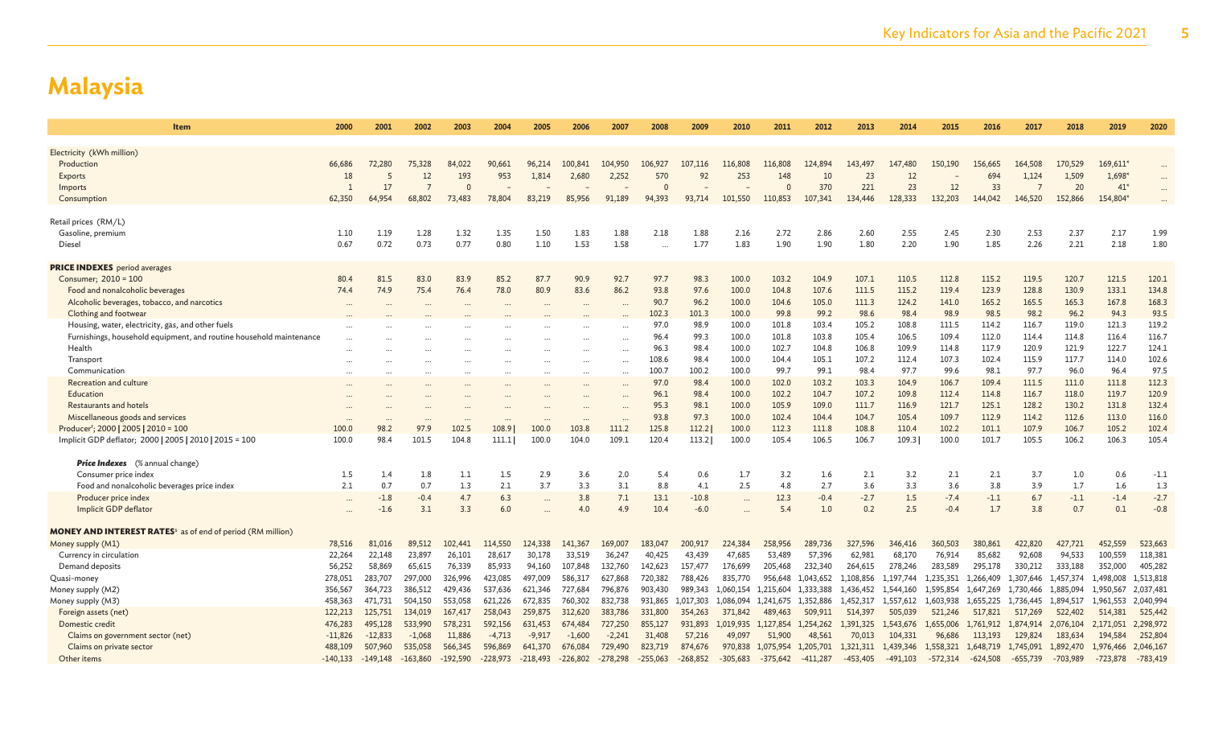| <b>Item</b>                                                                  | 2000                          | 2001       | 2002               | 2003       | 2004              | 2005       | 2006       | 2007                  | 2008       | 2009       | 2010       | 2011       | 2012                   | 2013                   | 2014       | 2015       | 2016                   | 2017           | 2018                   | 2019       | 2020       |
|------------------------------------------------------------------------------|-------------------------------|------------|--------------------|------------|-------------------|------------|------------|-----------------------|------------|------------|------------|------------|------------------------|------------------------|------------|------------|------------------------|----------------|------------------------|------------|------------|
|                                                                              |                               |            |                    |            |                   |            |            |                       |            |            |            |            |                        |                        |            |            |                        |                |                        |            |            |
| Electricity (kWh million)<br>Production                                      | 66,686                        | 72,280     | 75,328             | 84,022     | 90,661            | 96,214     | 100,841    | 104,950               | 106,927    | 107,116    | 116,808    | 116,808    | 124,894                | 143,497                | 147,480    | 150,190    | 156,665                | 164,508        | 170,529                | 169,611*   |            |
| Exports                                                                      | 18                            | 5          | 12                 | 193        | 953               | 1,814      | 2,680      | 2,252                 | 570        | 92         | 253        | 148        | 10                     | 23                     | 12         |            | 694                    | 1,124          | 1,509                  | 1,698'     | $\cdots$   |
| Imports                                                                      | $\overline{1}$                | 17         |                    | $\Omega$   |                   |            |            |                       |            |            |            | $\epsilon$ | 370                    | 221                    | 23         | 12         | 33                     | $\overline{7}$ | 20                     | $41*$      |            |
| Consumption                                                                  | 62,350                        | 64,954     | 68,802             | 73,483     | 78,804            | 83,219     | 85,956     | 91,189                | 94,393     | 93,714     | 101,550    | 110,853    | 107,341                | 134,446                | 128,333    | 132,203    | 144,042                | 146,520        | 152,866                | 154,804    |            |
|                                                                              |                               |            |                    |            |                   |            |            |                       |            |            |            |            |                        |                        |            |            |                        |                |                        |            |            |
| Retail prices (RM/L)                                                         |                               |            |                    |            |                   |            |            |                       |            |            |            |            |                        |                        |            |            |                        |                |                        |            |            |
| Gasoline, premium                                                            | 1.10                          | 1.19       | 1.28               | 1.32       | 1.35              | 1.50       | 1.83       | 1.88                  | 2.18       | 1.88       | 2.16       | 2.72       | 2.86                   | 2.60                   | 2.55       | 2.45       | 2.30                   | 2.53           | 2.37                   | 2.17       | 1.99       |
| Diesel                                                                       | 0.67                          | 0.72       | 0.73               | 0.77       | 0.80              | 1.10       | 1.53       | 1.58                  |            | 1.77       | 1.83       | 1.90       | 1.90                   | 1.80                   | 2.20       | 1.90       | 1.85                   | 2.26           | 2.21                   | 2.18       | 1.80       |
| <b>PRICE INDEXES</b> period averages                                         |                               |            |                    |            |                   |            |            |                       |            |            |            |            |                        |                        |            |            |                        |                |                        |            |            |
| Consumer; 2010 = 100                                                         | 80.4                          | 81.5       | 83.0               | 83.9       | 85.2              | 87.7       | 90.9       | 92.7                  | 97.7       | 98.3       | 100.0      | 103.2      | 104.9                  | 107.1                  | 110.5      | 112.8      | 115.2                  | 119.5          | 120.7                  | 121.5      | 120.1      |
| Food and nonalcoholic beverages                                              | 74.4                          | 74.9       | 75.4               | 76.4       | 78.0              | 80.9       | 83.6       | 86.2                  | 93.8       | 97.6       | 100.0      | 104.8      | 107.6                  | 111.5                  | 115.2      | 119.4      | 123.9                  | 128.8          | 130.9                  | 133.1      | 134.8      |
| Alcoholic beverages, tobacco, and narcotics                                  |                               |            |                    |            | $\cdots$          |            |            |                       | 90.7       | 96.2       | 100.0      | 104.6      | 105.0                  | 111.3                  | 124.2      | 141.0      | 165.2                  | 165.5          | 165.3                  | 167.8      | 168.3      |
| Clothing and footwear                                                        |                               |            |                    |            |                   |            |            |                       | 102.3      | 101.3      | 100.0      | 99.8       | 99.2                   | 98.6                   | 98.4       | 98.9       | 98.5                   | 98.2           | 96.2                   | 94.3       | 93.5       |
| Housing, water, electricity, gas, and other fuels                            |                               |            |                    |            |                   |            |            |                       | 97.0       | 98.9       | 100.0      | 101.8      | 103.4                  | 105.2                  | 108.8      | 111.5      | 114.2                  | 116.7          | 119.0                  | 121.3      | 119.2      |
| Furnishings, household equipment, and routine household maintenance          |                               |            |                    |            |                   |            |            |                       | 96.4       | 99.3       | 100.0      | 101.8      | 103.8                  | 105.4                  | 106.5      | 109.4      | 112.0                  | 114.4          | 114.8                  | 116.4      | 116.7      |
| Health                                                                       |                               |            |                    |            |                   |            |            |                       | 96.3       | 98.4       | 100.0      | 102.7      | 104.8                  | 106.8                  | 109.9      | 114.8      | 117.9                  | 120.9          | 121.9                  | 122.7      | 124.1      |
| Transport                                                                    |                               |            |                    |            |                   |            |            | $\cdots$<br>$\ddotsc$ | 108.6      | 98.4       | 100.0      | 104.4      | 105.1                  | 107.2                  | 112.4      | 107.3      | 102.4                  | 115.9          | 117.7                  | 114.0      | 102.6      |
| Communication                                                                |                               |            |                    |            |                   |            |            |                       | 100.7      | 100.2      | 100.0      | 99.7       | 99.1                   | 98.4                   | 97.7       | 99.6       | 98.1                   | 97.7           | 96.0                   | 96.4       | 97.5       |
| Recreation and culture                                                       |                               |            |                    |            | $\cdots$          |            |            | $\ddots$              | 97.0       | 98.4       | 100.0      | 102.0      | 103.2                  | 103.3                  | 104.9      | 106.7      | 109.4                  | 111.5          | 111.0                  | 111.8      | 112.3      |
| Education                                                                    |                               |            |                    |            |                   |            |            |                       | 96.1       | 98.4       | 100.0      | 102.2      | 104.7                  | 107.2                  | 109.8      | 112.4      | 114.8                  | 116.7          | 118.0                  | 119.7      | 120.9      |
| Restaurants and hotels                                                       |                               |            |                    |            |                   |            |            |                       | 95.3       | 98.1       | 100.0      | 105.9      | 109.0                  | 111.7                  | 116.9      | 121.7      | 125.1                  | 128.2          | 130.2                  | 131.8      | 132.4      |
| Miscellaneous goods and services                                             |                               |            |                    |            |                   |            |            |                       | 93.8       | 97.3       | 100.0      | 102.4      | 104.4                  | 104.7                  | 105.4      | 109.7      | 112.9                  | 114.2          | 112.6                  | 113.0      | 116.0      |
| Producer <sup>r</sup> ; 2000   2005   2010 = 100                             | $\ddot{\phantom{a}}$<br>100.0 | 98.2       | 97.9               | 102.5      | $\cdots$<br>108.9 | 100.0      | 103.8      | $\cdots$<br>111.2     | 125.8      | 112.2      | 100.0      | 112.3      | 111.8                  | 108.8                  | 110.4      | 102.2      | 101.1                  | 107.9          | 106.7                  | 105.2      | 102.4      |
| Implicit GDP deflator; 2000   2005   2010   2015 = 100                       | 100.0                         | 98.4       | 101.5              | 104.8      | 111.1             | 100.0      | 104.0      | 109.1                 | 120.4      | 113.2      | 100.0      | 105.4      | 106.5                  | 106.7                  | 109.3      | 100.0      | 101.7                  | 105.5          | 106.2                  | 106.3      | 105.4      |
|                                                                              |                               |            |                    |            |                   |            |            |                       |            |            |            |            |                        |                        |            |            |                        |                |                        |            |            |
| <b>Price Indexes</b> (% annual change)                                       |                               |            |                    |            |                   |            |            |                       |            |            |            |            |                        |                        |            |            |                        |                |                        |            |            |
| Consumer price index                                                         | $1.5\,$                       | 1.4        | 1.8                | 1.1        | 1.5               | 2.9        | 3.6        | 2.0                   | 5.4        | 0.6        | 1.7        | 3.2        | 1.6                    | 2.1                    | 3.2        | 2.1        | 2.1                    | 3.7            | 1.0                    | 0.6        | $-1.1$     |
| Food and nonalcoholic beverages price index                                  | 2.1                           | 0.7        | 0.7                | 1.3        | 2.1               | 3.7        | 3.3        | 3.1                   | 8.8        | 4.1        | 2.5        | 4.8        | 2.7                    | 3.6                    | 3.3        | 3.6        | 3.8                    | 3.9            | 1.7                    | 1.6        | 1.3        |
| Producer price index                                                         |                               | $-1.8$     | $-0.4$             | 4.7        | 6.3               | $\cdots$   | 3.8        | 7.1                   | 13.1       | $-10.8$    | $\cdots$   | 12.3       | $-0.4$                 | $-2.7$                 | 1.5        | $-7.4$     | $-1.1$                 | 6.7            | $-1.1$                 | $-1.4$     | $-2.7$     |
| Implicit GDP deflator                                                        |                               | $-1.6$     | 3.1                | 3.3        | 6.0               |            | 4.0        | 4.9                   | 10.4       | $-6.0$     | $\cdots$   | 5.4        | 1.0                    | 0.2                    | 2.5        | $-0.4$     | 1.7                    | 3.8            | 0.7                    | 0.1        | $-0.8$     |
|                                                                              |                               |            |                    |            |                   |            |            |                       |            |            |            |            |                        |                        |            |            |                        |                |                        |            |            |
| <b>MONEY AND INTEREST RATES<sup>5</sup></b> as of end of period (RM million) |                               |            |                    |            |                   |            |            |                       |            |            |            |            |                        |                        |            |            |                        |                |                        |            |            |
| Money supply (M1)                                                            | 78,516                        | 81,016     | 89,512             | 102,441    | 114,550           | 124,338    | 141,367    | 169,007               | 183,047    | 200,917    | 224,384    | 258,956    | 289,736                | 327,596                | 346,416    | 360,503    | 380,861                | 422,820        | 427,721                | 452,559    | 523,663    |
| Currency in circulation                                                      | 22,264                        | 22,148     | 23,897             | 26,101     | 28,617            | 30,178     | 33,519     | 36,247                | 40,425     | 43,439     | 47,685     | 53,489     | 57,396                 | 62,981                 | 68,170     | 76,914     | 85,682                 | 92,608         | 94,533                 | 100,559    | 118,381    |
| Demand deposits                                                              | 56,252                        | 58,869     | 65,615             | 76,339     | 85,933            | 94,160     | 107,848    | 132,760               | 142,623    | 157,477    | 176,699    | 205,468    | 232,340                | 264,615                | 278,246    | 283,589    | 295,178                | 330,212        | 333,188                | 352,000    | 405,282    |
| Quasi-money                                                                  | 278,051                       | 283,707    | 297,000<br>386,512 | 326,996    | 423,085           | 497,009    | 586,317    | 627,868<br>796,876    | 720,382    | 788,426    | 835,770    | 956,648    | 1,043,652<br>1.333.388 | 1,108,856<br>1.436.452 | 1.197.744  | 1.235.351  | 1.266.409<br>1.647.269 | 1.307.646      | 1.457.374<br>1.885.094 | 1,498,008  | 1,513,818  |
| Money supply (M2)                                                            | 356,567                       | 364,723    |                    | 429,436    | 537.636           | 621,346    | 727,684    |                       | 903,430    | 989.343    | 1.060.154  | 1.215.604  |                        |                        | 1.544.160  | 1.595.854  |                        | 1.730.466      |                        | 1,950,567  | 2,037,481  |
| Money supply (M3)                                                            | 458,363                       | 471,731    | 504,150            | 553,058    | 621,226           | 672,835    | 760,302    | 832,738               | 931,865    | 1,017,303  | 1,086,094  | 1,241,675  | 1,352,886              | 1,452,317              | 1,557,612  | 1,603,938  | 1,655,225              | 1,736,445      | 1,894,517              | 1,961,553  | 2,040,994  |
| Foreign assets (net)                                                         | 122,213                       | 125,751    | 134,019            | 167,417    | 258,043           | 259,875    | 312,620    | 383,786               | 331,800    | 354,263    | 371,842    | 489,463    | 509,911                | 514,397                | 505,039    | 521,246    | 517,821                | 517,269        | 522,402                | 514,381    | 525,442    |
| Domestic credit                                                              | 476,283                       | 495,128    | 533,990            | 578,231    | 592,156           | 631,453    | 674,484    | 727,250               | 855,127    | 931,893    | 1,019,935  | 1,127,854  | 1,254,262              | 1,391,325              | 1,543,676  | 1,655,006  | 1,761,912              | 1,874,914      | 2,076,104              | 2,171,051  | 2,298,972  |
| Claims on government sector (net)                                            | $-11,826$                     | $-12,833$  | $-1,068$           | 11,886     | $-4,713$          | $-9,917$   | $-1,600$   | $-2,241$              | 31,408     | 57,216     | 49,097     | 51,900     | 48,561                 | 70,013                 | 104,331    | 96,686     | 113,193                | 129,824        | 183,634                | 194,584    | 252,804    |
| Claims on private sector                                                     | 488,109                       | 507,960    | 535,058            | 566,345    | 596,869           | 641,370    | 676,084    | 729,490               | 823,719    | 874,676    | 970,838    | 1,075,954  | 1,205,701              | 1,321,311              | 1,439,346  | 1,558,321  | 1,648,719              | 1,745,091      | 1,892,470              | 1,976,466  | 2,046,167  |
| Other items                                                                  | $-140,133$                    | $-149.148$ | $-163.860$         | $-192.590$ | $-228.973$        | $-218.493$ | $-226.802$ | $-278.298$            | $-255,063$ | $-268,852$ | $-305.683$ | $-375.642$ | $-411,287$             | $-453.405$             | $-491,103$ | $-572,314$ | $-624.508$             | $-655,739$     | $-703.989$             | $-723.878$ | $-783,419$ |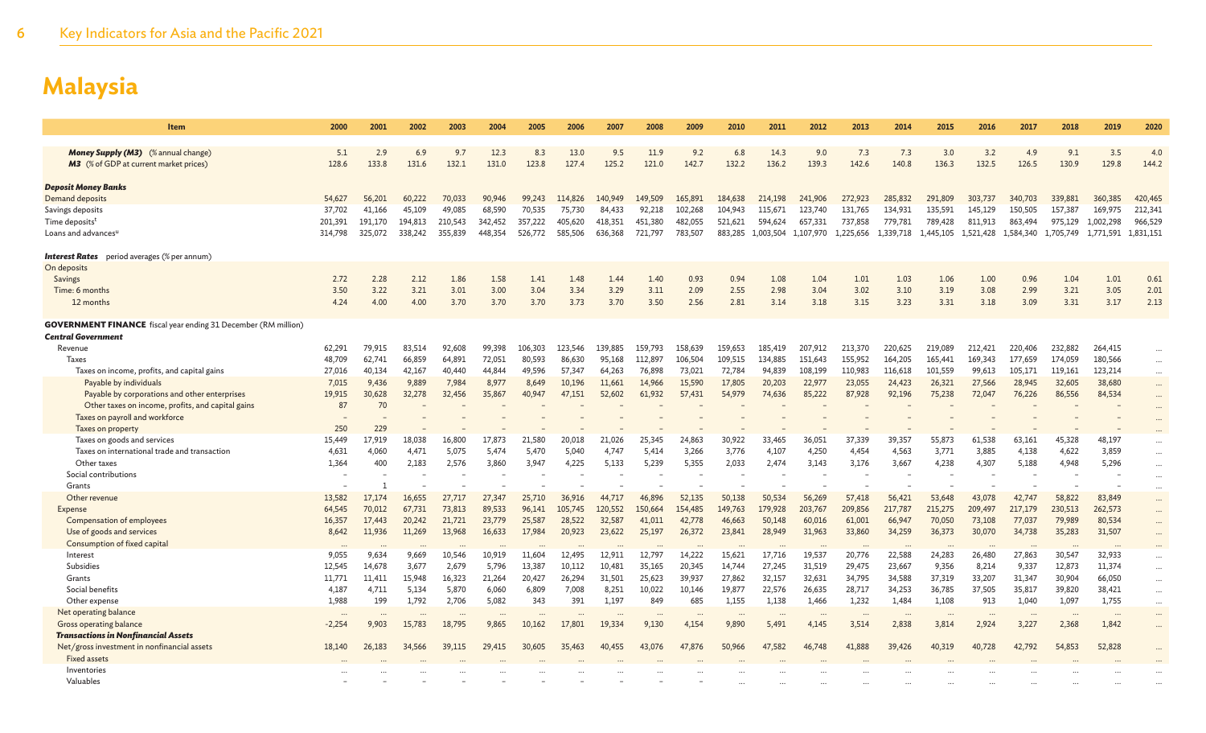| Item                                                                                               | 2000         | 2001           | 2002         | 2003         | 2004          | 2005         | 2006          | 2007         | 2008          | 2009         | 2010         | 2011                | 2012         | 2013         | 2014               | 2015         | 2016         | 2017         | 2018         | 2019               | 2020                 |
|----------------------------------------------------------------------------------------------------|--------------|----------------|--------------|--------------|---------------|--------------|---------------|--------------|---------------|--------------|--------------|---------------------|--------------|--------------|--------------------|--------------|--------------|--------------|--------------|--------------------|----------------------|
| <b>Money Supply (M3)</b> (% annual change)<br><b>M3</b> (% of GDP at current market prices)        | 5.1<br>128.6 | 2.9<br>133.8   | 6.9<br>131.6 | 9.7<br>132.1 | 12.3<br>131.0 | 8.3<br>123.8 | 13.0<br>127.4 | 9.5<br>125.2 | 11.9<br>121.0 | 9.2<br>142.7 | 6.8<br>132.2 | 14.3<br>136.2       | 9.0<br>139.3 | 7.3<br>142.6 | 7.3<br>140.8       | 3.0<br>136.3 | 3.2<br>132.5 | 4.9<br>126.5 | 9.1<br>130.9 | 3.5<br>129.8       | 4.0<br>144.2         |
| <b>Deposit Money Banks</b>                                                                         |              |                |              |              |               |              |               |              |               |              |              |                     |              |              |                    |              |              |              |              |                    |                      |
| Demand deposits                                                                                    | 54,627       | 56,201         | 60,222       | 70.033       | 90,946        | 99.243       | 114,826       | 140.949      | 149,509       | 165,891      | 184,638      | 214.198             | 241,906      | 272,923      | 285,832            | 291,809      | 303,737      | 340,703      | 339,881      | 360,385            | 420,465              |
| Savings deposits                                                                                   | 37,702       | 41,166         | 45,109       | 49.085       | 68,590        | 70,535       | 75,730        | 84.433       | 92,218        | 102,268      | 104,943      | 115,671             | 123,740      | 131,765      | 134,931            | 135.591      | 145,129      | 150,505      | 157,387      | 169,975            | 212,341              |
| Time deposits <sup>t</sup>                                                                         | 201.391      | 191,170        | 194,813      | 210,543      | 342,452       | 357,222      | 405,620       | 418,351      | 451,380       | 482,055      | 521,621      | 594,624             | 657,331      | 737,858      | 779,781            | 789,428      | 811,913      | 863,494      | 975,129      | 1,002,298          | 966,529              |
| Loans and advances <sup>u</sup>                                                                    | 314.798      | 325,072        | 338,242      | 355,839      | 448.354       | 526,772      | 585,506       | 636,368      | 721,797       | 783,507      | 883,285      | 1,003,504 1,107,970 |              | 1,225,656    | 1,339,718          | 1,445,105    | 1,521,428    | 1.584.340    | 1.705.749    | 1,771,591          | 1,831,151            |
| period averages (% per annum)<br>Interest Rates                                                    |              |                |              |              |               |              |               |              |               |              |              |                     |              |              |                    |              |              |              |              |                    |                      |
| On deposits                                                                                        |              |                |              |              |               |              |               |              |               |              |              |                     |              |              |                    |              |              |              |              |                    |                      |
| Savings                                                                                            | 2.72         | 2.28           | 2.12         | 1.86         | 1.58          | 1.41         | 1.48          | 1.44         | 1.40          | 0.93         | 0.94         | 1.08                | 1.04         | 1.01         | 1.03               | 1.06         | 1.00         | 0.96         | 1.04         | 1.01               | 0.61                 |
| Time: 6 months                                                                                     | 3.50         | 3.22           | 3.21         | 3.01         | 3.00          | 3.04         | 3.34          | 3.29         | 3.11          | 2.09         | 2.55         | 2.98                | 3.04         | 3.02         | 3.10               | 3.19         | 3.08         | 2.99         | 3.21         | 3.05               | 2.01                 |
| 12 months                                                                                          | 4.24         | 4.00           | 4.00         | 3.70         | 3.70          | 3.70         | 3.73          | 3.70         | 3.50          | 2.56         | 2.81         | 3.14                | 3.18         | 3.15         | 3.23               | 3.31         | 3.18         | 3.09         | 3.31         | 3.17               | 2.13                 |
|                                                                                                    |              |                |              |              |               |              |               |              |               |              |              |                     |              |              |                    |              |              |              |              |                    |                      |
| <b>GOVERNMENT FINANCE</b> fiscal year ending 31 December (RM million)<br><b>Central Government</b> |              |                |              |              |               |              |               |              |               |              |              |                     |              |              |                    |              |              |              |              |                    |                      |
| Revenue                                                                                            | 62,291       | 79,915         | 83,514       | 92,608       | 99,398        | 106,303      | 123,546       | 139,885      | 159,793       | 158,639      | 159,653      | 185,419             | 207,912      | 213,370      | 220,625            | 219,089      | 212,421      | 220,406      | 232,882      | 264,415            |                      |
| <b>Taxes</b>                                                                                       | 48,709       | 62.741         | 66,859       | 64,891       | 72,051        | 80,593       | 86,630        | 95,168       | 112,897       | 106,504      | 109,515      | 134,885             | 151,643      | 155,952      | 164,205            | 165,441      | 169,343      | 177,659      | 174,059      | 180,566            | $\cdots$             |
| Taxes on income, profits, and capital gains                                                        | 27,016       | 40.134         | 42,167       | 40,440       | 44,844        | 49,596       | 57,347        | 64,263       | 76,898        | 73,021       | 72,784       | 94,839              | 108,199      | 110,983      | 116,618            | 101,559      | 99,613       | 105,171      | 119,161      | 123,214            | $\cdots$             |
| Payable by individuals                                                                             | 7,015        | 9.436          | 9,889        | 7,984        | 8,977         | 8,649        | 10,196        | 11,661       | 14,966        | 15,590       | 17,805       | 20,203              | 22,977       | 23,055       | 24,423             | 26,321       | 27,566       | 28,945       | 32,605       | 38,680             | $\cdots$             |
| Payable by corporations and other enterprises                                                      | 19,915       | 30,628         | 32,278       | 32,456       | 35,867        | 40,947       | 47,151        | 52,602       | 61,932        | 57,431       | 54,979       | 74,636              | 85,222       | 87,928       | 92,196             | 75,238       | 72,047       | 76,226       | 86,556       | 84,534             | $\cdots$             |
| Other taxes on income, profits, and capital gains                                                  | 87           | 70             |              |              |               |              |               |              |               |              |              |                     |              |              |                    |              |              |              |              |                    | $\cdots$             |
| Taxes on payroll and workforce                                                                     |              |                |              |              |               |              |               |              |               |              |              |                     |              |              |                    |              |              |              |              |                    | $\cdots$             |
| Taxes on property                                                                                  | 250          | 229            |              |              |               |              |               |              |               |              |              |                     |              |              |                    |              |              |              |              |                    | $\cdots$             |
| Taxes on goods and services                                                                        | 15,449       | 17,919         | 18,038       | 16,800       | 17,873        | 21,580       | 20,018        | 21,026       | 25,345        | 24,863       | 30,922       | 33,465              | 36,051       | 37,339       | 39,357             | 55,873       | 61,538       | 63,161       | 45,328       | 48,197             | $\cdots$             |
| Taxes on international trade and transaction                                                       | 4,631        | 4,060          | 4,471        | 5,075        | 5,474         | 5,470        | 5,040         | 4,747        | 5,414         | 3,266        | 3,776        | 4,107               | 4,250        | 4,454        | 4,563              | 3,771        | 3,885        | 4,138        | 4,622        | 3,859              | $\cdots$             |
| Other taxes                                                                                        | 1,364        | 400            | 2,183        | 2,576        | 3.860         | 3.947        | 4,225         | 5,133        | 5,239         | 5,355        | 2,033        | 2,474               | 3,143        | 3,176        | 3.667              | 4,238        | 4,307        | 5,188        | 4,948        | 5,296              | $\cdots$             |
| Social contributions                                                                               |              |                |              |              |               |              |               |              |               |              |              |                     |              |              |                    |              |              |              |              |                    | $\cdots$             |
| Grants                                                                                             |              | $\overline{1}$ |              |              |               |              |               |              |               |              |              |                     |              |              |                    |              |              |              |              |                    |                      |
| Other revenue                                                                                      | 13,582       | 17,174         | 16,655       | 27,717       | 27,347        | 25,710       | 36,916        | 44.717       | 46,896        | 52.135       | 50.138       | 50,534              | 56,269       | 57,418       | 56,421             | 53,648       | 43,078       | 42,747       | 58,822       | 83,849             | $\cdots$             |
| Expense                                                                                            | 64,545       | 70,012         | 67,731       | 73,813       | 89,533        | 96,141       | 105,745       | 120,552      | 150,664       | 154,485      | 149,763      | 179,928             | 203,767      | 209,856      | 217,787            | 215,275      | 209,497      | 217,179      | 230,513      | 262,573            | $\cdots$<br>$\cdots$ |
| Compensation of employees                                                                          | 16,357       | 17,443         | 20,242       | 21,721       | 23,779        | 25,587       | 28,522        | 32,587       | 41,011        | 42,778       | 46,663       | 50,148              | 60,016       | 61,001       | 66,947             | 70,050       | 73,108       | 77,037       | 79,989       | 80,534             |                      |
| Use of goods and services                                                                          | 8,642        | 11,936         | 11,269       | 13,968       | 16,633        | 17,984       | 20,923        | 23,622       | 25,197        | 26,372       | 23,841       | 28,949              | 31,963       | 33,860       | 34,259             | 36,373       | 30,070       | 34,738       | 35,283       | 31,507             | $\cdots$<br>$\cdots$ |
| Consumption of fixed capital                                                                       |              |                |              |              |               |              |               |              |               |              |              |                     |              |              |                    |              |              |              |              |                    |                      |
| Interest                                                                                           | 9,055        | 9,634          | 9.669        | 10.546       | 10.919        | 11,604       | 12.495        | 12.911       | 12,797        | 14.222       | 15,621       | 17,716              | 19,537       | 20,776       | $\cdots$<br>22,588 | 24,283       | 26,480       | 27,863       | 30,547       | $\cdots$<br>32,933 | $\cdots$             |
| Subsidies                                                                                          | 12,545       | 14,678         | 3,677        | 2,679        | 5,796         | 13,387       | 10,112        | 10,481       | 35,165        | 20,345       | 14,744       | 27,245              | 31,519       | 29,475       | 23,667             | 9,356        | 8,214        | 9,337        | 12,873       | 11,374             | $\cdots$<br>$\cdots$ |
| Grants                                                                                             | 11,771       | 11,411         | 15,948       | 16,323       | 21,264        | 20,427       | 26,294        | 31,501       | 25,623        | 39,937       | 27,862       | 32,157              | 32,631       | 34,795       | 34,588             | 37,319       | 33,207       | 31,347       | 30,904       | 66,050             |                      |
| Social benefits                                                                                    | 4,187        | 4.711          | 5,134        | 5,870        | 6,060         | 6,809        | 7,008         | 8,251        | 10,022        | 10,146       | 19,877       | 22,576              | 26,635       | 28,717       | 34.253             | 36,785       | 37,505       | 35,817       | 39,820       | 38,421             | $\cdots$             |
| Other expense                                                                                      | 1.988        | 199            | 1.792        | 2,706        | 5.082         | 343          | 391           | 1,197        | 849           | 685          | 1,155        | 1,138               | 1,466        | 1,232        | 1.484              | 1,108        | 913          | 1,040        | 1,097        | 1,755              | $\cdots$             |
| Net operating balance                                                                              |              |                |              |              |               |              |               |              |               |              |              |                     |              |              |                    |              |              |              |              |                    | $\ldots$             |
| Gross operating balance                                                                            | $-2,254$     | 9.903          | 15,783       | 18,795       | 9.865         | 10,162       | 17,801        | 19,334       | 9,130         | 4.154        | 9,890        | 5,491               | 4,145        | 3,514        | 2,838              | 3,814        | 2,924        | 3,227        | 2,368        | $\cdots$<br>1,842  | $\cdots$             |
| <b>Transactions in Nonfinancial Assets</b>                                                         |              |                |              |              |               |              |               |              |               |              |              |                     |              |              |                    |              |              |              |              |                    | $\cdots$             |
|                                                                                                    |              |                | 34,566       |              |               | 30,605       |               | 40,455       |               |              |              | 47,582              |              | 41,888       | 39,426             | 40,319       | 40,728       |              |              | 52,828             |                      |
| Net/gross investment in nonfinancial assets                                                        | 18,140       | 26,183         |              | 39,115       | 29,415        |              | 35,463        |              | 43,076        | 47,876       | 50,966       |                     | 46,748       |              |                    |              |              | 42,792       | 54,853       |                    |                      |
| <b>Fixed assets</b>                                                                                |              |                |              |              |               |              |               |              |               |              |              |                     |              |              |                    |              |              |              |              |                    |                      |
| Inventories                                                                                        |              |                |              |              |               |              |               |              |               |              |              |                     |              |              |                    |              |              |              |              |                    |                      |
| Valuables                                                                                          |              |                |              |              |               |              |               |              |               |              |              |                     |              |              |                    |              |              |              |              |                    |                      |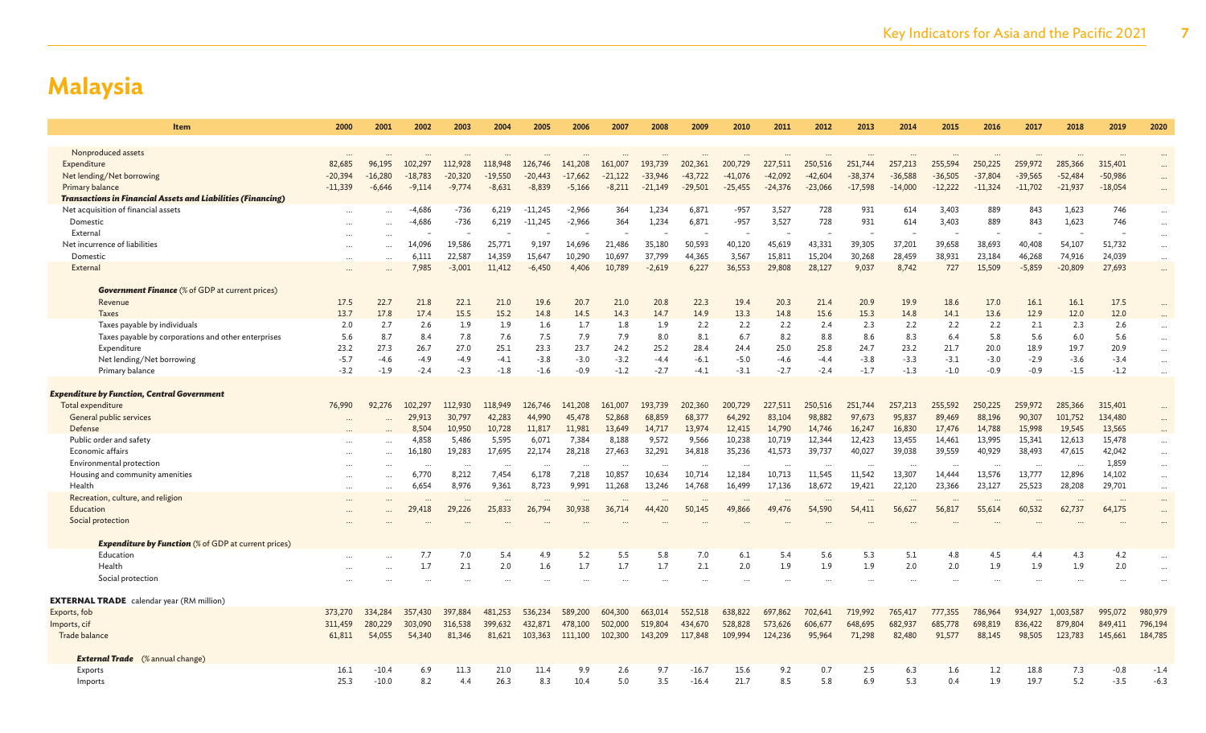| Item                                                                                   | 2000      | 2001      | 2002              | 2003                  | 2004                  | 2005                 | 2006                  | 2007              | 2008                   | 2009                   | 2010              | 2011              | 2012              | 2013                   | 2014                   | 2015                   | 2016                   | 2017                   | 2018                 | 2019               | 2020                 |
|----------------------------------------------------------------------------------------|-----------|-----------|-------------------|-----------------------|-----------------------|----------------------|-----------------------|-------------------|------------------------|------------------------|-------------------|-------------------|-------------------|------------------------|------------------------|------------------------|------------------------|------------------------|----------------------|--------------------|----------------------|
|                                                                                        |           |           |                   |                       |                       |                      |                       |                   |                        |                        |                   |                   |                   |                        |                        |                        |                        |                        |                      |                    |                      |
| Nonproduced assets                                                                     |           |           |                   |                       |                       |                      |                       |                   |                        |                        |                   |                   |                   |                        |                        |                        |                        |                        |                      |                    |                      |
| Expenditure                                                                            | 82.685    | 96,195    | 102,297           | 112,928               | 118,948               | 126,746              | 141,208               | 161,007           | 193,739                | 202,361                | 200,729           | 227,511           | 250,516           | 251,744                | 257,213                | 255,594                | 250,225                | 259,972                | 285,366              | 315,401            |                      |
| Net lending/Net borrowing                                                              | $-20.394$ | $-16,280$ | $-18,783$         | $-20,320$<br>$-9,774$ | $-19.550$<br>$-8,631$ | -20,443<br>$-8,839$  | $-17.662$<br>$-5,166$ | $-21,122$         | $-33.946$<br>$-21,149$ | $-43,722$<br>$-29,501$ | $-41,076$         | $-42,092$         | $-42.604$         | $-38,374$<br>$-17,598$ | $-36.588$<br>$-14,000$ | $-36,505$<br>$-12,222$ | $-37,804$<br>$-11,324$ | $-39,565$<br>$-11,702$ | $-52,484$            | $-50,986$          |                      |
| Primary balance<br><b>Transactions in Financial Assets and Liabilities (Financing)</b> | $-11,339$ | $-6,646$  | $-9,114$          |                       |                       |                      |                       | $-8,211$          |                        |                        | $-25,455$         | $-24,376$         | $-23,066$         |                        |                        |                        |                        |                        | $-21,937$            | $-18,054$          | $\cdots$             |
| Net acquisition of financial assets                                                    |           |           | $-4,686$          | $-736$                | 6,219                 | $-11,245$            | $-2,966$              | 364               | 1,234                  | 6,871                  | $-957$            | 3,527             | 728               | 931                    | 614                    | 3,403                  | 889                    | 843                    | 1,623                | 746                |                      |
| Domestic                                                                               |           | $\ddotsc$ | $-4,686$          | $-736$                | 6,219                 | $-11,245$            | $-2,966$              | 364               | 1,234                  | 6,871                  | $-957$            | 3,527             | 728               | 931                    | 614                    | 3,403                  | 889                    | 843                    | 1,623                | 746                | $\cdots$             |
| External                                                                               |           | $\ddotsc$ |                   |                       |                       |                      |                       |                   |                        |                        |                   |                   |                   |                        |                        |                        |                        |                        |                      |                    | $\cdots$             |
| Net incurrence of liabilities                                                          |           | $\sim$    | 14,096            | 19,586                | 25,771                | 9,197                | 14,696                | 21,486            | 35,180                 | 50,593                 | 40,120            | 45,619            | 43,331            | 39,305                 | 37,201                 | 39,658                 | 38,693                 | 40,408                 | 54,107               | 51,732             | $\cdots$             |
| Domestic                                                                               |           | $\ddotsc$ | 6,111             | 22,587                | 14,359                | 15,647               | 10,290                | 10,697            | 37,799                 | 44,365                 | 3,567             | 15,811            | 15,204            | 30,268                 | 28,459                 | 38,931                 | 23,184                 | 46,268                 | 74,916               | 24,039             | $\cdots$             |
| External                                                                               |           |           | 7,985             | $-3,001$              | 11,412                | $-6,450$             | 4.406                 | 10,789            | $-2,619$               | 6,227                  | 36,553            | 29,808            | 28,127            | 9,037                  | 8,742                  | 727                    | 15,509                 | $-5,859$               | $-20,809$            | 27,693             | $\cdots$             |
| <b>Government Finance</b> (% of GDP at current prices)                                 |           |           |                   |                       |                       |                      |                       |                   |                        |                        |                   |                   |                   |                        |                        |                        |                        |                        |                      |                    |                      |
| Revenue                                                                                | 17.5      | 22.7      | 21.8              | 22.1                  | 21.0                  | 19.6                 | 20.7                  | 21.0              | 20.8                   | 22.3                   | 19.4              | 20.3              | 21.4              | 20.9                   | 19.9                   | 18.6                   | 17.0                   | 16.1                   | 16.1                 | 17.5               |                      |
| <b>Taxes</b>                                                                           | 13.7      | 17.8      | 17.4              | 15.5                  | 15.2                  | 14.8                 | 14.5                  | 14.3              | 14.7                   | 14.9                   | 13.3              | 14.8              | 15.6              | 15.3                   | 14.8                   | 14.1                   | 13.6                   | 12.9                   | 12.0                 | 12.0               |                      |
| Taxes payable by individuals                                                           | 2.0       | 2.7       | 2.6               | 1.9                   | 1.9                   | 1.6                  | 1.7                   | 1.8               | 1.9                    | 2.2                    | 2.2               | 2.2               | 2.4               | 2.3                    | 2.2                    | 2.2                    | 2.2                    | 2.1                    | 2.3                  | 2.6                | $\cdots$             |
| Taxes payable by corporations and other enterprises                                    | 5.6       | 8.7       | 8.4               | 7.8                   | 7.6                   | 7.5                  | 7.9                   | 7.9               | 8.0                    | 8.1                    | 6.7               | 8.2               | 8.8               | 8.6                    | 8.3                    | 6.4                    | 5.8                    | 5.6                    | 6.0                  | 5.6                | $\cdots$             |
| Expenditure                                                                            | 23.2      | 27.3      | 26.7              | 27.0                  | 25.1                  | 23.3                 | 23.7                  | 24.2              | 25.2                   | 28.4                   | 24.4              | 25.0              | 25.8              | 24.7                   | 23.2                   | 21.7                   | 20.0                   | 18.9                   | 19.7                 | 20.9               | $\cdots$             |
| Net lending/Net borrowing                                                              | $-5.7$    | $-4.6$    | $-4.9$            | $-4.9$                | $-4.1$                | $-3.8$               | $-3.0$                | $-3.2$            | $-4.4$                 | $-6.1$                 | $-5.0$            | $-4.6$            | $-4.4$            | $-3.8$                 | $-3.3$                 | $-3.1$                 | $-3.0$                 | $-2.9$                 | $-3.6$               | $-3.4$             | $\cdots$             |
| Primary balance                                                                        | $-3.2$    | $-1.9$    | $-2.4$            | $-2.3$                | $-1.8$                | $-1.6$               | $-0.9$                | $-1.2$            | $-2.7$                 | $-4.1$                 | $-3.1$            | $-2.7$            | $-2.4$            | $-1.7$                 | $-1.3$                 | $-1.0$                 | $-0.9$                 | $-0.9$                 | $-1.5$               | $-1.2$             | $\ddot{\phantom{a}}$ |
|                                                                                        |           |           |                   |                       |                       |                      |                       |                   |                        |                        |                   |                   |                   |                        |                        |                        |                        |                        |                      |                    |                      |
| <b>Expenditure by Function, Central Government</b>                                     |           |           |                   |                       |                       |                      |                       |                   |                        |                        |                   |                   |                   |                        |                        |                        |                        |                        |                      |                    |                      |
| Total expenditure<br>General public services                                           | 76,990    | 92.276    | 102,297<br>29,913 | 112,930<br>30,797     | 118,949<br>42,283     | 126,746<br>44,990    | 141,208<br>45,478     | 161,007<br>52,868 | 193,739<br>68,859      | 202,360<br>68,377      | 200,729<br>64,292 | 227,511<br>83,104 | 250,516<br>98,882 | 251,744<br>97,673      | 257,213<br>95,837      | 255,592<br>89,469      | 250,225<br>88,196      | 259,972<br>90,307      | 285,366<br>101,752   | 315,401<br>134,480 |                      |
| Defense                                                                                |           |           | 8,504             | 10,950                | 10,728                | 11,817               | 11,981                | 13,649            | 14,717                 | 13,974                 | 12,415            | 14,790            | 14,746            | 16,247                 | 16,830                 | 17,476                 | 14,788                 | 15,998                 | 19,545               | 13,565             |                      |
| Public order and safety                                                                |           | $\ddotsc$ | 4,858             | 5,486                 | 5,595                 | 6,071                | 7,384                 | 8,188             | 9,572                  | 9,566                  | 10,238            | 10,719            | 12,344            | 12,423                 | 13,455                 | 14,461                 | 13,995                 | 15,341                 | 12,613               | 15,478             | $\cdots$             |
| Economic affairs                                                                       |           | $\ddotsc$ | 16,180            | 19,283                | 17,695                | 22,174               | 28,218                | 27,463            | 32,291                 | 34,818                 | 35,236            | 41,573            | 39,737            | 40,027                 | 39,038                 | 39,559                 | 40,929                 | 38,493                 | 47,615               | 42,042             | $\cdots$             |
| Environmental protection                                                               |           | $\ddotsc$ | $\ddotsc$         | $\ddot{\phantom{a}}$  |                       | $\ddot{\phantom{a}}$ |                       |                   |                        |                        |                   |                   |                   | $\cdots$               |                        | $\ddot{\phantom{a}}$   | $\cdots$               | $\ddotsc$              | $\ddot{\phantom{a}}$ | 1,859              | $\cdots$             |
| Housing and community amenities                                                        |           |           | 6,770             | 8,212                 | 7,454                 | 6,178                | 7,218                 | 10,857            | 10,634                 | 10,714                 | 12,184            | 10,713            | 11,545            | 11,542                 | 13,307                 | 14,444                 | 13,576                 | 13,777                 | 12,896               | 14,102             | $\cdots$             |
| Health                                                                                 |           | $\cdots$  | 6,654             | 8,976                 | 9,361                 | 8,723                | 9,991                 | 11,268            | 13,246                 | 14,768                 | 16,499            | 17,136            | 18,672            | 19,421                 | 22,120                 | 23,366                 | 23,127                 | 25,523                 | 28,208               | 29,701             | $\cdots$             |
| Recreation, culture, and religion                                                      |           |           |                   |                       |                       |                      |                       |                   |                        | $\ddots$               |                   |                   |                   | $\cdots$               |                        |                        |                        |                        |                      |                    |                      |
| Education                                                                              |           |           | 29,418            | 29,226                | 25,833                | 26,794               | 30,938                | 36,714            | 44,420                 | 50,145                 | 49,866            | 49,476            | 54,590            | 54,411                 | 56,627                 | 56,817                 | 55,614                 | 60,532                 | 62,737               | 64,175             | $\cdots$             |
| Social protection                                                                      |           |           |                   |                       |                       |                      |                       |                   |                        |                        |                   |                   |                   |                        |                        |                        |                        |                        |                      |                    |                      |
| <b>Expenditure by Function</b> (% of GDP at current prices)                            |           |           |                   |                       |                       |                      |                       |                   |                        |                        |                   |                   |                   |                        |                        |                        |                        |                        |                      |                    |                      |
| Education                                                                              |           | $\ddotsc$ | 7.7               | 7.0                   | 5.4                   | 4.9                  | 5.2                   | 5.5               | 5.8                    | 7.0                    | 6.1               | 5.4               | 5.6               | 5.3                    | 5.1                    | 4.8                    | 4.5                    | 4.4                    | 4.3                  | 4.2                |                      |
| Health                                                                                 |           | $\ddotsc$ | 1.7               | 2.1                   | 2.0                   | 1.6                  | 1.7                   | 1.7               | 1.7                    | 2.1                    | 2.0               | 1.9               | 1.9               | 1.9                    | 2.0                    | 2.0                    | 1.9                    | 1.9                    | 1.9                  | 2.0                |                      |
| Social protection                                                                      |           |           |                   |                       |                       |                      |                       |                   |                        |                        |                   |                   |                   |                        |                        |                        |                        |                        |                      |                    |                      |
| <b>EXTERNAL TRADE</b> calendar year (RM million)                                       |           |           |                   |                       |                       |                      |                       |                   |                        |                        |                   |                   |                   |                        |                        |                        |                        |                        |                      |                    |                      |
| Exports, fob                                                                           | 373,270   | 334,284   | 357,430           | 397,884               | 481,253               | 536,234              | 589,200               | 604,300           | 663,014                | 552,518                | 638,822           | 697,862           | 702,641           | 719,992                | 765,417                | 777,355                | 786,964                | 934,927                | 1,003,587            | 995,072            | 980,979              |
| Imports, cif                                                                           | 311.459   | 280,229   | 303,090           | 316,538               | 399.632               | 432,871              | 478,100               | 502,000           | 519,804                | 434,670                | 528,828           | 573,626           | 606,677           | 648,695                | 682,937                | 685,778                | 698,819                | 836,422                | 879,804              | 849,411            | 796,194              |
| Trade balance                                                                          | 61,811    | 54,055    | 54,340            | 81,346                | 81,621                | 103,363              | 111,100               | 102,300           | 143,209                | 117,848                | 109,994           | 124,236           | 95,964            | 71,298                 | 82,480                 | 91,577                 | 88,145                 | 98,505                 | 123,783              | 145,661            | 184,785              |
|                                                                                        |           |           |                   |                       |                       |                      |                       |                   |                        |                        |                   |                   |                   |                        |                        |                        |                        |                        |                      |                    |                      |
| <b>External Trade</b> (% annual change)                                                |           |           |                   |                       |                       |                      |                       |                   |                        |                        |                   |                   |                   |                        |                        |                        |                        |                        |                      |                    |                      |
| Exports                                                                                | 16.1      | $-10.4$   | 6.9               | 11.3                  | 21.0                  | 11.4                 | 9.9                   | 2.6               | 9.7                    | $-16.7$                | 15.6              | 9.2               | 0.7               | 2.5                    | 6.3                    | 1.6                    | 1.2                    | 18.8                   | 7.3                  | $-0.8$             | $-1.4$               |
| Imports                                                                                | 25.3      | $-10.0$   | 8.2               | 4.4                   | 26.3                  | 8.3                  | 10.4                  | 5.0               | 3.5                    | $-16.4$                | 21.7              | 8.5               | 5.8               | 6.9                    | 5.3                    | 0.4                    | 1.9                    | 19.7                   | 5.2                  | $-3.5$             | $-6.3$               |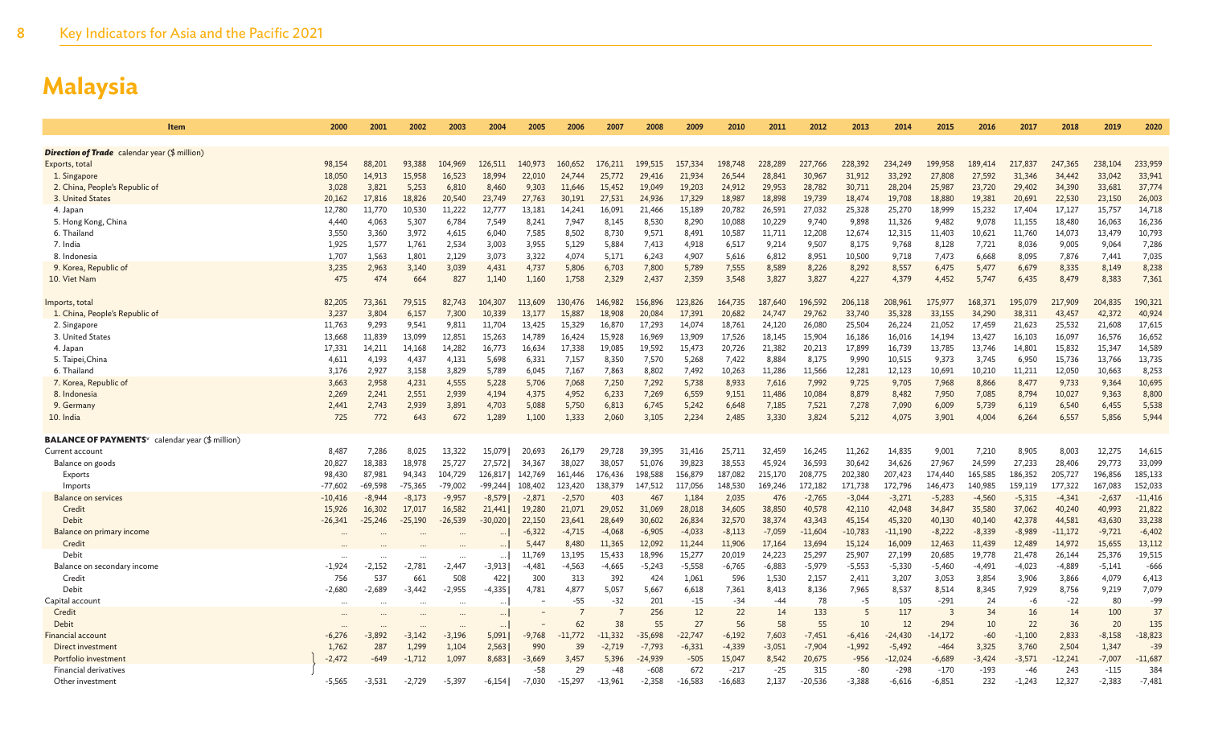| Item                                                               | 2000                | 2001               | 2002               | 2003               | 2004               | 2005               | 2006               | 2007              | 2008                  | 2009               | 2010               | 2011              | 2012               | 2013               | 2014                  | 2015               | 2016               | 2017               | 2018               | 2019               | 2020                |
|--------------------------------------------------------------------|---------------------|--------------------|--------------------|--------------------|--------------------|--------------------|--------------------|-------------------|-----------------------|--------------------|--------------------|-------------------|--------------------|--------------------|-----------------------|--------------------|--------------------|--------------------|--------------------|--------------------|---------------------|
|                                                                    |                     |                    |                    |                    |                    |                    |                    |                   |                       |                    |                    |                   |                    |                    |                       |                    |                    |                    |                    |                    |                     |
| <b>Direction of Trade</b> calendar year (\$ million)               |                     |                    |                    |                    |                    |                    |                    |                   |                       |                    |                    |                   |                    |                    |                       |                    |                    |                    |                    |                    |                     |
| Exports, total                                                     | 98,154              | 88,201             | 93,388             | 104,969            | 126,511            | 140,973            | 160,652            | 176,211           | 199,515               | 157,334            | 198,748            | 228,289           | 227,766            | 228,392            | 234,249               | 199,958            | 189,414            | 217,837            | 247,365            | 238,104            | 233,959             |
| 1. Singapore                                                       | 18,050              | 14,913             | 15,958             | 16.523             | 18,994             | 22,010             | 24,744             | 25,772            | 29,416                | 21,934             | 26,544             | 28,841            | 30,967             | 31,912             | 33,292                | 27,808             | 27.592             | 31,346             | 34,442             | 33,042             | 33,941              |
| 2. China, People's Republic of                                     | 3,028               | 3,821              | 5,253              | 6,810              | 8,460              | 9,303              | 11,646             | 15,452            | 19,049                | 19,203             | 24,912             | 29,953            | 28,782             | 30,711             | 28,204                | 25,987             | 23,720             | 29,402             | 34,390             | 33,681             | 37,774              |
| 3. United States                                                   | 20,162              | 17,816             | 18,826             | 20,540             | 23,749             | 27,763             | 30,191             | 27,531            | 24,936                | 17,329             | 18,987             | 18,898            | 19,739             | 18,474             | 19,708                | 18,880             | 19,381             | 20,691             | 22,530             | 23,150             | 26,003              |
| 4. Japan                                                           | 12,780<br>4.440     | 11,770<br>4.063    | 10,530<br>5.307    | 11,222<br>6.784    | 12,777             | 13.181<br>8.241    | 14,241<br>7.947    | 16,091<br>8.145   | 21,466                | 15,189<br>8.290    | 20,782<br>10.088   | 26,591<br>10.229  | 27,032<br>9.740    | 25,328             | 25,270<br>11.326      | 18,999             | 15,232<br>9.078    | 17,404<br>11.155   | 17,127             | 15,757             | 14,718              |
| 5. Hong Kong, China<br>6. Thailand                                 | 3,550               | 3,360              | 3,972              | 4,615              | 7,549<br>6,040     | 7,585              | 8,502              | 8,730             | 8,530<br>9,571        | 8,491              | 10,587             | 11,711            | 12,208             | 9,898<br>12,674    | 12,315                | 9,482<br>11,403    | 10,621             | 11,760             | 18,480<br>14,073   | 16,063<br>13,479   | 16,236<br>10,793    |
| 7. India                                                           | 1.925               | 1,577              | 1,761              | 2.534              | 3,003              | 3,955              | 5,129              | 5,884             | 7,413                 | 4,918              | 6,517              | 9,214             | 9.507              | 8,175              | 9,768                 | 8,128              | 7,721              | 8,036              | 9,005              | 9,064              | 7,286               |
| 8. Indonesia                                                       | 1,707               | 1,563              | 1,801              | 2,129              | 3,073              | 3,322              | 4,074              | 5,171             | 6,243                 | 4,907              | 5,616              | 6,812             | 8,951              | 10,500             | 9,718                 | 7,473              | 6,668              | 8,095              | 7,876              | 7,441              | 7,035               |
| 9. Korea, Republic of                                              | 3,235               | 2,963              | 3,140              | 3,039              | 4,431              | 4,737              | 5,806              | 6,703             | 7,800                 | 5,789              | 7,555              | 8,589             | 8,226              | 8,292              | 8,557                 | 6,475              | 5,477              | 6,679              | 8,335              | 8,149              | 8,238               |
| 10. Viet Nam                                                       | 475                 | 474                | 664                | 827                | 1,140              | 1,160              | 1,758              | 2,329             | 2,437                 | 2,359              | 3,548              | 3,827             | 3,827              | 4,227              | 4,379                 | 4,452              | 5,747              | 6,435              | 8,479              | 8,383              | 7,361               |
|                                                                    |                     |                    |                    |                    |                    |                    |                    |                   |                       |                    |                    |                   |                    |                    |                       |                    |                    |                    |                    |                    |                     |
| Imports, total                                                     | 82,205              | 73,361             | 79,515             | 82,743             | 104,307            | 113,609            | 130,476            | 146,982           | 156,896               | 123,826            | 164,735            | 187.640           | 196,592            | 206,118            | 208,961               | 175,977            | 168,371            | 195,079            | 217,909            | 204,835            | 190,321             |
| 1. China, People's Republic of                                     | 3,237               | 3,804              | 6,157              | 7,300              | 10,339             | 13,177             | 15,887             | 18,908            | 20,084                | 17,391             | 20,682             | 24,747            | 29,762             | 33,740             | 35,328                | 33,155             | 34,290             | 38,311             | 43,457             | 42,372             | 40,924              |
| 2. Singapore                                                       | 11,763              | 9,293              | 9,541              | 9,811              | 11,704             | 13,425             | 15,329             | 16,870            | 17,293                | 14,074             | 18,761             | 24,120            | 26,080             | 25,504             | 26,224                | 21,052             | 17,459             | 21,623             | 25,532             | 21,608             | 17,615              |
| 3. United States                                                   | 13,668              | 11,839             | 13,099             | 12,851             | 15,263             | 14,789             | 16,424             | 15,928            | 16,969                | 13,909             | 17,526             | 18,145            | 15,904             | 16,186             | 16,016                | 14,194             | 13,427             | 16,103             | 16,097             | 16,576             | 16,652              |
| 4. Japan                                                           | 17,331              | 14,211             | 14,168             | 14,282             | 16,773             | 16,634             | 17,338             | 19,085            | 19,592                | 15,473             | 20,726             | 21,382            | 20,213             | 17,899             | 16,739                | 13,785             | 13,746             | 14,801             | 15,832             | 15,347             | 14,589              |
| 5. Taipei, China<br>6. Thailand                                    | 4,611<br>3,176      | 4,193<br>2,927     | 4,437<br>3,158     | 4,131<br>3,829     | 5,698<br>5,789     | 6,331<br>6,045     | 7,157<br>7,167     | 8,350<br>7,863    | 7,570<br>8,802        | 5,268<br>7,492     | 7,422<br>10,263    | 8,884<br>11,286   | 8,175<br>11,566    | 9,990<br>12,281    | 10,515<br>12,123      | 9,373<br>10,691    | 3,745<br>10,210    | 6,950<br>11,211    | 15,736<br>12,050   | 13,766<br>10,663   | 13,735<br>8,253     |
| 7. Korea, Republic of                                              | 3.663               | 2,958              | 4,231              | 4.555              | 5,228              | 5.706              | 7.068              | 7,250             | 7,292                 | 5.738              | 8,933              | 7,616             | 7.992              | 9,725              | 9.705                 | 7,968              | 8,866              | 8.477              | 9,733              | 9.364              | 10,695              |
| 8. Indonesia                                                       | 2,269               | 2,241              | 2,551              | 2,939              | 4,194              | 4,375              | 4,952              | 6,233             | 7,269                 | 6,559              | 9,151              | 11,486            | 10,084             | 8,879              | 8,482                 | 7,950              | 7,085              | 8,794              | 10,027             | 9,363              | 8,800               |
| 9. Germany                                                         | 2.441               | 2,743              | 2,939              | 3,891              | 4,703              | 5,088              | 5,750              | 6,813             | 6,745                 | 5,242              | 6,648              | 7,185             | 7,521              | 7,278              | 7,090                 | 6,009              | 5,739              | 6,119              | 6,540              | 6,455              | 5,538               |
| 10. India                                                          | 725                 | 772                | 643                | 672                | 1,289              | 1,100              | 1,333              | 2,060             | 3,105                 | 2,234              | 2,485              | 3,330             | 3,824              | 5,212              | 4.075                 | 3,901              | 4,004              | 6,264              | 6,557              | 5,856              | 5,944               |
|                                                                    |                     |                    |                    |                    |                    |                    |                    |                   |                       |                    |                    |                   |                    |                    |                       |                    |                    |                    |                    |                    |                     |
| <b>BALANCE OF PAYMENTS</b> <sup>v</sup> calendar year (\$ million) |                     |                    |                    |                    |                    |                    |                    |                   |                       |                    |                    |                   |                    |                    |                       |                    |                    |                    |                    |                    |                     |
| Current account                                                    | 8,487               | 7,286              | 8,025              | 13,322             | 15,079             | 20,693             | 26,179             | 29,728            | 39,395                | 31,416             | 25,711             | 32,459            | 16,245             | 11,262             | 14,835                | 9,001              | 7,210              | 8,905              | 8,003              | 12,275             | 14,615              |
| Balance on goods                                                   | 20,827              | 18,383             | 18,978             | 25,727             | 27,572             | 34,367             | 38,027             | 38,057            | 51,076                | 39,823             | 38,553             | 45,924            | 36,593             | 30,642             | 34,626                | 27,967             | 24,599             | 27,233             | 28,406             | 29,773             | 33,099              |
| Exports                                                            | 98,430              | 87,981             | 94,343             | 104,729            | 126,817            | 142,769            | 161,446            | 176,436           | 198,588               | 156,879            | 187,082            | 215,170           | 208,775            | 202,380            | 207,423               | 174,440            | 165,585            | 186,352            | 205,727            | 196,856            | 185,133             |
| Imports                                                            | $-77,602$           | $-69,598$          | $-75,365$          | $-79,002$          | -99,244            | 108,402            | 123,420            | 138,379           | 147,512               | 117,056            | 148,530            | 169,246           | 172,182            | 171,738            | 172,796               | 146,473            | 140,985            | 159,119            | 177,322            | 167,083            | 152,033             |
| <b>Balance on services</b><br>Credit                               | $-10,416$<br>15,926 | $-8,944$<br>16,302 | $-8,173$<br>17,017 | $-9,957$<br>16,582 | $-8,579$<br>21.441 | $-2,871$<br>19,280 | $-2,570$<br>21,071 | 403<br>29,052     | 467<br>31,069         | 1,184<br>28,018    | 2,035<br>34,605    | 476<br>38,850     | $-2,765$<br>40,578 | $-3,044$<br>42,110 | $-3,271$<br>42,048    | $-5,283$<br>34,847 | $-4,560$<br>35,580 | $-5,315$<br>37,062 | $-4,341$<br>40,240 | $-2,637$<br>40,993 | $-11,416$<br>21,822 |
| <b>Debit</b>                                                       | $-26,341$           | $-25,246$          | $-25,190$          | $-26,539$          | $-30,020$          | 22,150             | 23,641             | 28,649            | 30,602                | 26,834             | 32,570             | 38,374            | 43,343             | 45,154             | 45,320                | 40,130             | 40,140             | 42,378             | 44,581             | 43,630             | 33,238              |
| Balance on primary income                                          |                     |                    |                    |                    |                    | $-6,322$           | $-4,715$           | $-4,068$          | $-6,905$              | $-4,033$           | $-8,113$           | $-7,059$          | $-11,604$          | $-10,783$          | $-11,190$             | $-8,222$           | $-8,339$           | $-8,989$           | $-11,172$          | $-9,721$           | $-6,402$            |
| Credit                                                             |                     |                    |                    |                    | $\cdots$           | 5,447              | 8,480              | 11.365            | 12,092                | 11,244             | 11,906             | 17,164            | 13,694             | 15,124             | 16,009                | 12,463             | 11,439             | 12,489             | 14,972             | 15,655             | 13,112              |
| Debit                                                              |                     |                    |                    |                    | $\cdots$           | 11,769             | 13,195             | 15,433            | 18,996                | 15,277             | 20,019             | 24,223            | 25,297             | 25,907             | 27,199                | 20,685             | 19,778             | 21,478             | 26,144             | 25,376             | 19,515              |
| Balance on secondary income                                        | $-1,924$            | $-2,152$           | $-2,781$           | $-2,447$           | $-3,913$           | $-4,481$           | $-4,563$           | $-4,665$          | $-5,243$              | $-5,558$           | $-6,765$           | $-6,883$          | $-5,979$           | $-5,553$           | $-5,330$              | $-5,460$           | $-4,491$           | $-4,023$           | $-4,889$           | $-5,141$           | $-666$              |
| Credit                                                             | 756                 | 537                | 661                | 508                | 4221               | 300                | 313                | 392               | 424                   | 1.061              | 596                | 1,530             | 2.157              | 2,411              | 3.207                 | 3,053              | 3.854              | 3.906              | 3,866              | 4,079              | 6,413               |
| Debit                                                              | $-2,680$            | $-2,689$           | $-3,442$           | $-2,955$           | $-4,335$           | 4,781              | 4,877              | 5,057             | 5,667                 | 6,618              | 7,361              | 8,413             | 8,136              | 7,965              | 8,537                 | 8,514              | 8,345              | 7,929              | 8,756              | 9,219              | 7,079               |
| Capital account                                                    |                     |                    |                    |                    |                    |                    | $-55$              | $-32$             | 201                   | $-15$              | $-34$              | $-44$             | 78                 | $-5$               | 105                   | $-291$             | 24                 | $-6$               | $-22$              | 80                 | $-99$               |
| Credit                                                             |                     |                    |                    |                    |                    |                    |                    | $\overline{7}$    | 256                   | 12                 | 22                 | 14                | 133                | 5                  | 117                   | $\overline{3}$     | 34                 | 16                 | 14                 | 100                | 37                  |
| Debit                                                              |                     |                    |                    |                    |                    |                    | 62                 | 38                | 55                    | 27                 | 56                 | 58                | 55                 | 10                 | 12                    | 294                | 10                 | 22                 | 36                 | 20                 | 135                 |
| <b>Financial account</b>                                           | $-6,276$            | $-3,892$           | $-3,142$           | $-3,196$           | 5,091              | $-9,768$           | $-11.772$          | $-11,332$         | $-35,698$             | $-22,747$          | $-6,192$           | 7,603             | $-7,451$           | $-6,416$           | $-24,430$             | $-14,172$          | $-60$              | $-1,100$           | 2,833              | $-8,158$           | $-18,823$           |
| Direct investment<br>Portfolio investment                          | 1,762<br>$-2,472$   | 287<br>$-649$      | 1,299<br>$-1,712$  | 1,104<br>1,097     | 2,563<br>8,683     | 990<br>$-3,669$    | 39<br>3,457        | $-2,719$<br>5,396 | $-7,793$<br>$-24,939$ | $-6,331$<br>$-505$ | $-4,339$<br>15,047 | $-3,051$<br>8,542 | $-7,904$<br>20,675 | $-1,992$<br>$-956$ | $-5,492$<br>$-12,024$ | $-464$<br>$-6,689$ | 3,325<br>$-3,424$  | 3,760<br>$-3,571$  | 2,504<br>$-12,241$ | 1,347<br>$-7,007$  | $-39$<br>$-11,687$  |
| <b>Financial derivatives</b>                                       |                     |                    |                    |                    |                    | -58                | 29                 | $-48$             | $-608$                | 672                | $-217$             | -25               | 315                | $-80$              | $-298$                | -170               | -193               | $-46$              | 243                | $-115$             | 384                 |
| Other investment                                                   | $-5,565$            | $-3,531$           | $-2,729$           | $-5,397$           | $-6,154$           | $-7,030$           | $-15,297$          | $-13,961$         | $-2,358$              | $-16,583$          | $-16,683$          | 2,137             | $-20,536$          | $-3,388$           | $-6,616$              | $-6,851$           | 232                | $-1,243$           | 12,327             | $-2,383$           | $-7,481$            |
|                                                                    |                     |                    |                    |                    |                    |                    |                    |                   |                       |                    |                    |                   |                    |                    |                       |                    |                    |                    |                    |                    |                     |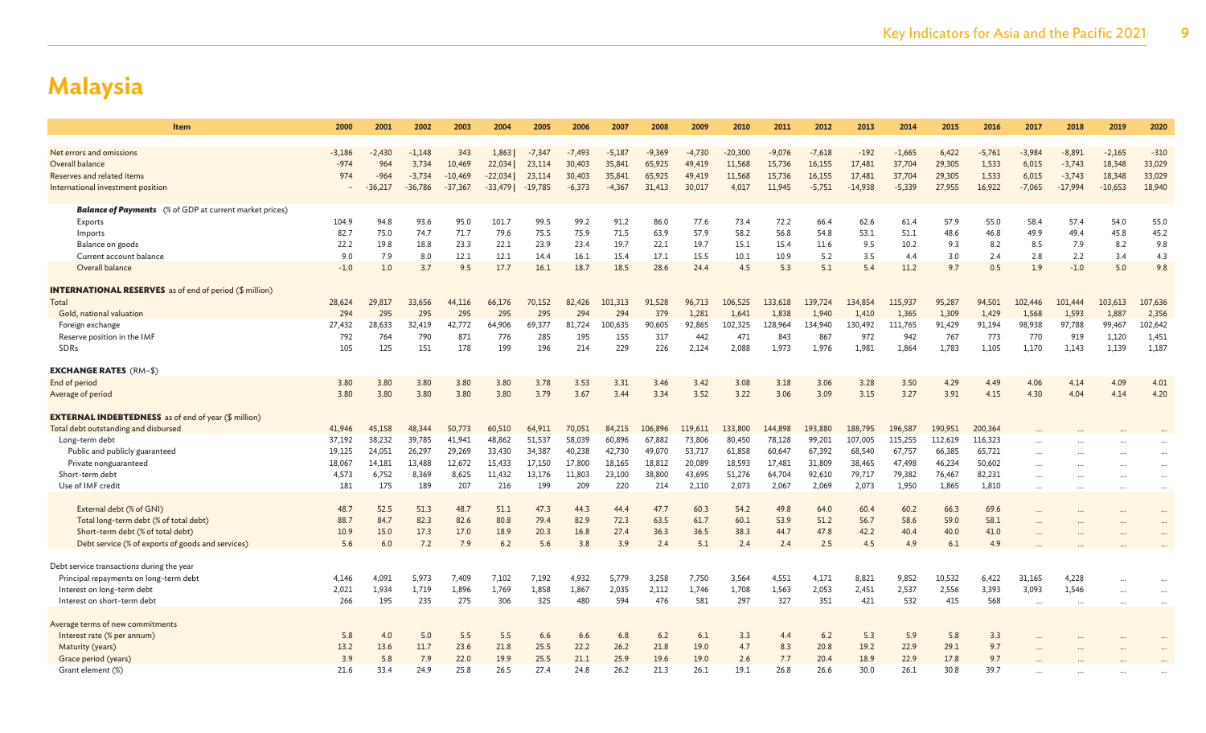| <b>Item</b>                                                    | 2000     | 2001      | 2002      | 2003      | 2004      | 2005      | 2006     | 2007     | 2008     | 2009     | 2010      | 2011     | 2012     | 2013      | 2014     | 2015    | 2016     | 2017     | 2018      | 2019      | 2020                 |
|----------------------------------------------------------------|----------|-----------|-----------|-----------|-----------|-----------|----------|----------|----------|----------|-----------|----------|----------|-----------|----------|---------|----------|----------|-----------|-----------|----------------------|
|                                                                |          |           |           |           |           |           |          |          |          |          |           |          |          |           |          |         |          |          |           |           |                      |
| Net errors and omissions                                       | $-3.186$ | $-2,430$  | $-1,148$  | 343       | 1,863     | $-7,347$  | $-7,493$ | $-5,187$ | $-9,369$ | $-4,730$ | $-20,300$ | $-9,076$ | $-7,618$ | $-192$    | $-1,665$ | 6,422   | $-5,761$ | $-3,984$ | $-8,891$  | $-2,165$  | $-310$               |
| Overall balance                                                | $-974$   | 964       | 3,734     | 10,469    | 22,034    | 23,114    | 30,403   | 35,841   | 65,925   | 49,419   | 11,568    | 15,736   | 16,155   | 17,481    | 37,704   | 29,305  | 1,533    | 6,015    | $-3,743$  | 18,348    | 33,029               |
| Reserves and related items                                     | 974      | $-964$    | $-3,734$  | $-10,469$ | $-22,034$ | 23,114    | 30,403   | 35,841   | 65,925   | 49,419   | 11,568    | 15,736   | 16,155   | 17,481    | 37,704   | 29,305  | 1,533    | 6,015    | $-3,743$  | 18,348    | 33,029               |
| International investment position                              |          | $-36,217$ | $-36,786$ | $-37,367$ | $-33,479$ | $-19,785$ | $-6,373$ | $-4,367$ | 31,413   | 30,017   | 4,017     | 11,945   | $-5,751$ | $-14,938$ | $-5,339$ | 27,955  | 16,922   | $-7,065$ | $-17,994$ | $-10,653$ | 18,940               |
| <b>Balance of Payments</b> (% of GDP at current market prices) |          |           |           |           |           |           |          |          |          |          |           |          |          |           |          |         |          |          |           |           |                      |
| Exports                                                        | 104.9    | 94.8      | 93.6      | 95.0      | 101.7     | 99.5      | 99.2     | 91.2     | 86.0     | 77.6     | 73.4      | 72.2     | 66.4     | 62.6      | 61.4     | 57.9    | 55.0     | 58.4     | 57.4      | 54.0      | 55.0                 |
| Imports                                                        | 82.7     | 75.0      | 74.7      | 71.7      | 79.6      | 75.5      | 75.9     | 71.5     | 63.9     | 57.9     | 58.2      | 56.8     | 54.8     | 53.1      | 51.1     | 48.6    | 46.8     | 49.9     | 49.4      | 45.8      | 45.2                 |
| Balance on goods                                               | 22.2     | 19.8      | 18.8      | 23.3      | 22.1      | 23.9      | 23.4     | 19.7     | 22.1     | 19.7     | 15.1      | 15.4     | 11.6     | 9.5       | 10.2     | 9.3     | 8.2      | 8.5      | 7.9       | 8.2       | 9.8                  |
| Current account balance                                        | 9.0      | 7.9       | 8.0       | 12.1      | 12.1      | 14.4      | 16.1     | 15.4     | 17.1     | 15.5     | 10.1      | 10.9     | 5.2      | 3.5       | 4.4      | 3.0     | 2.4      | 2.8      | 2.2       | 3.4       | 4.3                  |
| Overall balance                                                | $-1.0$   | 1.0       | 3.7       | 9.5       | 17.7      | 16.1      | 18.7     | 18.5     | 28.6     | 24.4     | 4.5       | 5.3      | 5.1      | 5.4       | 11.2     | 9.7     | 0.5      | 1.9      | $-1.0$    | 5.0       | 9.8                  |
| <b>INTERNATIONAL RESERVES</b> as of end of period (\$ million) |          |           |           |           |           |           |          |          |          |          |           |          |          |           |          |         |          |          |           |           |                      |
| Total                                                          | 28,624   | 29,817    | 33,656    | 44,116    | 66,176    | 70,152    | 82,426   | 101.313  | 91,528   | 96,713   | 106,525   | 133,618  | 139,724  | 134,854   | 115,937  | 95,287  | 94,501   | 102,446  | 101,444   | 103,613   | 107,636              |
| Gold, national valuation                                       | 294      | 295       | 295       | 295       | 295       | 295       | 294      | 294      | 379      | 1,281    | 1,641     | 1,838    | 1,940    | 1,410     | 1,365    | 1,309   | 1,429    | 1,568    | 1,593     | 1,887     | 2,356                |
| Foreign exchange                                               | 27,432   | 28,633    | 32,419    | 42,772    | 64,906    | 69,377    | 81,724   | 100,635  | 90,605   | 92,865   | 102,325   | 128,964  | 134,940  | 130,492   | 111,765  | 91,429  | 91,194   | 98,938   | 97,788    | 99,467    | 102,642              |
| Reserve position in the IMF                                    | 792      | 764       | 790       | 871       | 776       | 285       | 195      | 155      | 317      | 442      | 471       | 843      | 867      | 972       | 942      | 767     | 773      | 770      | 919       | 1,120     | 1,451                |
| <b>SDRs</b>                                                    | 105      | 125       | 151       | 178       | 199       | 196       | 214      | 229      | 226      | 2,124    | 2.088     | 1.973    | 1,976    | 1,981     | 1.864    | 1.783   | 1.105    | 1,170    | 1,143     | 1,139     | 1,187                |
| <b>EXCHANGE RATES (RM-\$)</b>                                  |          |           |           |           |           |           |          |          |          |          |           |          |          |           |          |         |          |          |           |           |                      |
| End of period                                                  | 3.80     | 3.80      | 3.80      | 3.80      | 3.80      | 3.78      | 3.53     | 3.31     | 3.46     | 3.42     | 3.08      | 3.18     | 3.06     | 3.28      | 3.50     | 4.29    | 4.49     | 4.06     | 4.14      | 4.09      | 4.01                 |
| Average of period                                              | 3.80     | 3.80      | 3.80      | 3.80      | 3.80      | 3.79      | 3.67     | 3.44     | 3.34     | 3.52     | 3.22      | 3.06     | 3.09     | 3.15      | 3.27     | 3.91    | 4.15     | 4.30     | 4.04      | 4.14      | 4.20                 |
| <b>EXTERNAL INDEBTEDNESS</b> as of end of year (\$ million)    |          |           |           |           |           |           |          |          |          |          |           |          |          |           |          |         |          |          |           |           |                      |
| Total debt outstanding and disbursed                           | 41,946   | 45,158    | 48,344    | 50.773    | 60,510    | 64,911    | 70,051   | 84,215   | 106,896  | 119,611  | 133,800   | 144,898  | 193,880  | 188,795   | 196,587  | 190,951 | 200,364  |          |           |           |                      |
| Long-term debt                                                 | 37,192   | 38,232    | 39,785    | 41,941    | 48,862    | 51,537    | 58,039   | 60,896   | 67,882   | 73,806   | 80,450    | 78,128   | 99,201   | 107,005   | 115,255  | 112,619 | 116,323  |          |           |           |                      |
| Public and publicly guaranteed                                 | 19,125   | 24,051    | 26,297    | 29,269    | 33,430    | 34,387    | 40,238   | 42,730   | 49,070   | 53,717   | 61,858    | 60,647   | 67,392   | 68,540    | 67,757   | 66,385  | 65,721   |          |           |           |                      |
| Private nonguaranteed                                          | 18,067   | 14,181    | 13,488    | 12,672    | 15,433    | 17,150    | 17,800   | 18,165   | 18,812   | 20,089   | 18,593    | 17,481   | 31,809   | 38,465    | 47,498   | 46,234  | 50,602   |          |           |           | $\ddot{\phantom{a}}$ |
| Short-term debt                                                | 4,573    | 6,752     | 8,369     | 8,625     | 11,432    | 13,176    | 11,803   | 23,100   | 38,800   | 43,695   | 51,276    | 64,704   | 92,610   | 79,717    | 79,382   | 76,467  | 82,231   | .        |           |           | $\cdots$             |
| Use of IMF credit                                              | 181      | 175       | 189       | 207       | 216       | 199       | 209      | 220      | 214      | 2,110    | 2,073     | 2,067    | 2,069    | 2,073     | 1,950    | 1,865   | 1,810    |          |           |           |                      |
| External debt (% of GNI)                                       | 48.7     | 52.5      | 51.3      | 48.7      | 51.1      | 47.3      | 44.3     | 44.4     | 47.7     | 60.3     | 54.2      | 49.8     | 64.0     | 60.4      | 60.2     | 66.3    | 69.6     |          |           | $\ddotsc$ | $\ddot{\phantom{a}}$ |
| Total long-term debt (% of total debt)                         | 88.7     | 84.7      | 82.3      | 82.6      | 80.8      | 79.4      | 82.9     | 72.3     | 63.5     | 61.7     | 60.1      | 53.9     | 51.2     | 56.7      | 58.6     | 59.0    | 58.1     |          |           |           |                      |
| Short-term debt (% of total debt)                              | 10.9     | 15.0      | 17.3      | 17.0      | 18.9      | 20.3      | 16.8     | 27.4     | 36.3     | 36.5     | 38.3      | 44.7     | 47.8     | 42.2      | 40.4     | 40.0    | 41.0     |          |           |           |                      |
| Debt service (% of exports of goods and services)              | 5.6      | 6.0       | 7.2       | 7.9       | 6.2       | 5.6       | 3.8      | 3.9      | 2.4      | 5.1      | 2.4       | 2.4      | 2.5      | 4.5       | 4.9      | 6.1     | 4.9      |          |           |           |                      |
| Debt service transactions during the year                      |          |           |           |           |           |           |          |          |          |          |           |          |          |           |          |         |          |          |           |           |                      |
| Principal repayments on long-term debt                         | 4.146    | 4,091     | 5,973     | 7,409     | 7,102     | 7,192     | 4,932    | 5,779    | 3,258    | 7,750    | 3,564     | 4,551    | 4,171    | 8,821     | 9,852    | 10,532  | 6,422    | 31,165   | 4,228     | $\ddotsc$ |                      |
| Interest on long-term debt                                     | 2,021    | 1,934     | 1,719     | 1,896     | 1,769     | 1,858     | 1,867    | 2,035    | 2,112    | 1,746    | 1,708     | 1,563    | 2,053    | 2,451     | 2,537    | 2,556   | 3,393    | 3,093    | 1,546     |           |                      |
| Interest on short-term debt                                    | 266      | 195       | 235       | 275       | 306       | 325       | 480      | 594      | 476      | 581      | 297       | 327      | 351      | 421       | 532      | 415     | 568      |          |           |           |                      |
|                                                                |          |           |           |           |           |           |          |          |          |          |           |          |          |           |          |         |          |          |           |           |                      |
| Average terms of new commitments                               |          |           |           |           |           |           |          |          |          |          |           |          |          |           |          |         |          |          |           |           |                      |
| Interest rate (% per annum)                                    | 5.8      | 4.0       | 5.0       | 5.5       | 5.5       | 6.6       | 6.6      | 6.8      | $6.2$    | 6.1      | 3.3       | 4.4      | 6.2      | 5.3       | 5.9      | 5.8     | 3.3      |          |           |           |                      |
| Maturity (years)                                               | 13.2     | 13.6      | 11.7      | 23.6      | 21.8      | 25.5      | 22.2     | 26.2     | 21.8     | 19.0     | 4.7       | 8.3      | 20.8     | 19.2      | 22.9     | 29.1    | 9.7      |          |           |           |                      |
| Grace period (years)                                           | 3.9      | 5.8       | 7.9       | 22.0      | 19.9      | 25.5      | 21.1     | 25.9     | 19.6     | 19.0     | 2.6       | 7.7      | 20.4     | 18.9      | 22.9     | 17.8    | 9.7      |          |           |           |                      |
| Grant element (%)                                              | 21.6     | 33.4      | 24.9      | 25.8      | 26.5      | 27.4      | 24.8     | 26.2     | 21.3     | 26.1     | 19.1      | 26.8     | 26.6     | 30.0      | 26.1     | 30.8    | 39.7     |          |           |           |                      |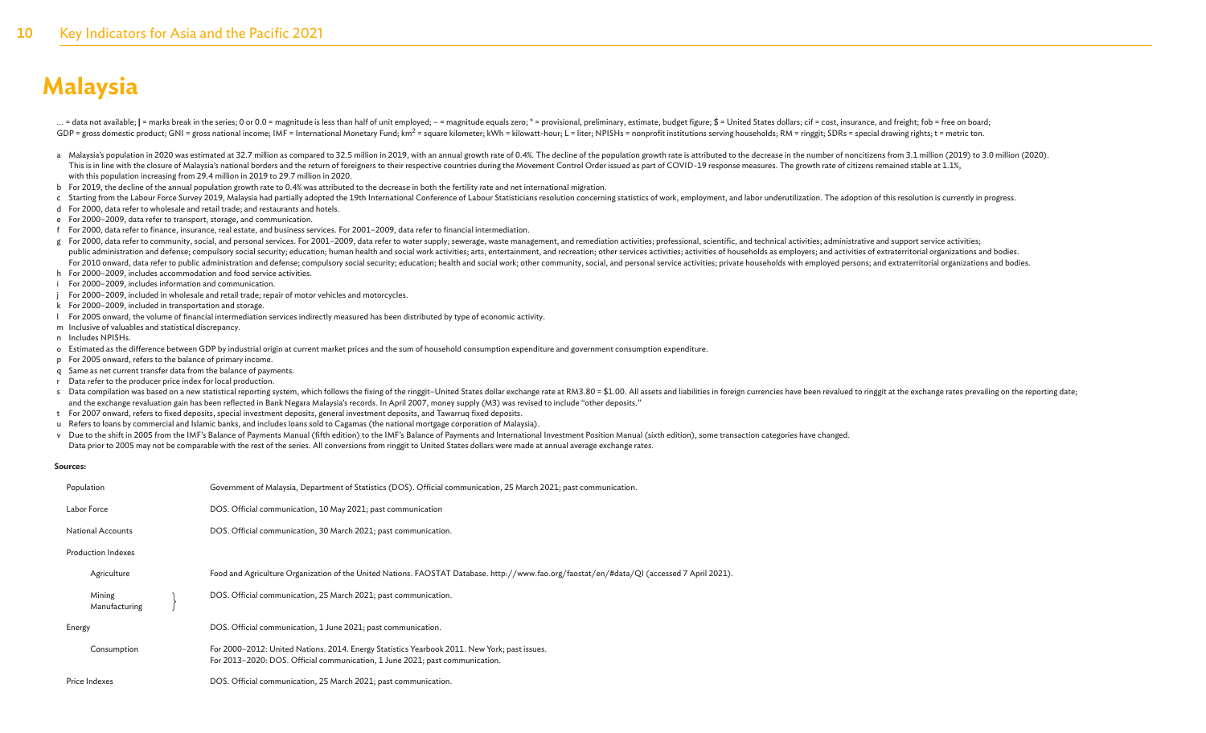... = data not available; | = marks break in the series; 0 or 0.0 = magnitude is less than half of unit employed; - = magnitude equals zero; \* = provisional, preliminary, estimate, budget figure; \$ = United States dollars; GDP = gross domestic product; GNI = gross national income; IMF = International Monetary Fund; km<sup>2</sup> = square kilometer; kWh = kilowatt-hour; L = liter; NPISHs = nonprofit institutions serving households; RM = ringgit; SDRs

- a Malaysia's population in 2020 was estimated at 32.7 million as compared to 32.5 million in 2019, with an annual growth rate of 0.4%. The decline of the population growth rate is attributed to the decrease in the number o This is in line with the closure of Malaysia's national borders and the return of foreigners to their respective countries during the Movement Control Order issued as part of COVID-19 response measures. The growth rate of with this population increasing from 29.4 million in 2019 to 29.7 million in 2020.
- b For 2019, the decline of the annual population growth rate to 0.4% was attributed to the decrease in both the fertility rate and net international migration.
- c Starting from the Labour Force Survey 2019, Malaysia had partially adopted the 19th International Conference of Labour Statisticians resolution concerning statistics of work, employment, and labor underutilization. The a
- d For 2000, data refer to wholesale and retail trade; and restaurants and hotels.
- e For 2000–2009, data refer to transport, storage, and communication.
- f For 2000, data refer to finance, insurance, real estate, and business services. For 2001–2009, data refer to financial intermediation.
- g For 2000, data refer to community, social, and personal services. For 2001-2009, data refer to water supply; sewerage, waste management, and remediation activities; professional, scientific, and technical activities; adm public administration and defense; compulsory social security; education; human health and social work activities; arts, entertainment, and recreation; other services activities; activities; dof bouseholds as employers; an For 2010 onward, data refer to public administration and defense; compulsory social security; education; health and social work; other community, social, and personal service activities; private households with employed pe
- h For 2000–2009, includes accommodation and food service activities.
- i For 2000–2009, includes information and communication.
- j For 2000–2009, included in wholesale and retail trade; repair of motor vehicles and motorcycles.
- k For 2000–2009, included in transportation and storage.
- l For 2005 onward, the volume of financial intermediation services indirectly measured has been distributed by type of economic activity.
- m Inclusive of valuables and statistical discrepancy.
- n Includes NPISHs.
- o Estimated as the difference between GDP by industrial origin at current market prices and the sum of household consumption expenditure and government consumption expenditure.
- p For 2005 onward, refers to the balance of primary income.
- q Same as net current transfer data from the balance of payments.
- r Data refer to the producer price index for local production.
- s Data compilation was based on a new statistical reporting system, which follows the fixing of the ringgit-United States dollar exchange rate at RM3.80 = \$1.00. All assets and liabilities in foreign currencies have been r and the exchange revaluation gain has been reflected in Bank Negara Malaysia's records. In April 2007, money supply (M3) was revised to include "other deposits."
- t For 2007 onward, refers to fixed deposits, special investment deposits, general investment deposits, and Tawarruq fixed deposits.
- u Refers to loans by commercial and Islamic banks, and includes loans sold to Cagamas (the national mortgage corporation of Malaysia).
- v Due to the shift in 2005 from the IMF's Balance of Payments Manual (fifth edition) to the IMF's Balance of Payments and International Investment Position Manual (sixth edition), some transaction categories have changed.

Data prior to 2005 may not be comparable with the rest of the series. All conversions from ringgit to United States dollars were made at annual average exchange rates.

#### **Sources:**

| Population                | Government of Malaysia, Department of Statistics (DOS). Official communication, 25 March 2021; past communication.                                                           |
|---------------------------|------------------------------------------------------------------------------------------------------------------------------------------------------------------------------|
| Labor Force               | DOS. Official communication, 10 May 2021; past communication                                                                                                                 |
| <b>National Accounts</b>  | DOS. Official communication, 30 March 2021; past communication.                                                                                                              |
| <b>Production Indexes</b> |                                                                                                                                                                              |
| Agriculture               | Food and Agriculture Organization of the United Nations. FAOSTAT Database. http://www.fao.org/faostat/en/#data/QI (accessed 7 April 2021).                                   |
| Mining<br>Manufacturing   | DOS. Official communication, 25 March 2021; past communication.                                                                                                              |
| Energy                    | DOS. Official communication, 1 June 2021; past communication.                                                                                                                |
| Consumption               | For 2000–2012: United Nations. 2014. Energy Statistics Yearbook 2011. New York; past issues.<br>For 2013-2020: DOS. Official communication, 1 June 2021; past communication. |
| Price Indexes             | DOS. Official communication, 25 March 2021; past communication.                                                                                                              |